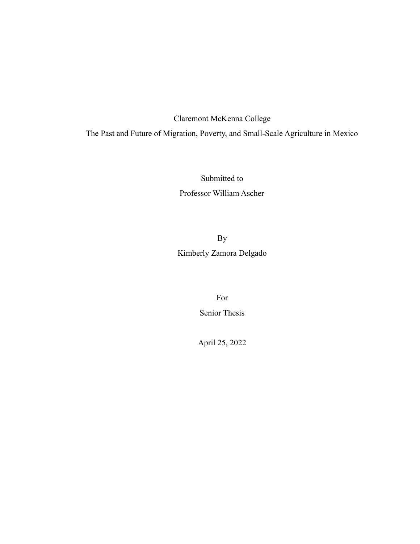## Claremont McKenna College

## The Past and Future of Migration, Poverty, and Small-Scale Agriculture in Mexico

Submitted to Professor William Ascher

By Kimberly Zamora Delgado

> For Senior Thesis

April 25, 2022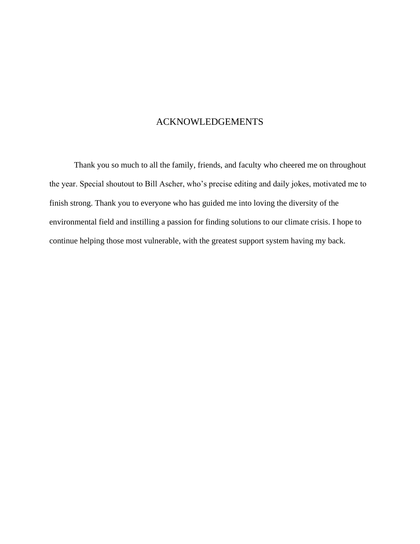## ACKNOWLEDGEMENTS

Thank you so much to all the family, friends, and faculty who cheered me on throughout the year. Special shoutout to Bill Ascher, who's precise editing and daily jokes, motivated me to finish strong. Thank you to everyone who has guided me into loving the diversity of the environmental field and instilling a passion for finding solutions to our climate crisis. I hope to continue helping those most vulnerable, with the greatest support system having my back.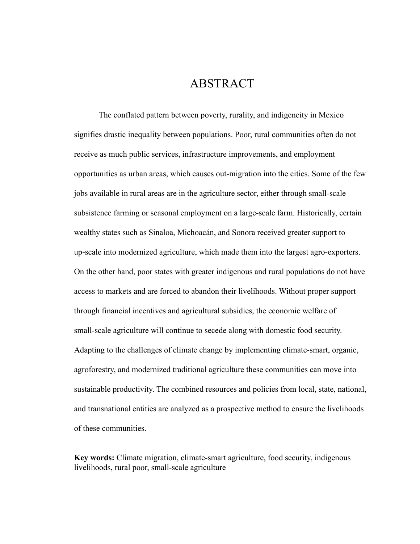# ABSTRACT

The conflated pattern between poverty, rurality, and indigeneity in Mexico signifies drastic inequality between populations. Poor, rural communities often do not receive as much public services, infrastructure improvements, and employment opportunities as urban areas, which causes out-migration into the cities. Some of the few jobs available in rural areas are in the agriculture sector, either through small-scale subsistence farming or seasonal employment on a large-scale farm. Historically, certain wealthy states such as Sinaloa, Michoacán, and Sonora received greater support to up-scale into modernized agriculture, which made them into the largest agro-exporters. On the other hand, poor states with greater indigenous and rural populations do not have access to markets and are forced to abandon their livelihoods. Without proper support through financial incentives and agricultural subsidies, the economic welfare of small-scale agriculture will continue to secede along with domestic food security. Adapting to the challenges of climate change by implementing climate-smart, organic, agroforestry, and modernized traditional agriculture these communities can move into sustainable productivity. The combined resources and policies from local, state, national, and transnational entities are analyzed as a prospective method to ensure the livelihoods of these communities.

**Key words:** Climate migration, climate-smart agriculture, food security, indigenous livelihoods, rural poor, small-scale agriculture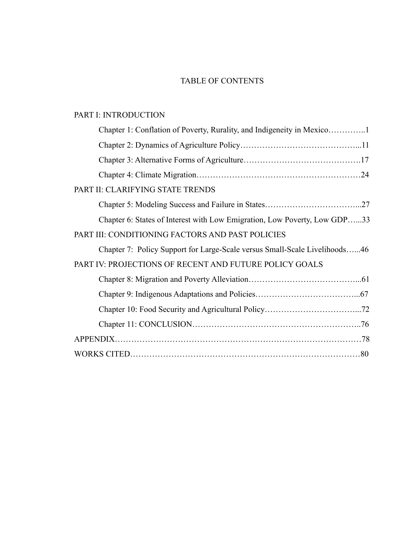## TABLE OF CONTENTS

### PART I: INTRODUCTION

| PART II: CLARIFYING STATE TRENDS                                           |
|----------------------------------------------------------------------------|
|                                                                            |
| Chapter 6: States of Interest with Low Emigration, Low Poverty, Low GDP33  |
| PART III: CONDITIONING FACTORS AND PAST POLICIES                           |
| Chapter 7: Policy Support for Large-Scale versus Small-Scale Livelihoods46 |
| PART IV: PROJECTIONS OF RECENT AND FUTURE POLICY GOALS                     |
|                                                                            |
|                                                                            |
|                                                                            |
|                                                                            |
|                                                                            |
|                                                                            |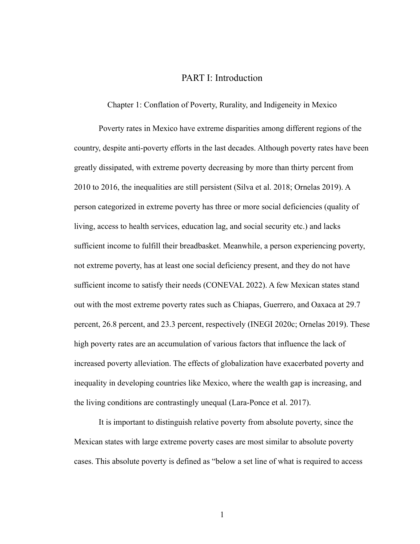### PART I: Introduction

Chapter 1: Conflation of Poverty, Rurality, and Indigeneity in Mexico

Poverty rates in Mexico have extreme disparities among different regions of the country, despite anti-poverty efforts in the last decades. Although poverty rates have been greatly dissipated, with extreme poverty decreasing by more than thirty percent from 2010 to 2016, the inequalities are still persistent (Silva et al. 2018; Ornelas 2019). A person categorized in extreme poverty has three or more social deficiencies (quality of living, access to health services, education lag, and social security etc.) and lacks sufficient income to fulfill their breadbasket. Meanwhile, a person experiencing poverty, not extreme poverty, has at least one social deficiency present, and they do not have sufficient income to satisfy their needs (CONEVAL 2022). A few Mexican states stand out with the most extreme poverty rates such as Chiapas, Guerrero, and Oaxaca at 29.7 percent, 26.8 percent, and 23.3 percent, respectively (INEGI 2020c; Ornelas 2019). These high poverty rates are an accumulation of various factors that influence the lack of increased poverty alleviation. The effects of globalization have exacerbated poverty and inequality in developing countries like Mexico, where the wealth gap is increasing, and the living conditions are contrastingly unequal (Lara-Ponce et al. 2017).

It is important to distinguish relative poverty from absolute poverty, since the Mexican states with large extreme poverty cases are most similar to absolute poverty cases. This absolute poverty is defined as "below a set line of what is required to access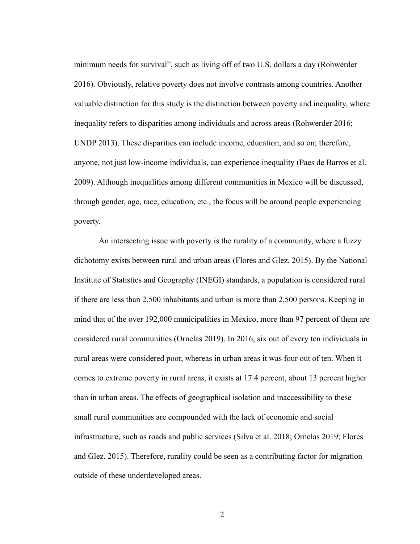minimum needs for survival", such as living off of two U.S. dollars a day (Rohwerder 2016). Obviously, relative poverty does not involve contrasts among countries. Another valuable distinction for this study is the distinction between poverty and inequality, where inequality refers to disparities among individuals and across areas (Rohwerder 2016; UNDP 2013). These disparities can include income, education, and so on; therefore, anyone, not just low-income individuals, can experience inequality (Paes de Barros et al. 2009). Although inequalities among different communities in Mexico will be discussed, through gender, age, race, education, etc., the focus will be around people experiencing poverty.

An intersecting issue with poverty is the rurality of a community, where a fuzzy dichotomy exists between rural and urban areas (Flores and Glez. 2015). By the National Institute of Statistics and Geography (INEGI) standards, a population is considered rural if there are less than 2,500 inhabitants and urban is more than 2,500 persons. Keeping in mind that of the over 192,000 municipalities in Mexico, more than 97 percent of them are considered rural communities (Ornelas 2019). In 2016, six out of every ten individuals in rural areas were considered poor, whereas in urban areas it was four out of ten. When it comes to extreme poverty in rural areas, it exists at 17.4 percent, about 13 percent higher than in urban areas. The effects of geographical isolation and inaccessibility to these small rural communities are compounded with the lack of economic and social infrastructure, such as roads and public services (Silva et al. 2018; Ornelas 2019; Flores and Glez. 2015). Therefore, rurality could be seen as a contributing factor for migration outside of these underdeveloped areas.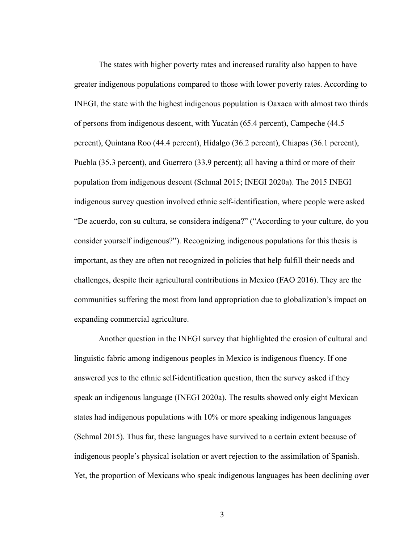The states with higher poverty rates and increased rurality also happen to have greater indigenous populations compared to those with lower poverty rates. According to INEGI, the state with the highest indigenous population is Oaxaca with almost two thirds of persons from indigenous descent, with Yucatán (65.4 percent), Campeche (44.5 percent), Quintana Roo (44.4 percent), Hidalgo (36.2 percent), Chiapas (36.1 percent), Puebla (35.3 percent), and Guerrero (33.9 percent); all having a third or more of their population from indigenous descent (Schmal 2015; INEGI 2020a). The 2015 INEGI indigenous survey question involved ethnic self-identification, where people were asked "De acuerdo, con su cultura, se considera indígena?" ("According to your culture, do you consider yourself indigenous?"). Recognizing indigenous populations for this thesis is important, as they are often not recognized in policies that help fulfill their needs and challenges, despite their agricultural contributions in Mexico (FAO 2016). They are the communities suffering the most from land appropriation due to globalization's impact on expanding commercial agriculture.

Another question in the INEGI survey that highlighted the erosion of cultural and linguistic fabric among indigenous peoples in Mexico is indigenous fluency. If one answered yes to the ethnic self-identification question, then the survey asked if they speak an indigenous language (INEGI 2020a). The results showed only eight Mexican states had indigenous populations with 10% or more speaking indigenous languages (Schmal 2015). Thus far, these languages have survived to a certain extent because of indigenous people's physical isolation or avert rejection to the assimilation of Spanish. Yet, the proportion of Mexicans who speak indigenous languages has been declining over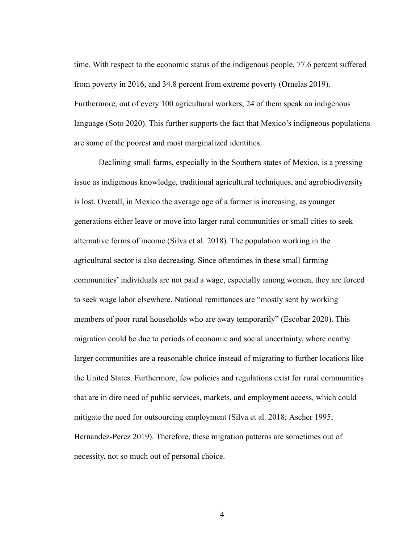time. With respect to the economic status of the indigenous people, 77.6 percent suffered from poverty in 2016, and 34.8 percent from extreme poverty (Ornelas 2019). Furthermore, out of every 100 agricultural workers, 24 of them speak an indigenous language (Soto 2020). This further supports the fact that Mexico's indigneous populations are some of the poorest and most marginalized identities.

Declining small farms, especially in the Southern states of Mexico, is a pressing issue as indigenous knowledge, traditional agricultural techniques, and agrobiodiversity is lost. Overall, in Mexico the average age of a farmer is increasing, as younger generations either leave or move into larger rural communities or small cities to seek alternative forms of income (Silva et al. 2018). The population working in the agricultural sector is also decreasing. Since oftentimes in these small farming communities' individuals are not paid a wage, especially among women, they are forced to seek wage labor elsewhere. National remittances are "mostly sent by working members of poor rural households who are away temporarily" (Escobar 2020). This migration could be due to periods of economic and social uncertainty, where nearby larger communities are a reasonable choice instead of migrating to further locations like the United States. Furthermore, few policies and regulations exist for rural communities that are in dire need of public services, markets, and employment access, which could mitigate the need for outsourcing employment (Silva et al. 2018; Ascher 1995; Hernandez-Perez 2019). Therefore, these migration patterns are sometimes out of necessity, not so much out of personal choice.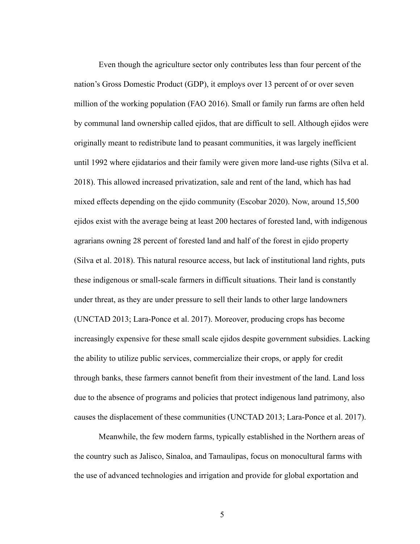Even though the agriculture sector only contributes less than four percent of the nation's Gross Domestic Product (GDP), it employs over 13 percent of or over seven million of the working population (FAO 2016). Small or family run farms are often held by communal land ownership called ejidos, that are difficult to sell. Although ejidos were originally meant to redistribute land to peasant communities, it was largely inefficient until 1992 where ejidatarios and their family were given more land-use rights (Silva et al. 2018). This allowed increased privatization, sale and rent of the land, which has had mixed effects depending on the ejido community (Escobar 2020). Now, around 15,500 ejidos exist with the average being at least 200 hectares of forested land, with indigenous agrarians owning 28 percent of forested land and half of the forest in ejido property (Silva et al. 2018). This natural resource access, but lack of institutional land rights, puts these indigenous or small-scale farmers in difficult situations. Their land is constantly under threat, as they are under pressure to sell their lands to other large landowners (UNCTAD 2013; Lara-Ponce et al. 2017). Moreover, producing crops has become increasingly expensive for these small scale ejidos despite government subsidies. Lacking the ability to utilize public services, commercialize their crops, or apply for credit through banks, these farmers cannot benefit from their investment of the land. Land loss due to the absence of programs and policies that protect indigenous land patrimony, also causes the displacement of these communities (UNCTAD 2013; Lara-Ponce et al. 2017).

Meanwhile, the few modern farms, typically established in the Northern areas of the country such as Jalisco, Sinaloa, and Tamaulipas, focus on monocultural farms with the use of advanced technologies and irrigation and provide for global exportation and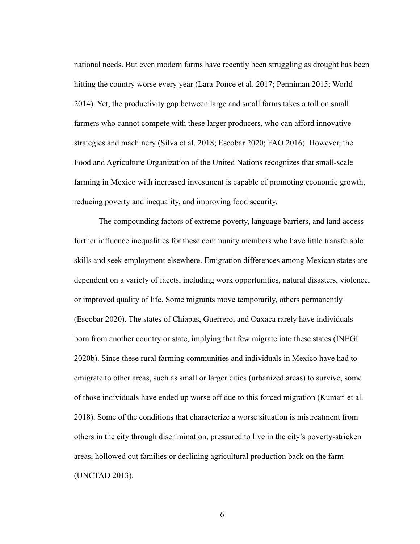national needs. But even modern farms have recently been struggling as drought has been hitting the country worse every year (Lara-Ponce et al. 2017; Penniman 2015; World 2014). Yet, the productivity gap between large and small farms takes a toll on small farmers who cannot compete with these larger producers, who can afford innovative strategies and machinery (Silva et al. 2018; Escobar 2020; FAO 2016). However, the Food and Agriculture Organization of the United Nations recognizes that small-scale farming in Mexico with increased investment is capable of promoting economic growth, reducing poverty and inequality, and improving food security.

The compounding factors of extreme poverty, language barriers, and land access further influence inequalities for these community members who have little transferable skills and seek employment elsewhere. Emigration differences among Mexican states are dependent on a variety of facets, including work opportunities, natural disasters, violence, or improved quality of life. Some migrants move temporarily, others permanently (Escobar 2020). The states of Chiapas, Guerrero, and Oaxaca rarely have individuals born from another country or state, implying that few migrate into these states (INEGI 2020b). Since these rural farming communities and individuals in Mexico have had to emigrate to other areas, such as small or larger cities (urbanized areas) to survive, some of those individuals have ended up worse off due to this forced migration (Kumari et al. 2018). Some of the conditions that characterize a worse situation is mistreatment from others in the city through discrimination, pressured to live in the city's poverty-stricken areas, hollowed out families or declining agricultural production back on the farm (UNCTAD 2013).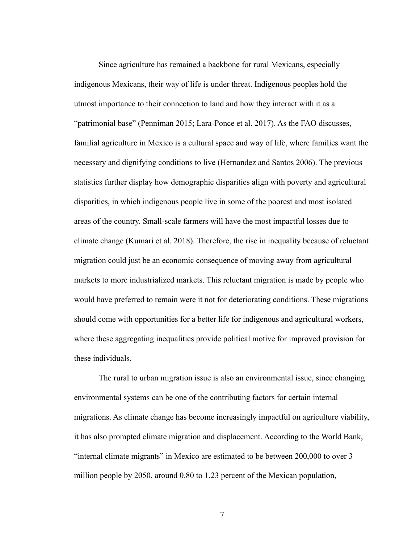Since agriculture has remained a backbone for rural Mexicans, especially indigenous Mexicans, their way of life is under threat. Indigenous peoples hold the utmost importance to their connection to land and how they interact with it as a "patrimonial base" (Penniman 2015; Lara-Ponce et al. 2017). As the FAO discusses, familial agriculture in Mexico is a cultural space and way of life, where families want the necessary and dignifying conditions to live (Hernandez and Santos 2006). The previous statistics further display how demographic disparities align with poverty and agricultural disparities, in which indigenous people live in some of the poorest and most isolated areas of the country. Small-scale farmers will have the most impactful losses due to climate change (Kumari et al. 2018). Therefore, the rise in inequality because of reluctant migration could just be an economic consequence of moving away from agricultural markets to more industrialized markets. This reluctant migration is made by people who would have preferred to remain were it not for deteriorating conditions. These migrations should come with opportunities for a better life for indigenous and agricultural workers, where these aggregating inequalities provide political motive for improved provision for these individuals.

The rural to urban migration issue is also an environmental issue, since changing environmental systems can be one of the contributing factors for certain internal migrations. As climate change has become increasingly impactful on agriculture viability, it has also prompted climate migration and displacement. According to the World Bank, "internal climate migrants" in Mexico are estimated to be between 200,000 to over 3 million people by 2050, around 0.80 to 1.23 percent of the Mexican population,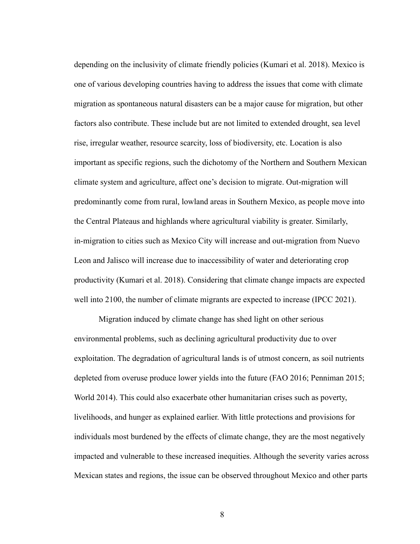depending on the inclusivity of climate friendly policies (Kumari et al. 2018). Mexico is one of various developing countries having to address the issues that come with climate migration as spontaneous natural disasters can be a major cause for migration, but other factors also contribute. These include but are not limited to extended drought, sea level rise, irregular weather, resource scarcity, loss of biodiversity, etc. Location is also important as specific regions, such the dichotomy of the Northern and Southern Mexican climate system and agriculture, affect one's decision to migrate. Out-migration will predominantly come from rural, lowland areas in Southern Mexico, as people move into the Central Plateaus and highlands where agricultural viability is greater. Similarly, in-migration to cities such as Mexico City will increase and out-migration from Nuevo Leon and Jalisco will increase due to inaccessibility of water and deteriorating crop productivity (Kumari et al. 2018). Considering that climate change impacts are expected well into 2100, the number of climate migrants are expected to increase (IPCC 2021).

Migration induced by climate change has shed light on other serious environmental problems, such as declining agricultural productivity due to over exploitation. The degradation of agricultural lands is of utmost concern, as soil nutrients depleted from overuse produce lower yields into the future (FAO 2016; Penniman 2015; World 2014). This could also exacerbate other humanitarian crises such as poverty, livelihoods, and hunger as explained earlier. With little protections and provisions for individuals most burdened by the effects of climate change, they are the most negatively impacted and vulnerable to these increased inequities. Although the severity varies across Mexican states and regions, the issue can be observed throughout Mexico and other parts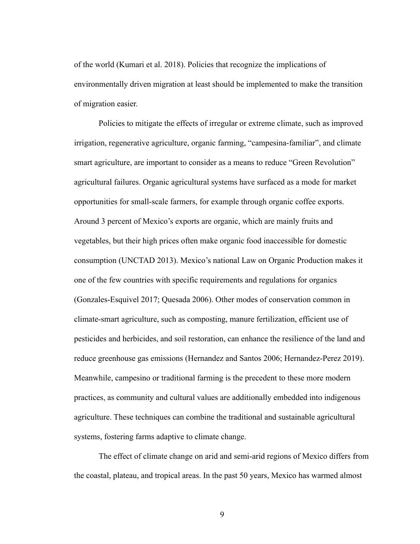of the world (Kumari et al. 2018). Policies that recognize the implications of environmentally driven migration at least should be implemented to make the transition of migration easier.

Policies to mitigate the effects of irregular or extreme climate, such as improved irrigation, regenerative agriculture, organic farming, "campesina-familiar", and climate smart agriculture, are important to consider as a means to reduce "Green Revolution" agricultural failures. Organic agricultural systems have surfaced as a mode for market opportunities for small-scale farmers, for example through organic coffee exports. Around 3 percent of Mexico's exports are organic, which are mainly fruits and vegetables, but their high prices often make organic food inaccessible for domestic consumption (UNCTAD 2013). Mexico's national Law on Organic Production makes it one of the few countries with specific requirements and regulations for organics (Gonzales-Esquivel 2017; Quesada 2006). Other modes of conservation common in climate-smart agriculture, such as composting, manure fertilization, efficient use of pesticides and herbicides, and soil restoration, can enhance the resilience of the land and reduce greenhouse gas emissions (Hernandez and Santos 2006; Hernandez-Perez 2019). Meanwhile, campesino or traditional farming is the precedent to these more modern practices, as community and cultural values are additionally embedded into indigenous agriculture. These techniques can combine the traditional and sustainable agricultural systems, fostering farms adaptive to climate change.

The effect of climate change on arid and semi-arid regions of Mexico differs from the coastal, plateau, and tropical areas. In the past 50 years, Mexico has warmed almost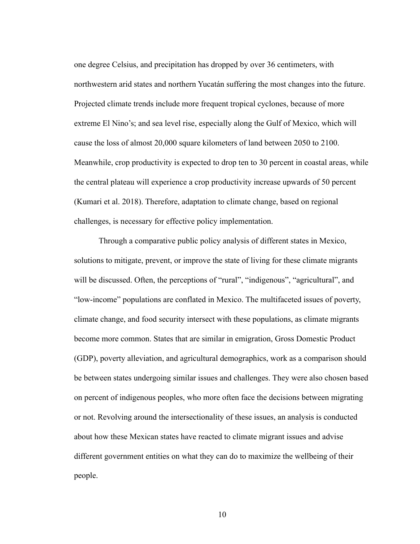one degree Celsius, and precipitation has dropped by over 36 centimeters, with northwestern arid states and northern Yucatán suffering the most changes into the future. Projected climate trends include more frequent tropical cyclones, because of more extreme El Nino's; and sea level rise, especially along the Gulf of Mexico, which will cause the loss of almost 20,000 square kilometers of land between 2050 to 2100. Meanwhile, crop productivity is expected to drop ten to 30 percent in coastal areas, while the central plateau will experience a crop productivity increase upwards of 50 percent (Kumari et al. 2018). Therefore, adaptation to climate change, based on regional challenges, is necessary for effective policy implementation.

Through a comparative public policy analysis of different states in Mexico, solutions to mitigate, prevent, or improve the state of living for these climate migrants will be discussed. Often, the perceptions of "rural", "indigenous", "agricultural", and "low-income" populations are conflated in Mexico. The multifaceted issues of poverty, climate change, and food security intersect with these populations, as climate migrants become more common. States that are similar in emigration, Gross Domestic Product (GDP), poverty alleviation, and agricultural demographics, work as a comparison should be between states undergoing similar issues and challenges. They were also chosen based on percent of indigenous peoples, who more often face the decisions between migrating or not. Revolving around the intersectionality of these issues, an analysis is conducted about how these Mexican states have reacted to climate migrant issues and advise different government entities on what they can do to maximize the wellbeing of their people.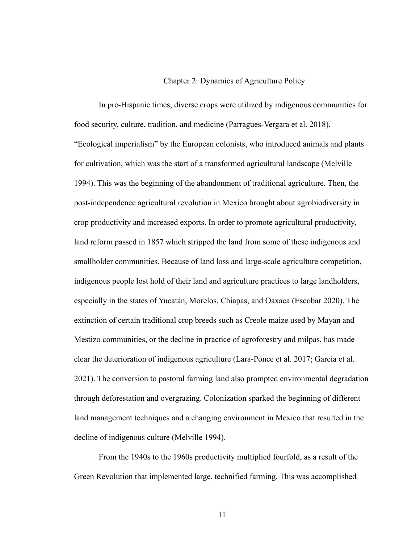#### Chapter 2: Dynamics of Agriculture Policy

In pre-Hispanic times, diverse crops were utilized by indigenous communities for food security, culture, tradition, and medicine (Parragues-Vergara et al. 2018). "Ecological imperialism" by the European colonists, who introduced animals and plants for cultivation, which was the start of a transformed agricultural landscape (Melville 1994). This was the beginning of the abandonment of traditional agriculture. Then, the post-independence agricultural revolution in Mexico brought about agrobiodiversity in crop productivity and increased exports. In order to promote agricultural productivity, land reform passed in 1857 which stripped the land from some of these indigenous and smallholder communities. Because of land loss and large-scale agriculture competition, indigenous people lost hold of their land and agriculture practices to large landholders, especially in the states of Yucatán, Morelos, Chiapas, and Oaxaca (Escobar 2020). The extinction of certain traditional crop breeds such as Creole maize used by Mayan and Mestizo communities, or the decline in practice of agroforestry and milpas, has made clear the deterioration of indigenous agriculture (Lara-Ponce et al. 2017; Garcia et al. 2021). The conversion to pastoral farming land also prompted environmental degradation through deforestation and overgrazing. Colonization sparked the beginning of different land management techniques and a changing environment in Mexico that resulted in the decline of indigenous culture (Melville 1994).

From the 1940s to the 1960s productivity multiplied fourfold, as a result of the Green Revolution that implemented large, technified farming. This was accomplished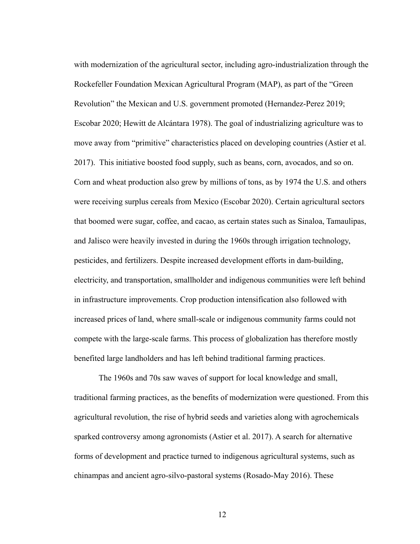with modernization of the agricultural sector, including agro-industrialization through the Rockefeller Foundation Mexican Agricultural Program (MAP), as part of the "Green Revolution" the Mexican and U.S. government promoted (Hernandez-Perez 2019; Escobar 2020; Hewitt de Alcántara 1978). The goal of industrializing agriculture was to move away from "primitive" characteristics placed on developing countries (Astier et al. 2017). This initiative boosted food supply, such as beans, corn, avocados, and so on. Corn and wheat production also grew by millions of tons, as by 1974 the U.S. and others were receiving surplus cereals from Mexico (Escobar 2020). Certain agricultural sectors that boomed were sugar, coffee, and cacao, as certain states such as Sinaloa, Tamaulipas, and Jalisco were heavily invested in during the 1960s through irrigation technology, pesticides, and fertilizers. Despite increased development efforts in dam-building, electricity, and transportation, smallholder and indigenous communities were left behind in infrastructure improvements. Crop production intensification also followed with increased prices of land, where small-scale or indigenous community farms could not compete with the large-scale farms. This process of globalization has therefore mostly benefited large landholders and has left behind traditional farming practices.

The 1960s and 70s saw waves of support for local knowledge and small, traditional farming practices, as the benefits of modernization were questioned. From this agricultural revolution, the rise of hybrid seeds and varieties along with agrochemicals sparked controversy among agronomists (Astier et al. 2017). A search for alternative forms of development and practice turned to indigenous agricultural systems, such as chinampas and ancient agro-silvo-pastoral systems (Rosado-May 2016). These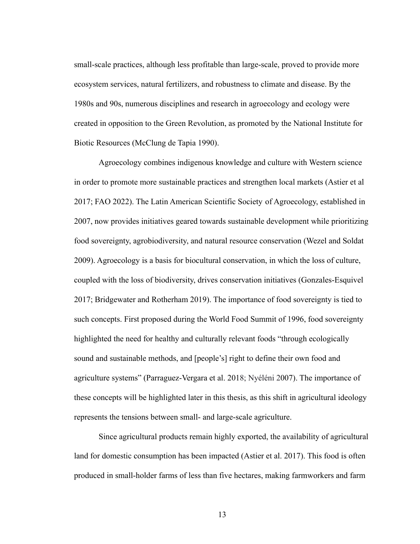small-scale practices, although less profitable than large-scale, proved to provide more ecosystem services, natural fertilizers, and robustness to climate and disease. By the 1980s and 90s, numerous disciplines and research in agroecology and ecology were created in opposition to the Green Revolution, as promoted by the National Institute for Biotic Resources (McClung de Tapia 1990).

Agroecology combines indigenous knowledge and culture with Western science in order to promote more sustainable practices and strengthen local markets (Astier et al 2017; FAO 2022). The Latin American Scientific Society of Agroecology, established in 2007, now provides initiatives geared towards sustainable development while prioritizing food sovereignty, agrobiodiversity, and natural resource conservation (Wezel and Soldat 2009). Agroecology is a basis for biocultural conservation, in which the loss of culture, coupled with the loss of biodiversity, drives conservation initiatives (Gonzales-Esquivel 2017; Bridgewater and Rotherham 2019). The importance of food sovereignty is tied to such concepts. First proposed during the World Food Summit of 1996, food sovereignty highlighted the need for healthy and culturally relevant foods "through ecologically sound and sustainable methods, and [people's] right to define their own food and agriculture systems" (Parraguez-Vergara et al. 2018; Nyéléni 2007). The importance of these concepts will be highlighted later in this thesis, as this shift in agricultural ideology represents the tensions between small- and large-scale agriculture.

Since agricultural products remain highly exported, the availability of agricultural land for domestic consumption has been impacted (Astier et al. 2017). This food is often produced in small-holder farms of less than five hectares, making farmworkers and farm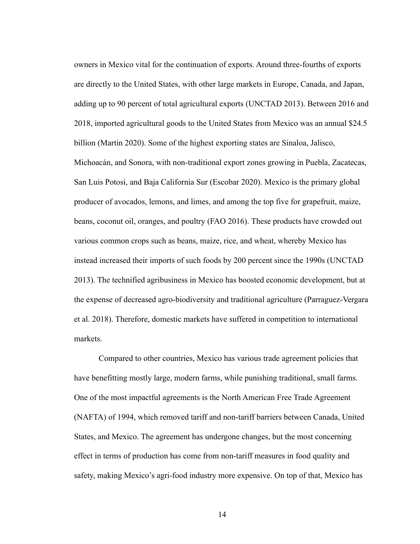owners in Mexico vital for the continuation of exports. Around three-fourths of exports are directly to the United States, with other large markets in Europe, Canada, and Japan, adding up to 90 percent of total agricultural exports (UNCTAD 2013). Between 2016 and 2018, imported agricultural goods to the United States from Mexico was an annual \$24.5 billion (Martin 2020). Some of the highest exporting states are Sinaloa, Jalisco, Michoacán, and Sonora, with non-traditional export zones growing in Puebla, Zacatecas, San Luis Potosi, and Baja California Sur (Escobar 2020). Mexico is the primary global producer of avocados, lemons, and limes, and among the top five for grapefruit, maize, beans, coconut oil, oranges, and poultry (FAO 2016). These products have crowded out various common crops such as beans, maize, rice, and wheat, whereby Mexico has instead increased their imports of such foods by 200 percent since the 1990s (UNCTAD 2013). The technified agribusiness in Mexico has boosted economic development, but at the expense of decreased agro-biodiversity and traditional agriculture (Parraguez-Vergara et al. 2018). Therefore, domestic markets have suffered in competition to international markets.

Compared to other countries, Mexico has various trade agreement policies that have benefitting mostly large, modern farms, while punishing traditional, small farms. One of the most impactful agreements is the North American Free Trade Agreement (NAFTA) of 1994, which removed tariff and non-tariff barriers between Canada, United States, and Mexico. The agreement has undergone changes, but the most concerning effect in terms of production has come from non-tariff measures in food quality and safety, making Mexico's agri-food industry more expensive. On top of that, Mexico has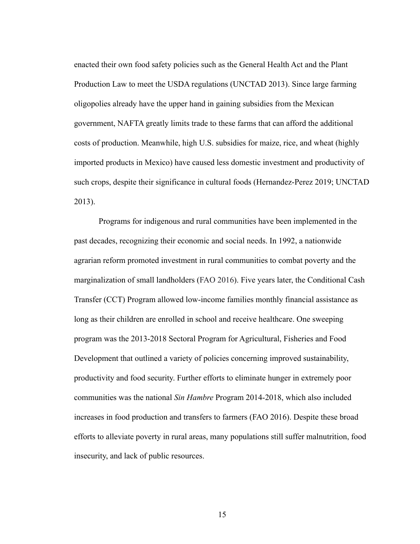enacted their own food safety policies such as the General Health Act and the Plant Production Law to meet the USDA regulations (UNCTAD 2013). Since large farming oligopolies already have the upper hand in gaining subsidies from the Mexican government, NAFTA greatly limits trade to these farms that can afford the additional costs of production. Meanwhile, high U.S. subsidies for maize, rice, and wheat (highly imported products in Mexico) have caused less domestic investment and productivity of such crops, despite their significance in cultural foods (Hernandez-Perez 2019; UNCTAD 2013).

Programs for indigenous and rural communities have been implemented in the past decades, recognizing their economic and social needs. In 1992, a nationwide agrarian reform promoted investment in rural communities to combat poverty and the marginalization of small landholders (FAO 2016). Five years later, the Conditional Cash Transfer (CCT) Program allowed low-income families monthly financial assistance as long as their children are enrolled in school and receive healthcare. One sweeping program was the 2013-2018 Sectoral Program for Agricultural, Fisheries and Food Development that outlined a variety of policies concerning improved sustainability, productivity and food security. Further efforts to eliminate hunger in extremely poor communities was the national *Sin Hambre* Program 2014-2018, which also included increases in food production and transfers to farmers (FAO 2016). Despite these broad efforts to alleviate poverty in rural areas, many populations still suffer malnutrition, food insecurity, and lack of public resources.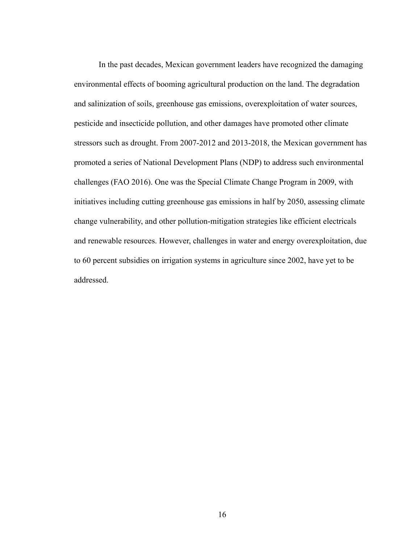In the past decades, Mexican government leaders have recognized the damaging environmental effects of booming agricultural production on the land. The degradation and salinization of soils, greenhouse gas emissions, overexploitation of water sources, pesticide and insecticide pollution, and other damages have promoted other climate stressors such as drought. From 2007-2012 and 2013-2018, the Mexican government has promoted a series of National Development Plans (NDP) to address such environmental challenges (FAO 2016). One was the Special Climate Change Program in 2009, with initiatives including cutting greenhouse gas emissions in half by 2050, assessing climate change vulnerability, and other pollution-mitigation strategies like efficient electricals and renewable resources. However, challenges in water and energy overexploitation, due to 60 percent subsidies on irrigation systems in agriculture since 2002, have yet to be addressed.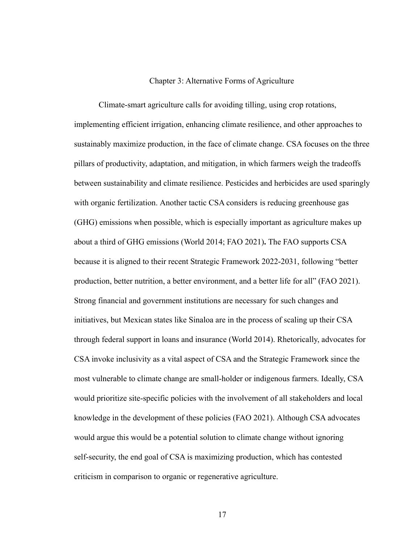#### Chapter 3: Alternative Forms of Agriculture

Climate-smart agriculture calls for avoiding tilling, using crop rotations, implementing efficient irrigation, enhancing climate resilience, and other approaches to sustainably maximize production, in the face of climate change. CSA focuses on the three pillars of productivity, adaptation, and mitigation, in which farmers weigh the tradeoffs between sustainability and climate resilience. Pesticides and herbicides are used sparingly with organic fertilization. Another tactic CSA considers is reducing greenhouse gas (GHG) emissions when possible, which is especially important as agriculture makes up about a third of GHG emissions (World 2014; FAO 2021)**.** The FAO supports CSA because it is aligned to their recent Strategic Framework 2022-2031, following "better production, better nutrition, a better environment, and a better life for all" (FAO 2021). Strong financial and government institutions are necessary for such changes and initiatives, but Mexican states like Sinaloa are in the process of scaling up their CSA through federal support in loans and insurance (World 2014). Rhetorically, advocates for CSA invoke inclusivity as a vital aspect of CSA and the Strategic Framework since the most vulnerable to climate change are small-holder or indigenous farmers. Ideally, CSA would prioritize site-specific policies with the involvement of all stakeholders and local knowledge in the development of these policies (FAO 2021). Although CSA advocates would argue this would be a potential solution to climate change without ignoring self-security, the end goal of CSA is maximizing production, which has contested criticism in comparison to organic or regenerative agriculture.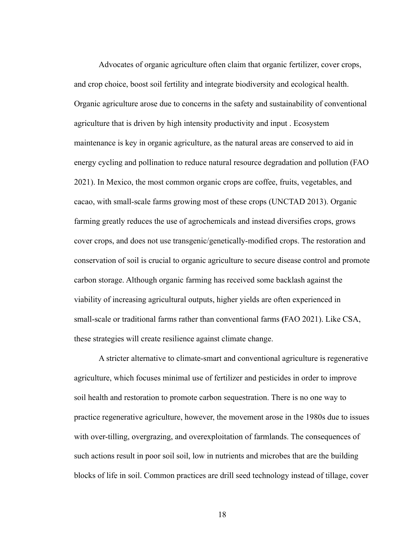Advocates of organic agriculture often claim that organic fertilizer, cover crops, and crop choice, boost soil fertility and integrate biodiversity and ecological health. Organic agriculture arose due to concerns in the safety and sustainability of conventional agriculture that is driven by high intensity productivity and input . Ecosystem maintenance is key in organic agriculture, as the natural areas are conserved to aid in energy cycling and pollination to reduce natural resource degradation and pollution (FAO 2021). In Mexico, the most common organic crops are coffee, fruits, vegetables, and cacao, with small-scale farms growing most of these crops (UNCTAD 2013). Organic farming greatly reduces the use of agrochemicals and instead diversifies crops, grows cover crops, and does not use transgenic/genetically-modified crops. The restoration and conservation of soil is crucial to organic agriculture to secure disease control and promote carbon storage. Although organic farming has received some backlash against the viability of increasing agricultural outputs, higher yields are often experienced in small-scale or traditional farms rather than conventional farms **(**FAO 2021). Like CSA, these strategies will create resilience against climate change.

A stricter alternative to climate-smart and conventional agriculture is regenerative agriculture, which focuses minimal use of fertilizer and pesticides in order to improve soil health and restoration to promote carbon sequestration. There is no one way to practice regenerative agriculture, however, the movement arose in the 1980s due to issues with over-tilling, overgrazing, and overexploitation of farmlands. The consequences of such actions result in poor soil soil, low in nutrients and microbes that are the building blocks of life in soil. Common practices are drill seed technology instead of tillage, cover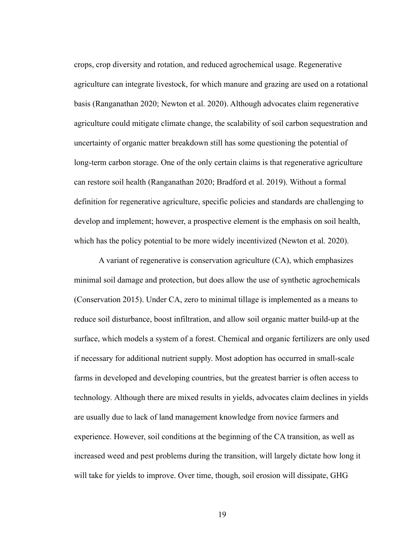crops, crop diversity and rotation, and reduced agrochemical usage. Regenerative agriculture can integrate livestock, for which manure and grazing are used on a rotational basis (Ranganathan 2020; Newton et al. 2020). Although advocates claim regenerative agriculture could mitigate climate change, the scalability of soil carbon sequestration and uncertainty of organic matter breakdown still has some questioning the potential of long-term carbon storage. One of the only certain claims is that regenerative agriculture can restore soil health (Ranganathan 2020; Bradford et al. 2019). Without a formal definition for regenerative agriculture, specific policies and standards are challenging to develop and implement; however, a prospective element is the emphasis on soil health, which has the policy potential to be more widely incentivized (Newton et al. 2020).

A variant of regenerative is conservation agriculture (CA), which emphasizes minimal soil damage and protection, but does allow the use of synthetic agrochemicals (Conservation 2015). Under CA, zero to minimal tillage is implemented as a means to reduce soil disturbance, boost infiltration, and allow soil organic matter build-up at the surface, which models a system of a forest. Chemical and organic fertilizers are only used if necessary for additional nutrient supply. Most adoption has occurred in small-scale farms in developed and developing countries, but the greatest barrier is often access to technology. Although there are mixed results in yields, advocates claim declines in yields are usually due to lack of land management knowledge from novice farmers and experience. However, soil conditions at the beginning of the CA transition, as well as increased weed and pest problems during the transition, will largely dictate how long it will take for yields to improve. Over time, though, soil erosion will dissipate, GHG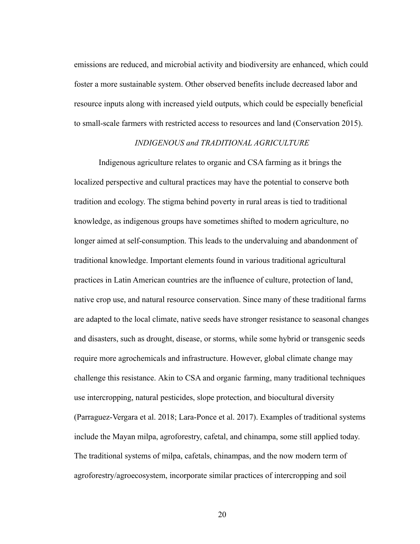emissions are reduced, and microbial activity and biodiversity are enhanced, which could foster a more sustainable system. Other observed benefits include decreased labor and resource inputs along with increased yield outputs, which could be especially beneficial to small-scale farmers with restricted access to resources and land (Conservation 2015).

#### *INDIGENOUS and TRADITIONAL AGRICULTURE*

Indigenous agriculture relates to organic and CSA farming as it brings the localized perspective and cultural practices may have the potential to conserve both tradition and ecology. The stigma behind poverty in rural areas is tied to traditional knowledge, as indigenous groups have sometimes shifted to modern agriculture, no longer aimed at self-consumption. This leads to the undervaluing and abandonment of traditional knowledge. Important elements found in various traditional agricultural practices in Latin American countries are the influence of culture, protection of land, native crop use, and natural resource conservation. Since many of these traditional farms are adapted to the local climate, native seeds have stronger resistance to seasonal changes and disasters, such as drought, disease, or storms, while some hybrid or transgenic seeds require more agrochemicals and infrastructure. However, global climate change may challenge this resistance. Akin to CSA and organic farming, many traditional techniques use intercropping, natural pesticides, slope protection, and biocultural diversity (Parraguez-Vergara et al. 2018; Lara-Ponce et al. 2017). Examples of traditional systems include the Mayan milpa, agroforestry, cafetal, and chinampa, some still applied today. The traditional systems of milpa, cafetals, chinampas, and the now modern term of agroforestry/agroecosystem, incorporate similar practices of intercropping and soil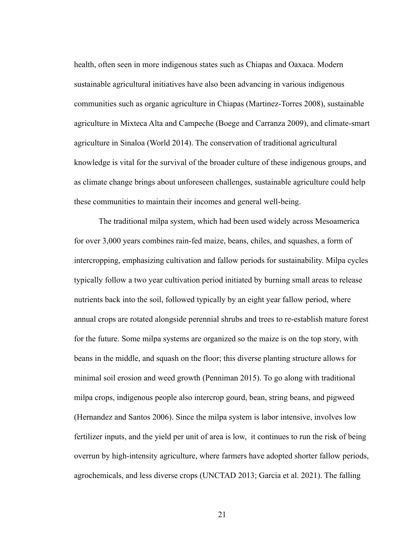health, often seen in more indigenous states such as Chiapas and Oaxaca. Modern sustainable agricultural initiatives have also been advancing in various indigenous communities such as organic agriculture in Chiapas (Martinez-Torres 2008), sustainable agriculture in Mixteca Alta and Campeche (Boege and Carranza 2009), and climate-smart agriculture in Sinaloa (World 2014). The conservation of traditional agricultural knowledge is vital for the survival of the broader culture of these indigenous groups, and as climate change brings about unforeseen challenges, sustainable agriculture could help these communities to maintain their incomes and general well-being.

The traditional milpa system, which had been used widely across Mesoamerica for over 3,000 years combines rain-fed maize, beans, chiles, and squashes, a form of intercropping, emphasizing cultivation and fallow periods for sustainability. Milpa cycles typically follow a two year cultivation period initiated by burning small areas to release nutrients back into the soil, followed typically by an eight year fallow period, where annual crops are rotated alongside perennial shrubs and trees to re-establish mature forest for the future. Some milpa systems are organized so the maize is on the top story, with beans in the middle, and squash on the floor; this diverse planting structure allows for minimal soil erosion and weed growth (Penniman 2015). To go along with traditional milpa crops, indigenous people also intercrop gourd, bean, string beans, and pigweed (Hernandez and Santos 2006). Since the milpa system is labor intensive, involves low fertilizer inputs, and the yield per unit of area is low, it continues to run the risk of being overrun by high-intensity agriculture, where farmers have adopted shorter fallow periods, agrochemicals, and less diverse crops (UNCTAD 2013; Garcia et al. 2021). The falling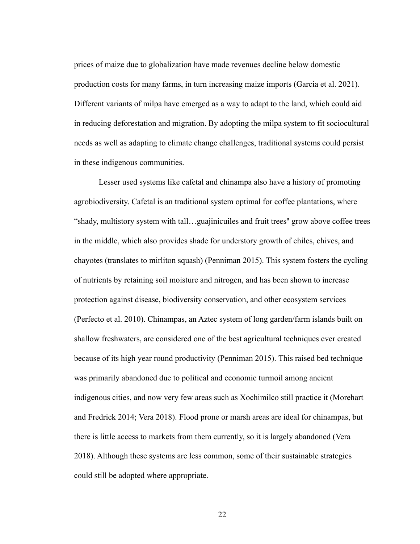prices of maize due to globalization have made revenues decline below domestic production costs for many farms, in turn increasing maize imports (Garcia et al. 2021). Different variants of milpa have emerged as a way to adapt to the land, which could aid in reducing deforestation and migration. By adopting the milpa system to fit sociocultural needs as well as adapting to climate change challenges, traditional systems could persist in these indigenous communities.

Lesser used systems like cafetal and chinampa also have a history of promoting agrobiodiversity. Cafetal is an traditional system optimal for coffee plantations, where "shady, multistory system with tall…guajinicuiles and fruit trees'' grow above coffee trees in the middle, which also provides shade for understory growth of chiles, chives, and chayotes (translates to mirliton squash) (Penniman 2015). This system fosters the cycling of nutrients by retaining soil moisture and nitrogen, and has been shown to increase protection against disease, biodiversity conservation, and other ecosystem services (Perfecto et al. 2010). Chinampas, an Aztec system of long garden/farm islands built on shallow freshwaters, are considered one of the best agricultural techniques ever created because of its high year round productivity (Penniman 2015). This raised bed technique was primarily abandoned due to political and economic turmoil among ancient indigenous cities, and now very few areas such as Xochimilco still practice it (Morehart and Fredrick 2014; Vera 2018). Flood prone or marsh areas are ideal for chinampas, but there is little access to markets from them currently, so it is largely abandoned (Vera 2018). Although these systems are less common, some of their sustainable strategies could still be adopted where appropriate.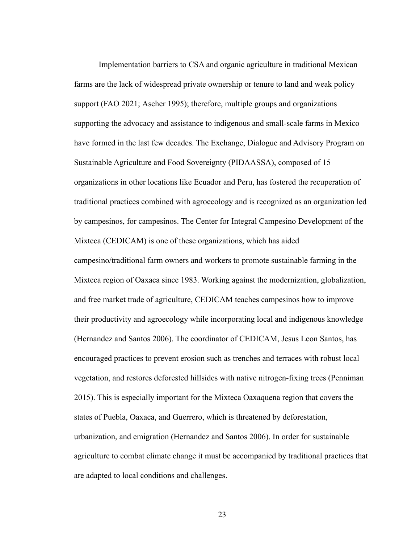Implementation barriers to CSA and organic agriculture in traditional Mexican farms are the lack of widespread private ownership or tenure to land and weak policy support (FAO 2021; Ascher 1995); therefore, multiple groups and organizations supporting the advocacy and assistance to indigenous and small-scale farms in Mexico have formed in the last few decades. The Exchange, Dialogue and Advisory Program on Sustainable Agriculture and Food Sovereignty (PIDAASSA), composed of 15 organizations in other locations like Ecuador and Peru, has fostered the recuperation of traditional practices combined with agroecology and is recognized as an organization led by campesinos, for campesinos. The Center for Integral Campesino Development of the Mixteca (CEDICAM) is one of these organizations, which has aided campesino/traditional farm owners and workers to promote sustainable farming in the Mixteca region of Oaxaca since 1983. Working against the modernization, globalization, and free market trade of agriculture, CEDICAM teaches campesinos how to improve their productivity and agroecology while incorporating local and indigenous knowledge (Hernandez and Santos 2006). The coordinator of CEDICAM, Jesus Leon Santos, has encouraged practices to prevent erosion such as trenches and terraces with robust local vegetation, and restores deforested hillsides with native nitrogen-fixing trees (Penniman 2015). This is especially important for the Mixteca Oaxaquena region that covers the states of Puebla, Oaxaca, and Guerrero, which is threatened by deforestation, urbanization, and emigration (Hernandez and Santos 2006). In order for sustainable agriculture to combat climate change it must be accompanied by traditional practices that are adapted to local conditions and challenges.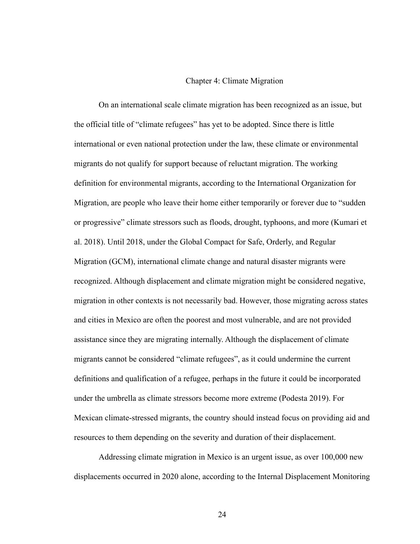#### Chapter 4: Climate Migration

On an international scale climate migration has been recognized as an issue, but the official title of "climate refugees" has yet to be adopted. Since there is little international or even national protection under the law, these climate or environmental migrants do not qualify for support because of reluctant migration. The working definition for environmental migrants, according to the International Organization for Migration, are people who leave their home either temporarily or forever due to "sudden or progressive" climate stressors such as floods, drought, typhoons, and more (Kumari et al. 2018). Until 2018, under the Global Compact for Safe, Orderly, and Regular Migration (GCM), international climate change and natural disaster migrants were recognized. Although displacement and climate migration might be considered negative, migration in other contexts is not necessarily bad. However, those migrating across states and cities in Mexico are often the poorest and most vulnerable, and are not provided assistance since they are migrating internally. Although the displacement of climate migrants cannot be considered "climate refugees", as it could undermine the current definitions and qualification of a refugee, perhaps in the future it could be incorporated under the umbrella as climate stressors become more extreme (Podesta 2019). For Mexican climate-stressed migrants, the country should instead focus on providing aid and resources to them depending on the severity and duration of their displacement.

Addressing climate migration in Mexico is an urgent issue, as over 100,000 new displacements occurred in 2020 alone, according to the Internal Displacement Monitoring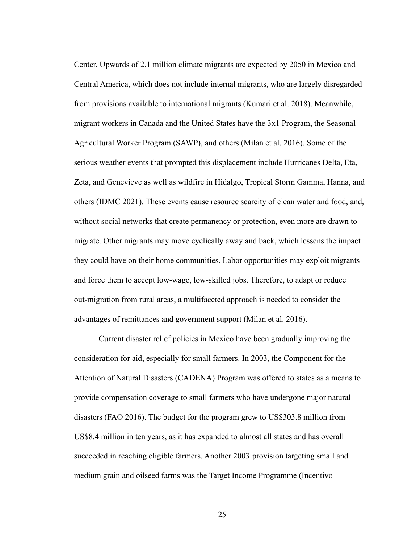Center. Upwards of 2.1 million climate migrants are expected by 2050 in Mexico and Central America, which does not include internal migrants, who are largely disregarded from provisions available to international migrants (Kumari et al. 2018). Meanwhile, migrant workers in Canada and the United States have the 3x1 Program, the Seasonal Agricultural Worker Program (SAWP), and others (Milan et al. 2016). Some of the serious weather events that prompted this displacement include Hurricanes Delta, Eta, Zeta, and Genevieve as well as wildfire in Hidalgo, Tropical Storm Gamma, Hanna, and others (IDMC 2021). These events cause resource scarcity of clean water and food, and, without social networks that create permanency or protection, even more are drawn to migrate. Other migrants may move cyclically away and back, which lessens the impact they could have on their home communities. Labor opportunities may exploit migrants and force them to accept low-wage, low-skilled jobs. Therefore, to adapt or reduce out-migration from rural areas, a multifaceted approach is needed to consider the advantages of remittances and government support (Milan et al. 2016).

Current disaster relief policies in Mexico have been gradually improving the consideration for aid, especially for small farmers. In 2003, the Component for the Attention of Natural Disasters (CADENA) Program was offered to states as a means to provide compensation coverage to small farmers who have undergone major natural disasters (FAO 2016). The budget for the program grew to US\$303.8 million from US\$8.4 million in ten years, as it has expanded to almost all states and has overall succeeded in reaching eligible farmers. Another 2003 provision targeting small and medium grain and oilseed farms was the Target Income Programme (Incentivo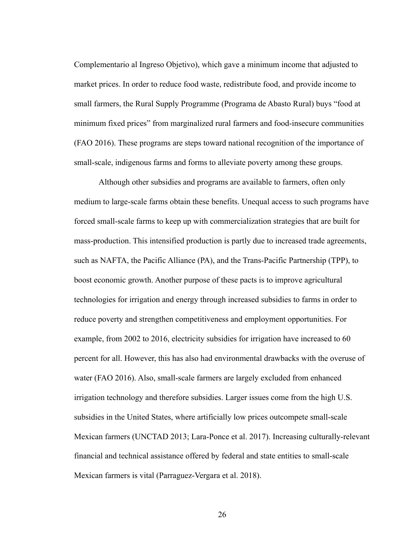Complementario al Ingreso Objetivo), which gave a minimum income that adjusted to market prices. In order to reduce food waste, redistribute food, and provide income to small farmers, the Rural Supply Programme (Programa de Abasto Rural) buys "food at minimum fixed prices" from marginalized rural farmers and food-insecure communities (FAO 2016). These programs are steps toward national recognition of the importance of small-scale, indigenous farms and forms to alleviate poverty among these groups.

Although other subsidies and programs are available to farmers, often only medium to large-scale farms obtain these benefits. Unequal access to such programs have forced small-scale farms to keep up with commercialization strategies that are built for mass-production. This intensified production is partly due to increased trade agreements, such as NAFTA, the Pacific Alliance (PA), and the Trans-Pacific Partnership (TPP), to boost economic growth. Another purpose of these pacts is to improve agricultural technologies for irrigation and energy through increased subsidies to farms in order to reduce poverty and strengthen competitiveness and employment opportunities. For example, from 2002 to 2016, electricity subsidies for irrigation have increased to 60 percent for all. However, this has also had environmental drawbacks with the overuse of water (FAO 2016). Also, small-scale farmers are largely excluded from enhanced irrigation technology and therefore subsidies. Larger issues come from the high U.S. subsidies in the United States, where artificially low prices outcompete small-scale Mexican farmers (UNCTAD 2013; Lara-Ponce et al. 2017). Increasing culturally-relevant financial and technical assistance offered by federal and state entities to small-scale Mexican farmers is vital (Parraguez-Vergara et al. 2018).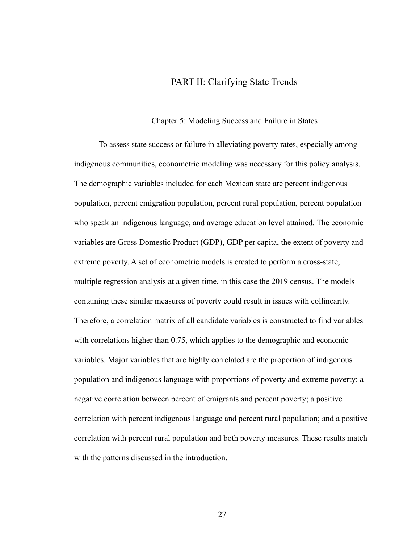### PART II: Clarifying State Trends

#### Chapter 5: Modeling Success and Failure in States

To assess state success or failure in alleviating poverty rates, especially among indigenous communities, econometric modeling was necessary for this policy analysis. The demographic variables included for each Mexican state are percent indigenous population, percent emigration population, percent rural population, percent population who speak an indigenous language, and average education level attained. The economic variables are Gross Domestic Product (GDP), GDP per capita, the extent of poverty and extreme poverty. A set of econometric models is created to perform a cross-state, multiple regression analysis at a given time, in this case the 2019 census. The models containing these similar measures of poverty could result in issues with collinearity. Therefore, a correlation matrix of all candidate variables is constructed to find variables with correlations higher than 0.75, which applies to the demographic and economic variables. Major variables that are highly correlated are the proportion of indigenous population and indigenous language with proportions of poverty and extreme poverty: a negative correlation between percent of emigrants and percent poverty; a positive correlation with percent indigenous language and percent rural population; and a positive correlation with percent rural population and both poverty measures. These results match with the patterns discussed in the introduction.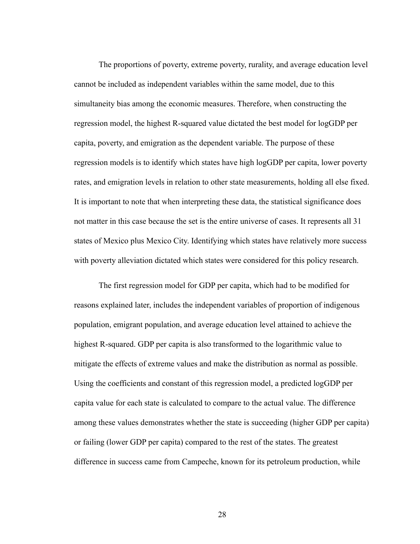The proportions of poverty, extreme poverty, rurality, and average education level cannot be included as independent variables within the same model, due to this simultaneity bias among the economic measures. Therefore, when constructing the regression model, the highest R-squared value dictated the best model for logGDP per capita, poverty, and emigration as the dependent variable. The purpose of these regression models is to identify which states have high logGDP per capita, lower poverty rates, and emigration levels in relation to other state measurements, holding all else fixed. It is important to note that when interpreting these data, the statistical significance does not matter in this case because the set is the entire universe of cases. It represents all 31 states of Mexico plus Mexico City. Identifying which states have relatively more success with poverty alleviation dictated which states were considered for this policy research.

The first regression model for GDP per capita, which had to be modified for reasons explained later, includes the independent variables of proportion of indigenous population, emigrant population, and average education level attained to achieve the highest R-squared. GDP per capita is also transformed to the logarithmic value to mitigate the effects of extreme values and make the distribution as normal as possible. Using the coefficients and constant of this regression model, a predicted logGDP per capita value for each state is calculated to compare to the actual value. The difference among these values demonstrates whether the state is succeeding (higher GDP per capita) or failing (lower GDP per capita) compared to the rest of the states. The greatest difference in success came from Campeche, known for its petroleum production, while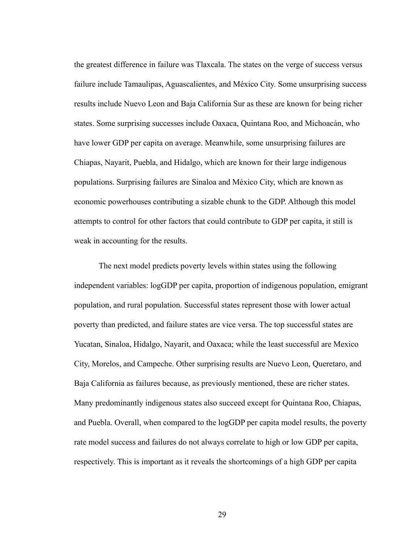the greatest difference in failure was Tlaxcala. The states on the verge of success versus failure include Tamaulipas, Aguascalientes, and México City. Some unsurprising success results include Nuevo Leon and Baja California Sur as these are known for being richer states. Some surprising successes include Oaxaca, Quintana Roo, and Michoacán, who have lower GDP per capita on average. Meanwhile, some unsurprising failures are Chiapas, Nayarit, Puebla, and Hidalgo, which are known for their large indigenous populations. Surprising failures are Sinaloa and México City, which are known as economic powerhouses contributing a sizable chunk to the GDP. Although this model attempts to control for other factors that could contribute to GDP per capita, it still is weak in accounting for the results.

The next model predicts poverty levels within states using the following independent variables: logGDP per capita, proportion of indigenous population, emigrant population, and rural population. Successful states represent those with lower actual poverty than predicted, and failure states are vice versa. The top successful states are Yucatan, Sinaloa, Hidalgo, Nayarit, and Oaxaca; while the least successful are Mexico City, Morelos, and Campeche. Other surprising results are Nuevo Leon, Queretaro, and Baja California as failures because, as previously mentioned, these are richer states. Many predominantly indigenous states also succeed except for Quintana Roo, Chiapas, and Puebla. Overall, when compared to the logGDP per capita model results, the poverty rate model success and failures do not always correlate to high or low GDP per capita, respectively. This is important as it reveals the shortcomings of a high GDP per capita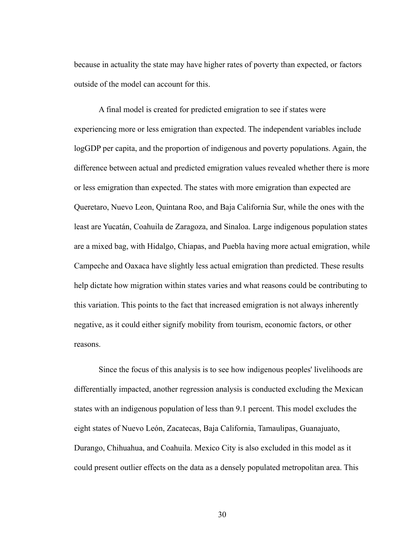because in actuality the state may have higher rates of poverty than expected, or factors outside of the model can account for this.

A final model is created for predicted emigration to see if states were experiencing more or less emigration than expected. The independent variables include logGDP per capita, and the proportion of indigenous and poverty populations. Again, the difference between actual and predicted emigration values revealed whether there is more or less emigration than expected. The states with more emigration than expected are Queretaro, Nuevo Leon, Quintana Roo, and Baja California Sur, while the ones with the least are Yucatán, Coahuila de Zaragoza, and Sinaloa. Large indigenous population states are a mixed bag, with Hidalgo, Chiapas, and Puebla having more actual emigration, while Campeche and Oaxaca have slightly less actual emigration than predicted. These results help dictate how migration within states varies and what reasons could be contributing to this variation. This points to the fact that increased emigration is not always inherently negative, as it could either signify mobility from tourism, economic factors, or other reasons.

Since the focus of this analysis is to see how indigenous peoples' livelihoods are differentially impacted, another regression analysis is conducted excluding the Mexican states with an indigenous population of less than 9.1 percent. This model excludes the eight states of Nuevo León, Zacatecas, Baja California, Tamaulipas, Guanajuato, Durango, Chihuahua, and Coahuila. Mexico City is also excluded in this model as it could present outlier effects on the data as a densely populated metropolitan area. This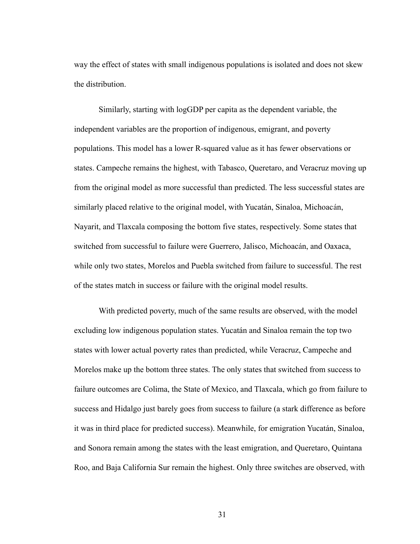way the effect of states with small indigenous populations is isolated and does not skew the distribution.

Similarly, starting with logGDP per capita as the dependent variable, the independent variables are the proportion of indigenous, emigrant, and poverty populations. This model has a lower R-squared value as it has fewer observations or states. Campeche remains the highest, with Tabasco, Queretaro, and Veracruz moving up from the original model as more successful than predicted. The less successful states are similarly placed relative to the original model, with Yucatán, Sinaloa, Michoacán, Nayarit, and Tlaxcala composing the bottom five states, respectively. Some states that switched from successful to failure were Guerrero, Jalisco, Michoacán, and Oaxaca, while only two states, Morelos and Puebla switched from failure to successful. The rest of the states match in success or failure with the original model results.

With predicted poverty, much of the same results are observed, with the model excluding low indigenous population states. Yucatán and Sinaloa remain the top two states with lower actual poverty rates than predicted, while Veracruz, Campeche and Morelos make up the bottom three states. The only states that switched from success to failure outcomes are Colima, the State of Mexico, and Tlaxcala, which go from failure to success and Hidalgo just barely goes from success to failure (a stark difference as before it was in third place for predicted success). Meanwhile, for emigration Yucatán, Sinaloa, and Sonora remain among the states with the least emigration, and Queretaro, Quintana Roo, and Baja California Sur remain the highest. Only three switches are observed, with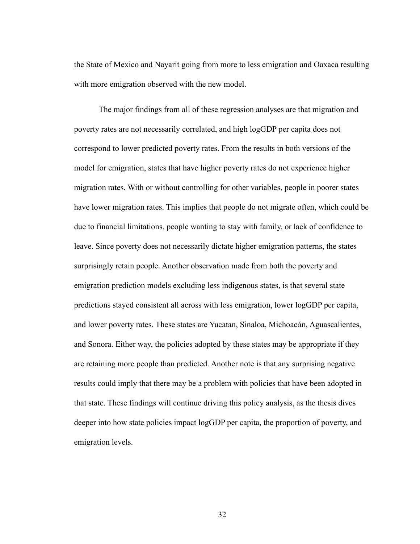the State of Mexico and Nayarit going from more to less emigration and Oaxaca resulting with more emigration observed with the new model.

The major findings from all of these regression analyses are that migration and poverty rates are not necessarily correlated, and high logGDP per capita does not correspond to lower predicted poverty rates. From the results in both versions of the model for emigration, states that have higher poverty rates do not experience higher migration rates. With or without controlling for other variables, people in poorer states have lower migration rates. This implies that people do not migrate often, which could be due to financial limitations, people wanting to stay with family, or lack of confidence to leave. Since poverty does not necessarily dictate higher emigration patterns, the states surprisingly retain people. Another observation made from both the poverty and emigration prediction models excluding less indigenous states, is that several state predictions stayed consistent all across with less emigration, lower logGDP per capita, and lower poverty rates. These states are Yucatan, Sinaloa, Michoacán, Aguascalientes, and Sonora. Either way, the policies adopted by these states may be appropriate if they are retaining more people than predicted. Another note is that any surprising negative results could imply that there may be a problem with policies that have been adopted in that state. These findings will continue driving this policy analysis, as the thesis dives deeper into how state policies impact logGDP per capita, the proportion of poverty, and emigration levels.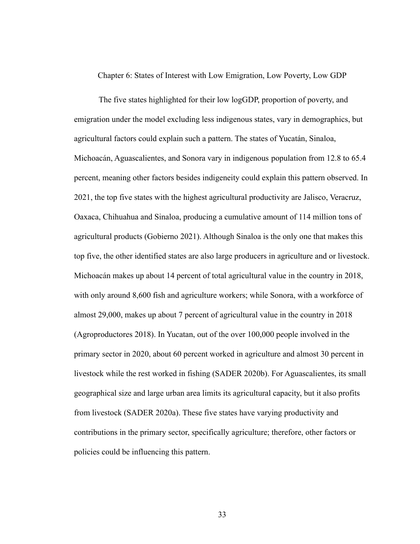Chapter 6: States of Interest with Low Emigration, Low Poverty, Low GDP

The five states highlighted for their low logGDP, proportion of poverty, and emigration under the model excluding less indigenous states, vary in demographics, but agricultural factors could explain such a pattern. The states of Yucatán, Sinaloa, Michoacán, Aguascalientes, and Sonora vary in indigenous population from 12.8 to 65.4 percent, meaning other factors besides indigeneity could explain this pattern observed. In 2021, the top five states with the highest agricultural productivity are Jalisco, Veracruz, Oaxaca, Chihuahua and Sinaloa, producing a cumulative amount of 114 million tons of agricultural products (Gobierno 2021). Although Sinaloa is the only one that makes this top five, the other identified states are also large producers in agriculture and or livestock. Michoacán makes up about 14 percent of total agricultural value in the country in 2018, with only around 8,600 fish and agriculture workers; while Sonora, with a workforce of almost 29,000, makes up about 7 percent of agricultural value in the country in 2018 (Agroproductores 2018). In Yucatan, out of the over 100,000 people involved in the primary sector in 2020, about 60 percent worked in agriculture and almost 30 percent in livestock while the rest worked in fishing (SADER 2020b). For Aguascalientes, its small geographical size and large urban area limits its agricultural capacity, but it also profits from livestock (SADER 2020a). These five states have varying productivity and contributions in the primary sector, specifically agriculture; therefore, other factors or policies could be influencing this pattern.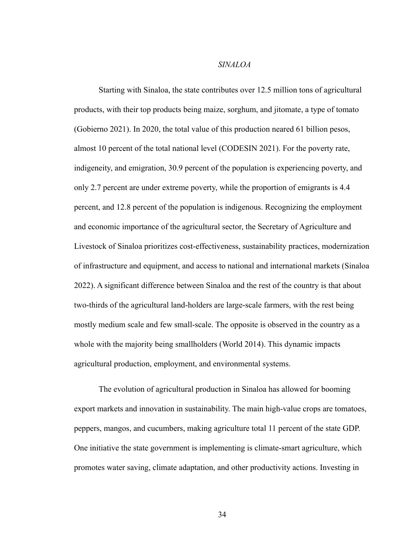### *SINALOA*

Starting with Sinaloa, the state contributes over 12.5 million tons of agricultural products, with their top products being maize, sorghum, and jitomate, a type of tomato (Gobierno 2021). In 2020, the total value of this production neared 61 billion pesos, almost 10 percent of the total national level (CODESIN 2021). For the poverty rate, indigeneity, and emigration, 30.9 percent of the population is experiencing poverty, and only 2.7 percent are under extreme poverty, while the proportion of emigrants is 4.4 percent, and 12.8 percent of the population is indigenous. Recognizing the employment and economic importance of the agricultural sector, the Secretary of Agriculture and Livestock of Sinaloa prioritizes cost-effectiveness, sustainability practices, modernization of infrastructure and equipment, and access to national and international markets (Sinaloa 2022). A significant difference between Sinaloa and the rest of the country is that about two-thirds of the agricultural land-holders are large-scale farmers, with the rest being mostly medium scale and few small-scale. The opposite is observed in the country as a whole with the majority being smallholders (World 2014). This dynamic impacts agricultural production, employment, and environmental systems.

The evolution of agricultural production in Sinaloa has allowed for booming export markets and innovation in sustainability. The main high-value crops are tomatoes, peppers, mangos, and cucumbers, making agriculture total 11 percent of the state GDP. One initiative the state government is implementing is climate-smart agriculture, which promotes water saving, climate adaptation, and other productivity actions. Investing in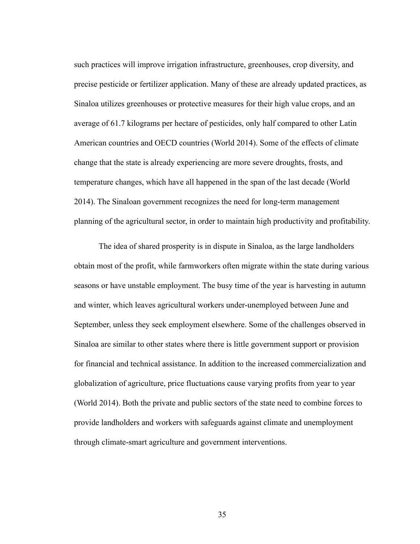such practices will improve irrigation infrastructure, greenhouses, crop diversity, and precise pesticide or fertilizer application. Many of these are already updated practices, as Sinaloa utilizes greenhouses or protective measures for their high value crops, and an average of 61.7 kilograms per hectare of pesticides, only half compared to other Latin American countries and OECD countries (World 2014). Some of the effects of climate change that the state is already experiencing are more severe droughts, frosts, and temperature changes, which have all happened in the span of the last decade (World 2014). The Sinaloan government recognizes the need for long-term management planning of the agricultural sector, in order to maintain high productivity and profitability.

The idea of shared prosperity is in dispute in Sinaloa, as the large landholders obtain most of the profit, while farmworkers often migrate within the state during various seasons or have unstable employment. The busy time of the year is harvesting in autumn and winter, which leaves agricultural workers under-unemployed between June and September, unless they seek employment elsewhere. Some of the challenges observed in Sinaloa are similar to other states where there is little government support or provision for financial and technical assistance. In addition to the increased commercialization and globalization of agriculture, price fluctuations cause varying profits from year to year (World 2014). Both the private and public sectors of the state need to combine forces to provide landholders and workers with safeguards against climate and unemployment through climate-smart agriculture and government interventions.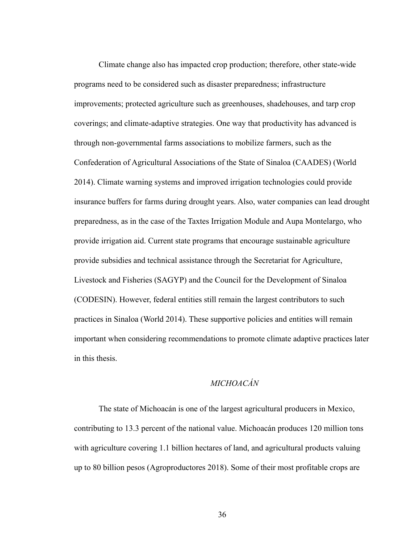Climate change also has impacted crop production; therefore, other state-wide programs need to be considered such as disaster preparedness; infrastructure improvements; protected agriculture such as greenhouses, shadehouses, and tarp crop coverings; and climate-adaptive strategies. One way that productivity has advanced is through non-governmental farms associations to mobilize farmers, such as the Confederation of Agricultural Associations of the State of Sinaloa (CAADES) (World 2014). Climate warning systems and improved irrigation technologies could provide insurance buffers for farms during drought years. Also, water companies can lead drought preparedness, as in the case of the Taxtes Irrigation Module and Aupa Montelargo, who provide irrigation aid. Current state programs that encourage sustainable agriculture provide subsidies and technical assistance through the Secretariat for Agriculture, Livestock and Fisheries (SAGYP) and the Council for the Development of Sinaloa (CODESIN). However, federal entities still remain the largest contributors to such practices in Sinaloa (World 2014). These supportive policies and entities will remain important when considering recommendations to promote climate adaptive practices later in this thesis.

# *MICHOACÁN*

The state of Michoacán is one of the largest agricultural producers in Mexico, contributing to 13.3 percent of the national value. Michoacán produces 120 million tons with agriculture covering 1.1 billion hectares of land, and agricultural products valuing up to 80 billion pesos (Agroproductores 2018). Some of their most profitable crops are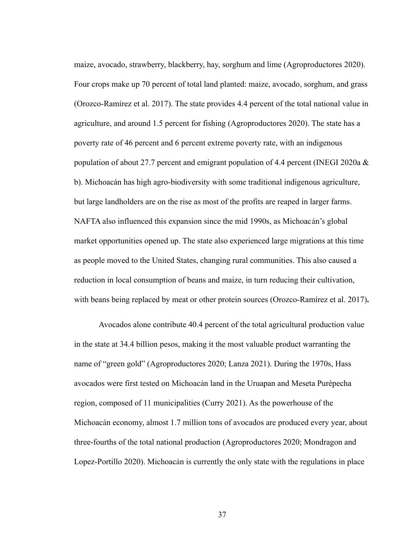maize, avocado, strawberry, blackberry, hay, sorghum and lime (Agroproductores 2020). Four crops make up 70 percent of total land planted: maize, avocado, sorghum, and grass (Orozco-Ramírez et al. 2017). The state provides 4.4 percent of the total national value in agriculture, and around 1.5 percent for fishing (Agroproductores 2020). The state has a poverty rate of 46 percent and 6 percent extreme poverty rate, with an indigenous population of about 27.7 percent and emigrant population of 4.4 percent (INEGI 2020a  $\&$ b). Michoacán has high agro-biodiversity with some traditional indigenous agriculture, but large landholders are on the rise as most of the profits are reaped in larger farms. NAFTA also influenced this expansion since the mid 1990s, as Michoacán's global market opportunities opened up. The state also experienced large migrations at this time as people moved to the United States, changing rural communities. This also caused a reduction in local consumption of beans and maize, in turn reducing their cultivation, with beans being replaced by meat or other protein sources (Orozco-Ramírez et al. 2017)**.**

Avocados alone contribute 40.4 percent of the total agricultural production value in the state at 34.4 billion pesos, making it the most valuable product warranting the name of "green gold" (Agroproductores 2020; Lanza 2021). During the 1970s, Hass avocados were first tested on Michoacán land in the Uruapan and Meseta Purépecha region, composed of 11 municipalities (Curry 2021). As the powerhouse of the Michoacán economy, almost 1.7 million tons of avocados are produced every year, about three-fourths of the total national production (Agroproductores 2020; Mondragon and Lopez-Portillo 2020). Michoacán is currently the only state with the regulations in place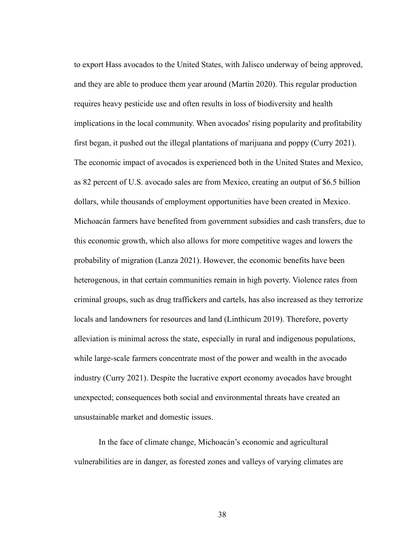to export Hass avocados to the United States, with Jalisco underway of being approved, and they are able to produce them year around (Martin 2020). This regular production requires heavy pesticide use and often results in loss of biodiversity and health implications in the local community. When avocados' rising popularity and profitability first began, it pushed out the illegal plantations of marijuana and poppy (Curry 2021). The economic impact of avocados is experienced both in the United States and Mexico, as 82 percent of U.S. avocado sales are from Mexico, creating an output of \$6.5 billion dollars, while thousands of employment opportunities have been created in Mexico. Michoacán farmers have benefited from government subsidies and cash transfers, due to this economic growth, which also allows for more competitive wages and lowers the probability of migration (Lanza 2021). However, the economic benefits have been heterogenous, in that certain communities remain in high poverty. Violence rates from criminal groups, such as drug traffickers and cartels, has also increased as they terrorize locals and landowners for resources and land (Linthicum 2019). Therefore, poverty alleviation is minimal across the state, especially in rural and indigenous populations, while large-scale farmers concentrate most of the power and wealth in the avocado industry (Curry 2021). Despite the lucrative export economy avocados have brought unexpected; consequences both social and environmental threats have created an unsustainable market and domestic issues.

In the face of climate change, Michoacán's economic and agricultural vulnerabilities are in danger, as forested zones and valleys of varying climates are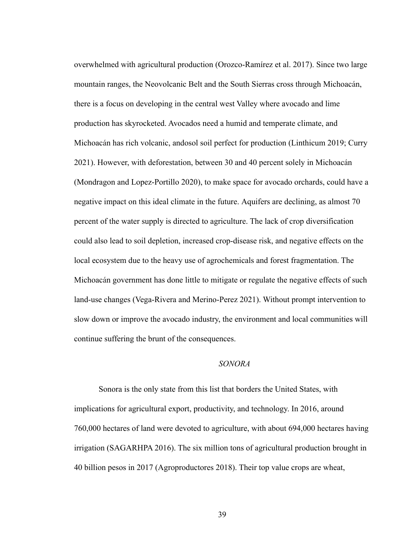overwhelmed with agricultural production (Orozco-Ramírez et al. 2017). Since two large mountain ranges, the Neovolcanic Belt and the South Sierras cross through Michoacán, there is a focus on developing in the central west Valley where avocado and lime production has skyrocketed. Avocados need a humid and temperate climate, and Michoacán has rich volcanic, andosol soil perfect for production (Linthicum 2019; Curry 2021). However, with deforestation, between 30 and 40 percent solely in Michoacán (Mondragon and Lopez-Portillo 2020), to make space for avocado orchards, could have a negative impact on this ideal climate in the future. Aquifers are declining, as almost 70 percent of the water supply is directed to agriculture. The lack of crop diversification could also lead to soil depletion, increased crop-disease risk, and negative effects on the local ecosystem due to the heavy use of agrochemicals and forest fragmentation. The Michoacán government has done little to mitigate or regulate the negative effects of such land-use changes (Vega-Rivera and Merino-Perez 2021). Without prompt intervention to slow down or improve the avocado industry, the environment and local communities will continue suffering the brunt of the consequences.

### *SONORA*

Sonora is the only state from this list that borders the United States, with implications for agricultural export, productivity, and technology. In 2016, around 760,000 hectares of land were devoted to agriculture, with about 694,000 hectares having irrigation (SAGARHPA 2016). The six million tons of agricultural production brought in 40 billion pesos in 2017 (Agroproductores 2018). Their top value crops are wheat,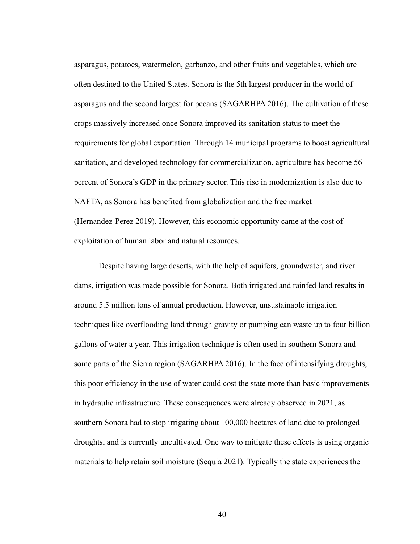asparagus, potatoes, watermelon, garbanzo, and other fruits and vegetables, which are often destined to the United States. Sonora is the 5th largest producer in the world of asparagus and the second largest for pecans (SAGARHPA 2016). The cultivation of these crops massively increased once Sonora improved its sanitation status to meet the requirements for global exportation. Through 14 municipal programs to boost agricultural sanitation, and developed technology for commercialization, agriculture has become 56 percent of Sonora's GDP in the primary sector. This rise in modernization is also due to NAFTA, as Sonora has benefited from globalization and the free market (Hernandez-Perez 2019). However, this economic opportunity came at the cost of exploitation of human labor and natural resources.

Despite having large deserts, with the help of aquifers, groundwater, and river dams, irrigation was made possible for Sonora. Both irrigated and rainfed land results in around 5.5 million tons of annual production. However, unsustainable irrigation techniques like overflooding land through gravity or pumping can waste up to four billion gallons of water a year. This irrigation technique is often used in southern Sonora and some parts of the Sierra region (SAGARHPA 2016). In the face of intensifying droughts, this poor efficiency in the use of water could cost the state more than basic improvements in hydraulic infrastructure. These consequences were already observed in 2021, as southern Sonora had to stop irrigating about 100,000 hectares of land due to prolonged droughts, and is currently uncultivated. One way to mitigate these effects is using organic materials to help retain soil moisture (Sequia 2021). Typically the state experiences the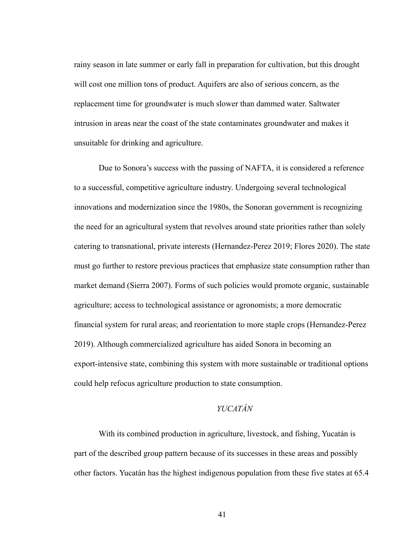rainy season in late summer or early fall in preparation for cultivation, but this drought will cost one million tons of product. Aquifers are also of serious concern, as the replacement time for groundwater is much slower than dammed water. Saltwater intrusion in areas near the coast of the state contaminates groundwater and makes it unsuitable for drinking and agriculture.

Due to Sonora's success with the passing of NAFTA, it is considered a reference to a successful, competitive agriculture industry. Undergoing several technological innovations and modernization since the 1980s, the Sonoran government is recognizing the need for an agricultural system that revolves around state priorities rather than solely catering to transnational, private interests (Hernandez-Perez 2019; Flores 2020). The state must go further to restore previous practices that emphasize state consumption rather than market demand (Sierra 2007). Forms of such policies would promote organic, sustainable agriculture; access to technological assistance or agronomists; a more democratic financial system for rural areas; and reorientation to more staple crops (Hernandez-Perez 2019). Although commercialized agriculture has aided Sonora in becoming an export-intensive state, combining this system with more sustainable or traditional options could help refocus agriculture production to state consumption.

# *YUCATÁN*

With its combined production in agriculture, livestock, and fishing, Yucatán is part of the described group pattern because of its successes in these areas and possibly other factors. Yucatán has the highest indigenous population from these five states at 65.4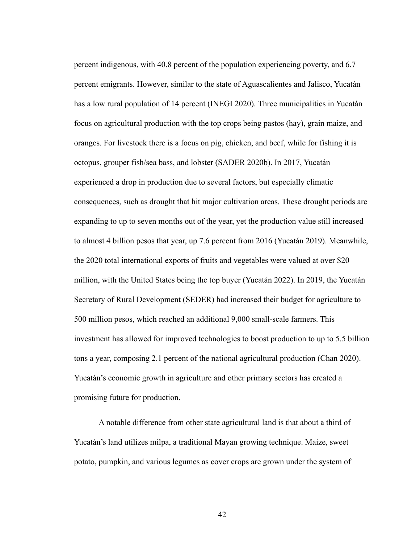percent indigenous, with 40.8 percent of the population experiencing poverty, and 6.7 percent emigrants. However, similar to the state of Aguascalientes and Jalisco, Yucatán has a low rural population of 14 percent (INEGI 2020). Three municipalities in Yucatán focus on agricultural production with the top crops being pastos (hay), grain maize, and oranges. For livestock there is a focus on pig, chicken, and beef, while for fishing it is octopus, grouper fish/sea bass, and lobster (SADER 2020b). In 2017, Yucatán experienced a drop in production due to several factors, but especially climatic consequences, such as drought that hit major cultivation areas. These drought periods are expanding to up to seven months out of the year, yet the production value still increased to almost 4 billion pesos that year, up 7.6 percent from 2016 (Yucatán 2019). Meanwhile, the 2020 total international exports of fruits and vegetables were valued at over \$20 million, with the United States being the top buyer (Yucatán 2022). In 2019, the Yucatán Secretary of Rural Development (SEDER) had increased their budget for agriculture to 500 million pesos, which reached an additional 9,000 small-scale farmers. This investment has allowed for improved technologies to boost production to up to 5.5 billion tons a year, composing 2.1 percent of the national agricultural production (Chan 2020). Yucatán's economic growth in agriculture and other primary sectors has created a promising future for production.

A notable difference from other state agricultural land is that about a third of Yucatán's land utilizes milpa, a traditional Mayan growing technique. Maize, sweet potato, pumpkin, and various legumes as cover crops are grown under the system of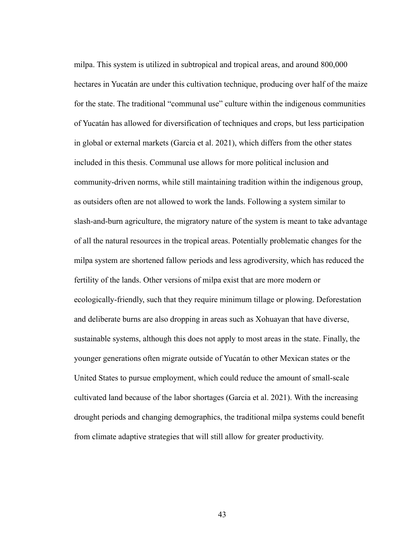milpa. This system is utilized in subtropical and tropical areas, and around 800,000 hectares in Yucatán are under this cultivation technique, producing over half of the maize for the state. The traditional "communal use" culture within the indigenous communities of Yucatán has allowed for diversification of techniques and crops, but less participation in global or external markets (Garcia et al. 2021), which differs from the other states included in this thesis. Communal use allows for more political inclusion and community-driven norms, while still maintaining tradition within the indigenous group, as outsiders often are not allowed to work the lands. Following a system similar to slash-and-burn agriculture, the migratory nature of the system is meant to take advantage of all the natural resources in the tropical areas. Potentially problematic changes for the milpa system are shortened fallow periods and less agrodiversity, which has reduced the fertility of the lands. Other versions of milpa exist that are more modern or ecologically-friendly, such that they require minimum tillage or plowing. Deforestation and deliberate burns are also dropping in areas such as Xohuayan that have diverse, sustainable systems, although this does not apply to most areas in the state. Finally, the younger generations often migrate outside of Yucatán to other Mexican states or the United States to pursue employment, which could reduce the amount of small-scale cultivated land because of the labor shortages (Garcia et al. 2021). With the increasing drought periods and changing demographics, the traditional milpa systems could benefit from climate adaptive strategies that will still allow for greater productivity.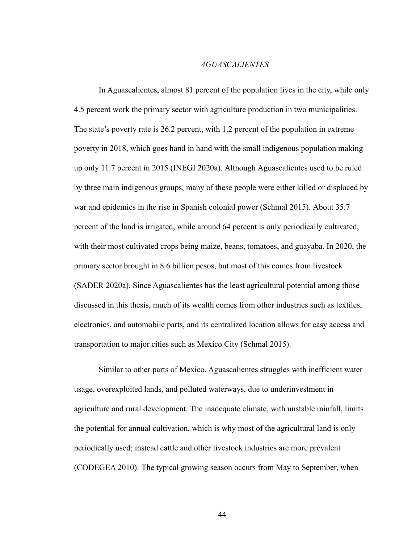## *AGUASCALIENTES*

In Aguascalientes, almost 81 percent of the population lives in the city, while only 4.5 percent work the primary sector with agriculture production in two municipalities. The state's poverty rate is 26.2 percent, with 1.2 percent of the population in extreme poverty in 2018, which goes hand in hand with the small indigenous population making up only 11.7 percent in 2015 (INEGI 2020a). Although Aguascalientes used to be ruled by three main indigenous groups, many of these people were either killed or displaced by war and epidemics in the rise in Spanish colonial power (Schmal 2015). About 35.7 percent of the land is irrigated, while around 64 percent is only periodically cultivated, with their most cultivated crops being maize, beans, tomatoes, and guayaba. In 2020, the primary sector brought in 8.6 billion pesos, but most of this comes from livestock (SADER 2020a). Since Aguascalientes has the least agricultural potential among those discussed in this thesis, much of its wealth comes from other industries such as textiles, electronics, and automobile parts, and its centralized location allows for easy access and transportation to major cities such as Mexico City (Schmal 2015).

Similar to other parts of Mexico, Aguascalientes struggles with inefficient water usage, overexploited lands, and polluted waterways, due to underinvestment in agriculture and rural development. The inadequate climate, with unstable rainfall, limits the potential for annual cultivation, which is why most of the agricultural land is only periodically used; instead cattle and other livestock industries are more prevalent (CODEGEA 2010). The typical growing season occurs from May to September, when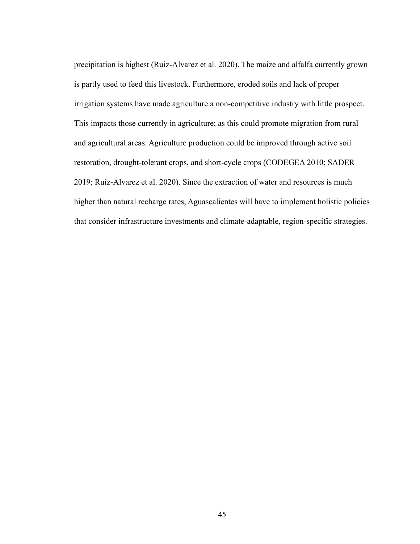precipitation is highest (Ruiz-Alvarez et al. 2020). The maize and alfalfa currently grown is partly used to feed this livestock. Furthermore, eroded soils and lack of proper irrigation systems have made agriculture a non-competitive industry with little prospect. This impacts those currently in agriculture; as this could promote migration from rural and agricultural areas. Agriculture production could be improved through active soil restoration, drought-tolerant crops, and short-cycle crops (CODEGEA 2010; SADER 2019; Ruiz-Alvarez et al. 2020). Since the extraction of water and resources is much higher than natural recharge rates, Aguascalientes will have to implement holistic policies that consider infrastructure investments and climate-adaptable, region-specific strategies.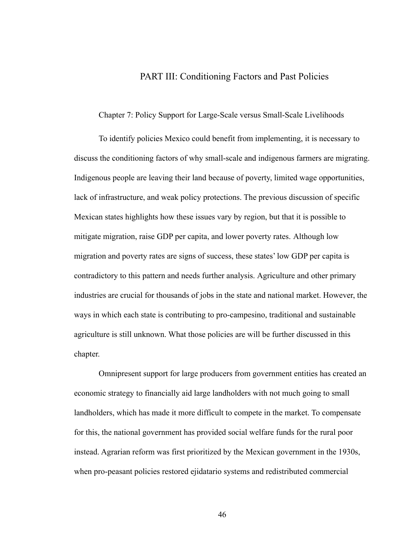# PART III: Conditioning Factors and Past Policies

Chapter 7: Policy Support for Large-Scale versus Small-Scale Livelihoods

To identify policies Mexico could benefit from implementing, it is necessary to discuss the conditioning factors of why small-scale and indigenous farmers are migrating. Indigenous people are leaving their land because of poverty, limited wage opportunities, lack of infrastructure, and weak policy protections. The previous discussion of specific Mexican states highlights how these issues vary by region, but that it is possible to mitigate migration, raise GDP per capita, and lower poverty rates. Although low migration and poverty rates are signs of success, these states' low GDP per capita is contradictory to this pattern and needs further analysis. Agriculture and other primary industries are crucial for thousands of jobs in the state and national market. However, the ways in which each state is contributing to pro-campesino, traditional and sustainable agriculture is still unknown. What those policies are will be further discussed in this chapter.

Omnipresent support for large producers from government entities has created an economic strategy to financially aid large landholders with not much going to small landholders, which has made it more difficult to compete in the market. To compensate for this, the national government has provided social welfare funds for the rural poor instead. Agrarian reform was first prioritized by the Mexican government in the 1930s, when pro-peasant policies restored ejidatario systems and redistributed commercial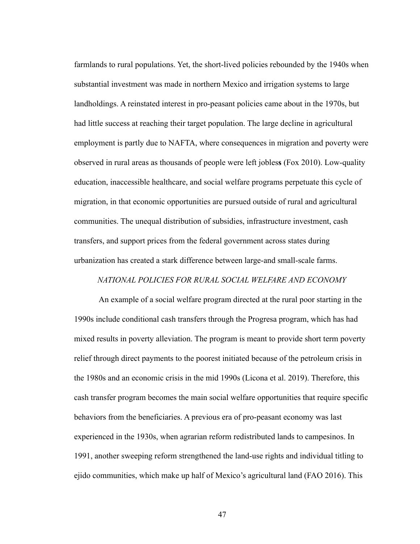farmlands to rural populations. Yet, the short-lived policies rebounded by the 1940s when substantial investment was made in northern Mexico and irrigation systems to large landholdings. A reinstated interest in pro-peasant policies came about in the 1970s, but had little success at reaching their target population. The large decline in agricultural employment is partly due to NAFTA, where consequences in migration and poverty were observed in rural areas as thousands of people were left jobles**s** (Fox 2010). Low-quality education, inaccessible healthcare, and social welfare programs perpetuate this cycle of migration, in that economic opportunities are pursued outside of rural and agricultural communities. The unequal distribution of subsidies, infrastructure investment, cash transfers, and support prices from the federal government across states during urbanization has created a stark difference between large-and small-scale farms.

#### *NATIONAL POLICIES FOR RURAL SOCIAL WELFARE AND ECONOMY*

An example of a social welfare program directed at the rural poor starting in the 1990s include conditional cash transfers through the Progresa program, which has had mixed results in poverty alleviation. The program is meant to provide short term poverty relief through direct payments to the poorest initiated because of the petroleum crisis in the 1980s and an economic crisis in the mid 1990s (Licona et al. 2019). Therefore, this cash transfer program becomes the main social welfare opportunities that require specific behaviors from the beneficiaries. A previous era of pro-peasant economy was last experienced in the 1930s, when agrarian reform redistributed lands to campesinos. In 1991, another sweeping reform strengthened the land-use rights and individual titling to ejido communities, which make up half of Mexico's agricultural land (FAO 2016). This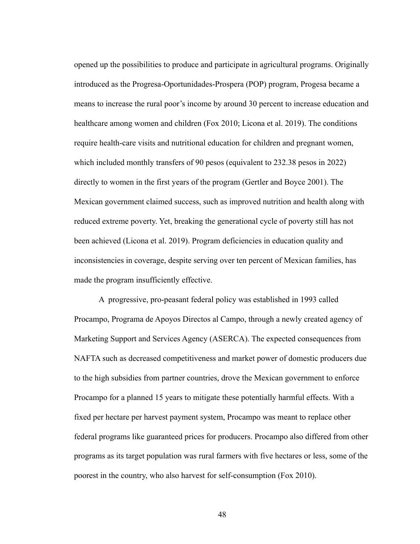opened up the possibilities to produce and participate in agricultural programs. Originally introduced as the Progresa-Oportunidades-Prospera (POP) program, Progesa became a means to increase the rural poor's income by around 30 percent to increase education and healthcare among women and children (Fox 2010; Licona et al. 2019). The conditions require health-care visits and nutritional education for children and pregnant women, which included monthly transfers of 90 pesos (equivalent to 232.38 pesos in 2022) directly to women in the first years of the program (Gertler and Boyce 2001). The Mexican government claimed success, such as improved nutrition and health along with reduced extreme poverty. Yet, breaking the generational cycle of poverty still has not been achieved (Licona et al. 2019). Program deficiencies in education quality and inconsistencies in coverage, despite serving over ten percent of Mexican families, has made the program insufficiently effective.

A progressive, pro-peasant federal policy was established in 1993 called Procampo, Programa de Apoyos Directos al Campo, through a newly created agency of Marketing Support and Services Agency (ASERCA). The expected consequences from NAFTA such as decreased competitiveness and market power of domestic producers due to the high subsidies from partner countries, drove the Mexican government to enforce Procampo for a planned 15 years to mitigate these potentially harmful effects. With a fixed per hectare per harvest payment system, Procampo was meant to replace other federal programs like guaranteed prices for producers. Procampo also differed from other programs as its target population was rural farmers with five hectares or less, some of the poorest in the country, who also harvest for self-consumption (Fox 2010).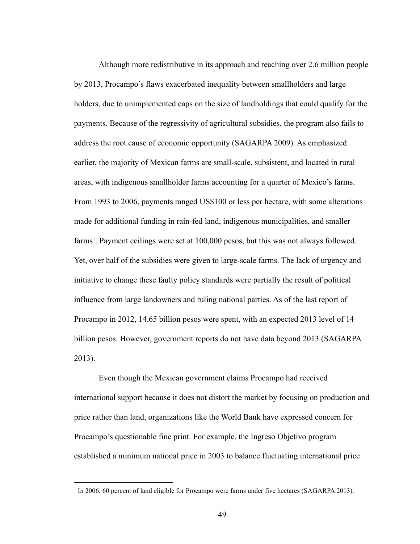Although more redistributive in its approach and reaching over 2.6 million people by 2013, Procampo's flaws exacerbated inequality between smallholders and large holders, due to unimplemented caps on the size of landholdings that could qualify for the payments. Because of the regressivity of agricultural subsidies, the program also fails to address the root cause of economic opportunity (SAGARPA 2009). As emphasized earlier, the majority of Mexican farms are small-scale, subsistent, and located in rural areas, with indigenous smallholder farms accounting for a quarter of Mexico's farms. From 1993 to 2006, payments ranged US\$100 or less per hectare, with some alterations made for additional funding in rain-fed land, indigenous municipalities, and smaller farms<sup>1</sup>. Payment ceilings were set at  $100,000$  pesos, but this was not always followed. Yet, over half of the subsidies were given to large-scale farms. The lack of urgency and initiative to change these faulty policy standards were partially the result of political influence from large landowners and ruling national parties. As of the last report of Procampo in 2012, 14.65 billion pesos were spent, with an expected 2013 level of 14 billion pesos. However, government reports do not have data beyond 2013 (SAGARPA 2013).

Even though the Mexican government claims Procampo had received international support because it does not distort the market by focusing on production and price rather than land, organizations like the World Bank have expressed concern for Procampo's questionable fine print. For example, the Ingreso Objetivo program established a minimum national price in 2003 to balance fluctuating international price

<sup>&</sup>lt;sup>1</sup> In 2006, 60 percent of land eligible for Procampo were farms under five hectares (SAGARPA 2013).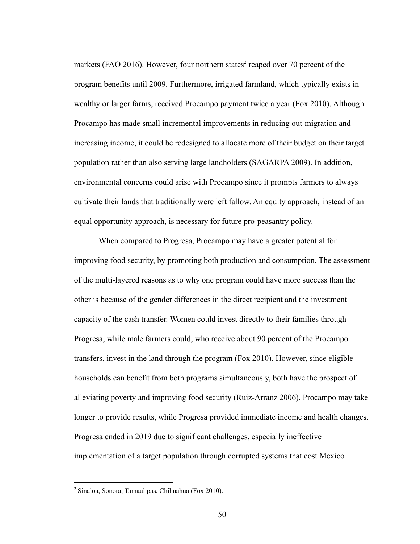markets (FAO 2016). However, four northern states<sup>2</sup> reaped over 70 percent of the program benefits until 2009. Furthermore, irrigated farmland, which typically exists in wealthy or larger farms, received Procampo payment twice a year (Fox 2010). Although Procampo has made small incremental improvements in reducing out-migration and increasing income, it could be redesigned to allocate more of their budget on their target population rather than also serving large landholders (SAGARPA 2009). In addition, environmental concerns could arise with Procampo since it prompts farmers to always cultivate their lands that traditionally were left fallow. An equity approach, instead of an equal opportunity approach, is necessary for future pro-peasantry policy.

When compared to Progresa, Procampo may have a greater potential for improving food security, by promoting both production and consumption. The assessment of the multi-layered reasons as to why one program could have more success than the other is because of the gender differences in the direct recipient and the investment capacity of the cash transfer. Women could invest directly to their families through Progresa, while male farmers could, who receive about 90 percent of the Procampo transfers, invest in the land through the program (Fox 2010). However, since eligible households can benefit from both programs simultaneously, both have the prospect of alleviating poverty and improving food security (Ruiz-Arranz 2006). Procampo may take longer to provide results, while Progresa provided immediate income and health changes. Progresa ended in 2019 due to significant challenges, especially ineffective implementation of a target population through corrupted systems that cost Mexico

<sup>2</sup> Sinaloa, Sonora, Tamaulipas, Chihuahua (Fox 2010).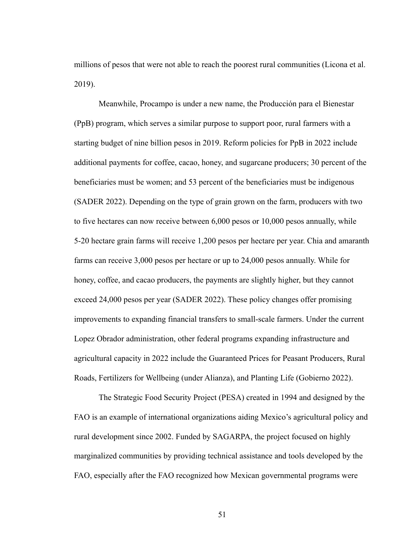millions of pesos that were not able to reach the poorest rural communities (Licona et al. 2019).

Meanwhile, Procampo is under a new name, the Producción para el Bienestar (PpB) program, which serves a similar purpose to support poor, rural farmers with a starting budget of nine billion pesos in 2019. Reform policies for PpB in 2022 include additional payments for coffee, cacao, honey, and sugarcane producers; 30 percent of the beneficiaries must be women; and 53 percent of the beneficiaries must be indigenous (SADER 2022). Depending on the type of grain grown on the farm, producers with two to five hectares can now receive between 6,000 pesos or 10,000 pesos annually, while 5-20 hectare grain farms will receive 1,200 pesos per hectare per year. Chia and amaranth farms can receive 3,000 pesos per hectare or up to 24,000 pesos annually. While for honey, coffee, and cacao producers, the payments are slightly higher, but they cannot exceed 24,000 pesos per year (SADER 2022). These policy changes offer promising improvements to expanding financial transfers to small-scale farmers. Under the current Lopez Obrador administration, other federal programs expanding infrastructure and agricultural capacity in 2022 include the Guaranteed Prices for Peasant Producers, Rural Roads, Fertilizers for Wellbeing (under Alianza), and Planting Life (Gobierno 2022).

The Strategic Food Security Project (PESA) created in 1994 and designed by the FAO is an example of international organizations aiding Mexico's agricultural policy and rural development since 2002. Funded by SAGARPA, the project focused on highly marginalized communities by providing technical assistance and tools developed by the FAO, especially after the FAO recognized how Mexican governmental programs were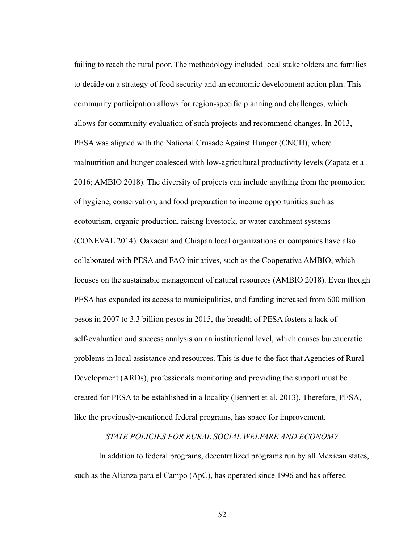failing to reach the rural poor. The methodology included local stakeholders and families to decide on a strategy of food security and an economic development action plan. This community participation allows for region-specific planning and challenges, which allows for community evaluation of such projects and recommend changes. In 2013, PESA was aligned with the National Crusade Against Hunger (CNCH), where malnutrition and hunger coalesced with low-agricultural productivity levels (Zapata et al. 2016; AMBIO 2018). The diversity of projects can include anything from the promotion of hygiene, conservation, and food preparation to income opportunities such as ecotourism, organic production, raising livestock, or water catchment systems (CONEVAL 2014). Oaxacan and Chiapan local organizations or companies have also collaborated with PESA and FAO initiatives, such as the Cooperativa AMBIO, which focuses on the sustainable management of natural resources (AMBIO 2018). Even though PESA has expanded its access to municipalities, and funding increased from 600 million pesos in 2007 to 3.3 billion pesos in 2015, the breadth of PESA fosters a lack of self-evaluation and success analysis on an institutional level, which causes bureaucratic problems in local assistance and resources. This is due to the fact that Agencies of Rural Development (ARDs), professionals monitoring and providing the support must be created for PESA to be established in a locality (Bennett et al. 2013). Therefore, PESA, like the previously-mentioned federal programs, has space for improvement.

*STATE POLICIES FOR RURAL SOCIAL WELFARE AND ECONOMY*

In addition to federal programs, decentralized programs run by all Mexican states, such as the Alianza para el Campo (ApC), has operated since 1996 and has offered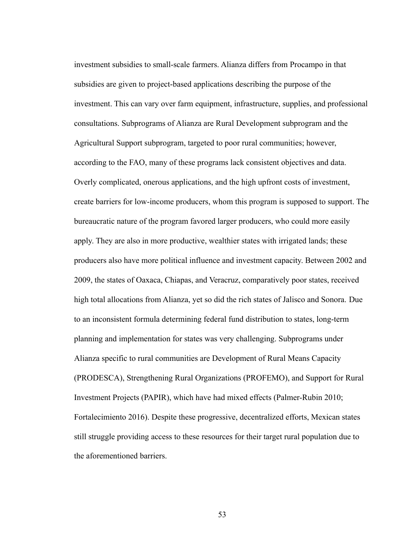investment subsidies to small-scale farmers. Alianza differs from Procampo in that subsidies are given to project-based applications describing the purpose of the investment. This can vary over farm equipment, infrastructure, supplies, and professional consultations. Subprograms of Alianza are Rural Development subprogram and the Agricultural Support subprogram, targeted to poor rural communities; however, according to the FAO, many of these programs lack consistent objectives and data. Overly complicated, onerous applications, and the high upfront costs of investment, create barriers for low-income producers, whom this program is supposed to support. The bureaucratic nature of the program favored larger producers, who could more easily apply. They are also in more productive, wealthier states with irrigated lands; these producers also have more political influence and investment capacity. Between 2002 and 2009, the states of Oaxaca, Chiapas, and Veracruz, comparatively poor states, received high total allocations from Alianza, yet so did the rich states of Jalisco and Sonora. Due to an inconsistent formula determining federal fund distribution to states, long-term planning and implementation for states was very challenging. Subprograms under Alianza specific to rural communities are Development of Rural Means Capacity (PRODESCA), Strengthening Rural Organizations (PROFEMO), and Support for Rural Investment Projects (PAPIR), which have had mixed effects (Palmer-Rubin 2010; Fortalecimiento 2016). Despite these progressive, decentralized efforts, Mexican states still struggle providing access to these resources for their target rural population due to the aforementioned barriers.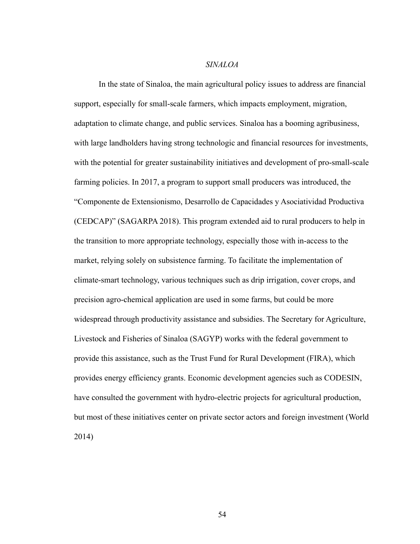## *SINALOA*

In the state of Sinaloa, the main agricultural policy issues to address are financial support, especially for small-scale farmers, which impacts employment, migration, adaptation to climate change, and public services. Sinaloa has a booming agribusiness, with large landholders having strong technologic and financial resources for investments, with the potential for greater sustainability initiatives and development of pro-small-scale farming policies. In 2017, a program to support small producers was introduced, the "Componente de Extensionismo, Desarrollo de Capacidades y Asociatividad Productiva (CEDCAP)" (SAGARPA 2018). This program extended aid to rural producers to help in the transition to more appropriate technology, especially those with in-access to the market, relying solely on subsistence farming. To facilitate the implementation of climate-smart technology, various techniques such as drip irrigation, cover crops, and precision agro-chemical application are used in some farms, but could be more widespread through productivity assistance and subsidies. The Secretary for Agriculture, Livestock and Fisheries of Sinaloa (SAGYP) works with the federal government to provide this assistance, such as the Trust Fund for Rural Development (FIRA), which provides energy efficiency grants. Economic development agencies such as CODESIN, have consulted the government with hydro-electric projects for agricultural production, but most of these initiatives center on private sector actors and foreign investment (World 2014)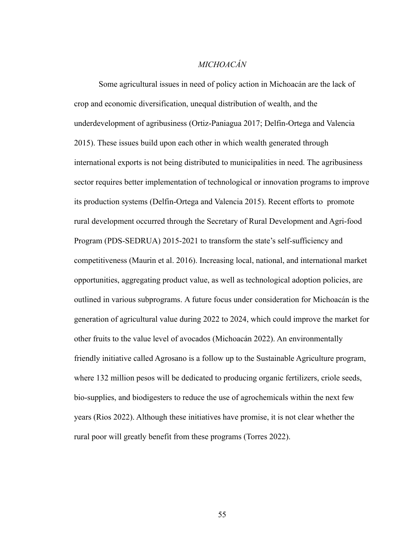# *MICHOACÁN*

Some agricultural issues in need of policy action in Michoacán are the lack of crop and economic diversification, unequal distribution of wealth, and the underdevelopment of agribusiness (Ortiz-Paniagua 2017; Delfin-Ortega and Valencia 2015). These issues build upon each other in which wealth generated through international exports is not being distributed to municipalities in need. The agribusiness sector requires better implementation of technological or innovation programs to improve its production systems (Delfin-Ortega and Valencia 2015). Recent efforts to promote rural development occurred through the Secretary of Rural Development and Agri-food Program (PDS-SEDRUA) 2015-2021 to transform the state's self-sufficiency and competitiveness (Maurin et al. 2016). Increasing local, national, and international market opportunities, aggregating product value, as well as technological adoption policies, are outlined in various subprograms. A future focus under consideration for Michoacán is the generation of agricultural value during 2022 to 2024, which could improve the market for other fruits to the value level of avocados (Michoacán 2022). An environmentally friendly initiative called Agrosano is a follow up to the Sustainable Agriculture program, where 132 million pesos will be dedicated to producing organic fertilizers, criole seeds, bio-supplies, and biodigesters to reduce the use of agrochemicals within the next few years (Rios 2022). Although these initiatives have promise, it is not clear whether the rural poor will greatly benefit from these programs (Torres 2022).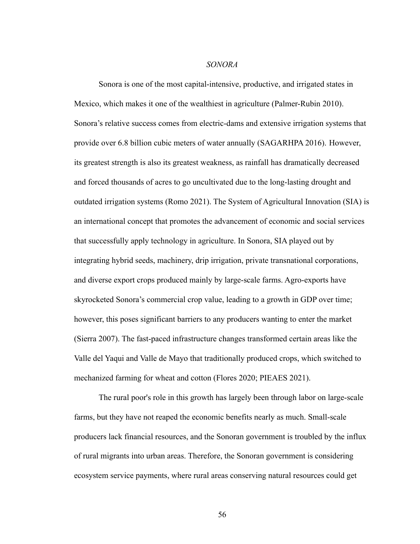### *SONORA*

Sonora is one of the most capital-intensive, productive, and irrigated states in Mexico, which makes it one of the wealthiest in agriculture (Palmer-Rubin 2010). Sonora's relative success comes from electric-dams and extensive irrigation systems that provide over 6.8 billion cubic meters of water annually (SAGARHPA 2016). However, its greatest strength is also its greatest weakness, as rainfall has dramatically decreased and forced thousands of acres to go uncultivated due to the long-lasting drought and outdated irrigation systems (Romo 2021). The System of Agricultural Innovation (SIA) is an international concept that promotes the advancement of economic and social services that successfully apply technology in agriculture. In Sonora, SIA played out by integrating hybrid seeds, machinery, drip irrigation, private transnational corporations, and diverse export crops produced mainly by large-scale farms. Agro-exports have skyrocketed Sonora's commercial crop value, leading to a growth in GDP over time; however, this poses significant barriers to any producers wanting to enter the market (Sierra 2007). The fast-paced infrastructure changes transformed certain areas like the Valle del Yaqui and Valle de Mayo that traditionally produced crops, which switched to mechanized farming for wheat and cotton (Flores 2020; PIEAES 2021).

The rural poor's role in this growth has largely been through labor on large-scale farms, but they have not reaped the economic benefits nearly as much. Small-scale producers lack financial resources, and the Sonoran government is troubled by the influx of rural migrants into urban areas. Therefore, the Sonoran government is considering ecosystem service payments, where rural areas conserving natural resources could get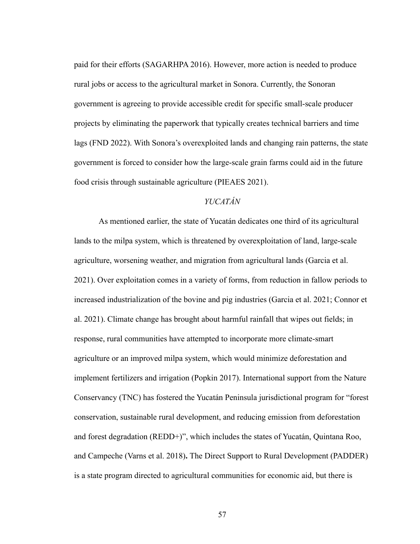paid for their efforts (SAGARHPA 2016). However, more action is needed to produce rural jobs or access to the agricultural market in Sonora. Currently, the Sonoran government is agreeing to provide accessible credit for specific small-scale producer projects by eliminating the paperwork that typically creates technical barriers and time lags (FND 2022). With Sonora's overexploited lands and changing rain patterns, the state government is forced to consider how the large-scale grain farms could aid in the future food crisis through sustainable agriculture (PIEAES 2021).

# *YUCATÁN*

As mentioned earlier, the state of Yucatán dedicates one third of its agricultural lands to the milpa system, which is threatened by overexploitation of land, large-scale agriculture, worsening weather, and migration from agricultural lands (Garcia et al. 2021). Over exploitation comes in a variety of forms, from reduction in fallow periods to increased industrialization of the bovine and pig industries (Garcia et al. 2021; Connor et al. 2021). Climate change has brought about harmful rainfall that wipes out fields; in response, rural communities have attempted to incorporate more climate-smart agriculture or an improved milpa system, which would minimize deforestation and implement fertilizers and irrigation (Popkin 2017). International support from the Nature Conservancy (TNC) has fostered the Yucatán Peninsula jurisdictional program for "forest conservation, sustainable rural development, and reducing emission from deforestation and forest degradation (REDD+)", which includes the states of Yucatán, Quintana Roo, and Campeche (Varns et al. 2018)**.** The Direct Support to Rural Development (PADDER) is a state program directed to agricultural communities for economic aid, but there is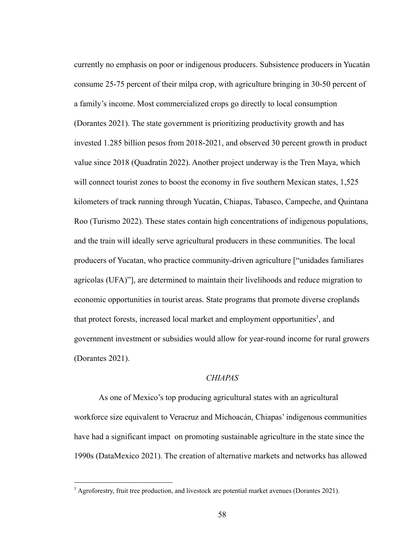currently no emphasis on poor or indigenous producers. Subsistence producers in Yucatán consume 25-75 percent of their milpa crop, with agriculture bringing in 30-50 percent of a family's income. Most commercialized crops go directly to local consumption (Dorantes 2021). The state government is prioritizing productivity growth and has invested 1.285 billion pesos from 2018-2021, and observed 30 percent growth in product value since 2018 (Quadratin 2022). Another project underway is the Tren Maya, which will connect tourist zones to boost the economy in five southern Mexican states, 1,525 kilometers of track running through Yucatán, Chiapas, Tabasco, Campeche, and Quintana Roo (Turismo 2022). These states contain high concentrations of indigenous populations, and the train will ideally serve agricultural producers in these communities. The local producers of Yucatan, who practice community-driven agriculture ["unidades familiares agricolas (UFA)"], are determined to maintain their livelihoods and reduce migration to economic opportunities in tourist areas. State programs that promote diverse croplands that protect forests, increased local market and employment opportunities<sup>3</sup>, and government investment or subsidies would allow for year-round income for rural growers (Dorantes 2021).

## *CHIAPAS*

As one of Mexico's top producing agricultural states with an agricultural workforce size equivalent to Veracruz and Michoacán, Chiapas' indigenous communities have had a significant impact on promoting sustainable agriculture in the state since the 1990s (DataMexico 2021). The creation of alternative markets and networks has allowed

<sup>&</sup>lt;sup>3</sup> Agroforestry, fruit tree production, and livestock are potential market avenues (Dorantes 2021).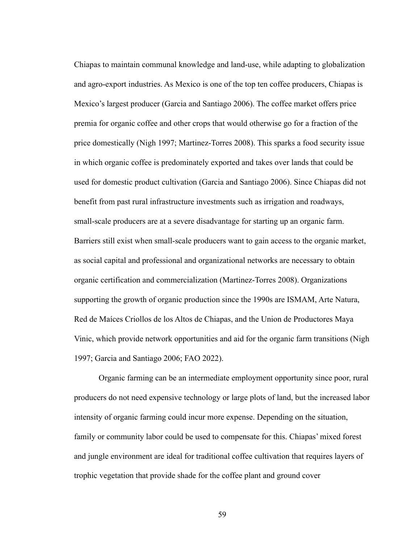Chiapas to maintain communal knowledge and land-use, while adapting to globalization and agro-export industries. As Mexico is one of the top ten coffee producers, Chiapas is Mexico's largest producer (Garcia and Santiago 2006). The coffee market offers price premia for organic coffee and other crops that would otherwise go for a fraction of the price domestically (Nigh 1997; Martinez-Torres 2008). This sparks a food security issue in which organic coffee is predominately exported and takes over lands that could be used for domestic product cultivation (Garcia and Santiago 2006). Since Chiapas did not benefit from past rural infrastructure investments such as irrigation and roadways, small-scale producers are at a severe disadvantage for starting up an organic farm. Barriers still exist when small-scale producers want to gain access to the organic market, as social capital and professional and organizational networks are necessary to obtain organic certification and commercialization (Martinez-Torres 2008). Organizations supporting the growth of organic production since the 1990s are ISMAM, Arte Natura, Red de Maíces Criollos de los Altos de Chiapas, and the Union de Productores Maya Vinic, which provide network opportunities and aid for the organic farm transitions (Nigh 1997; Garcia and Santiago 2006; FAO 2022).

Organic farming can be an intermediate employment opportunity since poor, rural producers do not need expensive technology or large plots of land, but the increased labor intensity of organic farming could incur more expense. Depending on the situation, family or community labor could be used to compensate for this. Chiapas' mixed forest and jungle environment are ideal for traditional coffee cultivation that requires layers of trophic vegetation that provide shade for the coffee plant and ground cover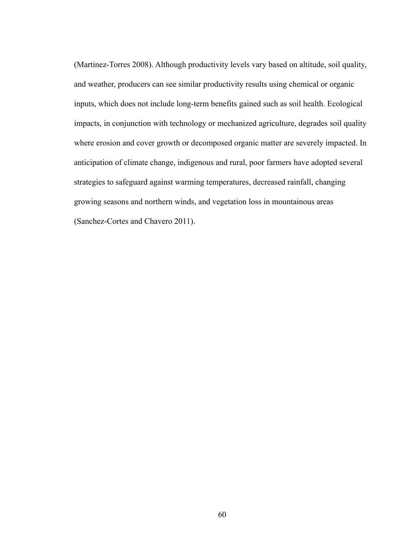(Martinez-Torres 2008). Although productivity levels vary based on altitude, soil quality, and weather, producers can see similar productivity results using chemical or organic inputs, which does not include long-term benefits gained such as soil health. Ecological impacts, in conjunction with technology or mechanized agriculture, degrades soil quality where erosion and cover growth or decomposed organic matter are severely impacted. In anticipation of climate change, indigenous and rural, poor farmers have adopted several strategies to safeguard against warming temperatures, decreased rainfall, changing growing seasons and northern winds, and vegetation loss in mountainous areas (Sanchez-Cortes and Chavero 2011).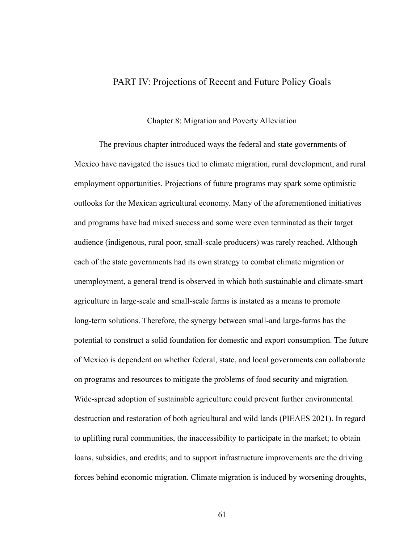## PART IV: Projections of Recent and Future Policy Goals

### Chapter 8: Migration and Poverty Alleviation

The previous chapter introduced ways the federal and state governments of Mexico have navigated the issues tied to climate migration, rural development, and rural employment opportunities. Projections of future programs may spark some optimistic outlooks for the Mexican agricultural economy. Many of the aforementioned initiatives and programs have had mixed success and some were even terminated as their target audience (indigenous, rural poor, small-scale producers) was rarely reached. Although each of the state governments had its own strategy to combat climate migration or unemployment, a general trend is observed in which both sustainable and climate-smart agriculture in large-scale and small-scale farms is instated as a means to promote long-term solutions. Therefore, the synergy between small-and large-farms has the potential to construct a solid foundation for domestic and export consumption. The future of Mexico is dependent on whether federal, state, and local governments can collaborate on programs and resources to mitigate the problems of food security and migration. Wide-spread adoption of sustainable agriculture could prevent further environmental destruction and restoration of both agricultural and wild lands (PIEAES 2021). In regard to uplifting rural communities, the inaccessibility to participate in the market; to obtain loans, subsidies, and credits; and to support infrastructure improvements are the driving forces behind economic migration. Climate migration is induced by worsening droughts,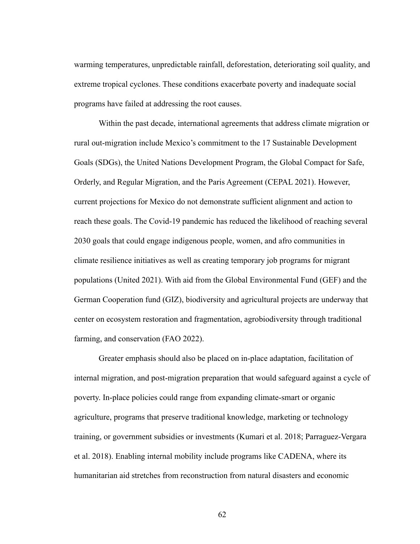warming temperatures, unpredictable rainfall, deforestation, deteriorating soil quality, and extreme tropical cyclones. These conditions exacerbate poverty and inadequate social programs have failed at addressing the root causes.

Within the past decade, international agreements that address climate migration or rural out-migration include Mexico's commitment to the 17 Sustainable Development Goals (SDGs), the United Nations Development Program, the Global Compact for Safe, Orderly, and Regular Migration, and the Paris Agreement (CEPAL 2021). However, current projections for Mexico do not demonstrate sufficient alignment and action to reach these goals. The Covid-19 pandemic has reduced the likelihood of reaching several 2030 goals that could engage indigenous people, women, and afro communities in climate resilience initiatives as well as creating temporary job programs for migrant populations (United 2021). With aid from the Global Environmental Fund (GEF) and the German Cooperation fund (GIZ), biodiversity and agricultural projects are underway that center on ecosystem restoration and fragmentation, agrobiodiversity through traditional farming, and conservation (FAO 2022).

Greater emphasis should also be placed on in-place adaptation, facilitation of internal migration, and post-migration preparation that would safeguard against a cycle of poverty. In-place policies could range from expanding climate-smart or organic agriculture, programs that preserve traditional knowledge, marketing or technology training, or government subsidies or investments (Kumari et al. 2018; Parraguez-Vergara et al. 2018). Enabling internal mobility include programs like CADENA, where its humanitarian aid stretches from reconstruction from natural disasters and economic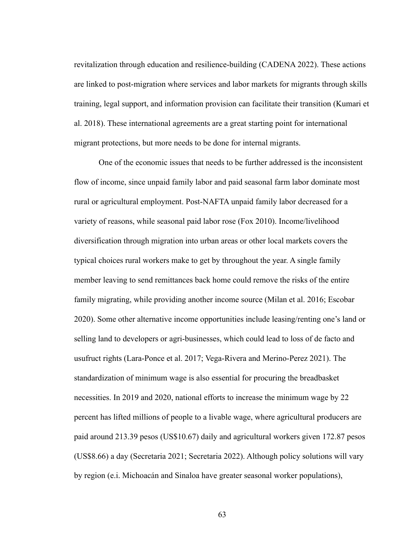revitalization through education and resilience-building (CADENA 2022). These actions are linked to post-migration where services and labor markets for migrants through skills training, legal support, and information provision can facilitate their transition (Kumari et al. 2018). These international agreements are a great starting point for international migrant protections, but more needs to be done for internal migrants.

One of the economic issues that needs to be further addressed is the inconsistent flow of income, since unpaid family labor and paid seasonal farm labor dominate most rural or agricultural employment. Post-NAFTA unpaid family labor decreased for a variety of reasons, while seasonal paid labor rose (Fox 2010). Income/livelihood diversification through migration into urban areas or other local markets covers the typical choices rural workers make to get by throughout the year. A single family member leaving to send remittances back home could remove the risks of the entire family migrating, while providing another income source (Milan et al. 2016; Escobar 2020). Some other alternative income opportunities include leasing/renting one's land or selling land to developers or agri-businesses, which could lead to loss of de facto and usufruct rights (Lara-Ponce et al. 2017; Vega-Rivera and Merino-Perez 2021). The standardization of minimum wage is also essential for procuring the breadbasket necessities. In 2019 and 2020, national efforts to increase the minimum wage by 22 percent has lifted millions of people to a livable wage, where agricultural producers are paid around 213.39 pesos (US\$10.67) daily and agricultural workers given 172.87 pesos (US\$8.66) a day (Secretaria 2021; Secretaria 2022). Although policy solutions will vary by region (e.i. Michoacán and Sinaloa have greater seasonal worker populations),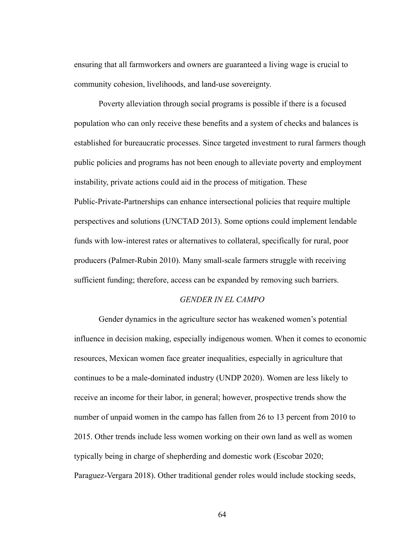ensuring that all farmworkers and owners are guaranteed a living wage is crucial to community cohesion, livelihoods, and land-use sovereignty.

Poverty alleviation through social programs is possible if there is a focused population who can only receive these benefits and a system of checks and balances is established for bureaucratic processes. Since targeted investment to rural farmers though public policies and programs has not been enough to alleviate poverty and employment instability, private actions could aid in the process of mitigation. These Public-Private-Partnerships can enhance intersectional policies that require multiple perspectives and solutions (UNCTAD 2013). Some options could implement lendable funds with low-interest rates or alternatives to collateral, specifically for rural, poor producers (Palmer-Rubin 2010). Many small-scale farmers struggle with receiving sufficient funding; therefore, access can be expanded by removing such barriers.

#### *GENDER IN EL CAMPO*

Gender dynamics in the agriculture sector has weakened women's potential influence in decision making, especially indigenous women. When it comes to economic resources, Mexican women face greater inequalities, especially in agriculture that continues to be a male-dominated industry (UNDP 2020). Women are less likely to receive an income for their labor, in general; however, prospective trends show the number of unpaid women in the campo has fallen from 26 to 13 percent from 2010 to 2015. Other trends include less women working on their own land as well as women typically being in charge of shepherding and domestic work (Escobar 2020; Paraguez-Vergara 2018). Other traditional gender roles would include stocking seeds,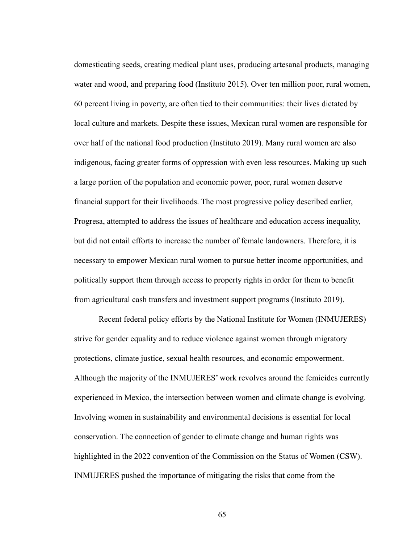domesticating seeds, creating medical plant uses, producing artesanal products, managing water and wood, and preparing food (Instituto 2015). Over ten million poor, rural women, 60 percent living in poverty, are often tied to their communities: their lives dictated by local culture and markets. Despite these issues, Mexican rural women are responsible for over half of the national food production (Instituto 2019). Many rural women are also indigenous, facing greater forms of oppression with even less resources. Making up such a large portion of the population and economic power, poor, rural women deserve financial support for their livelihoods. The most progressive policy described earlier, Progresa, attempted to address the issues of healthcare and education access inequality, but did not entail efforts to increase the number of female landowners. Therefore, it is necessary to empower Mexican rural women to pursue better income opportunities, and politically support them through access to property rights in order for them to benefit from agricultural cash transfers and investment support programs (Instituto 2019).

Recent federal policy efforts by the National Institute for Women (INMUJERES) strive for gender equality and to reduce violence against women through migratory protections, climate justice, sexual health resources, and economic empowerment. Although the majority of the INMUJERES' work revolves around the femicides currently experienced in Mexico, the intersection between women and climate change is evolving. Involving women in sustainability and environmental decisions is essential for local conservation. The connection of gender to climate change and human rights was highlighted in the 2022 convention of the Commission on the Status of Women (CSW). INMUJERES pushed the importance of mitigating the risks that come from the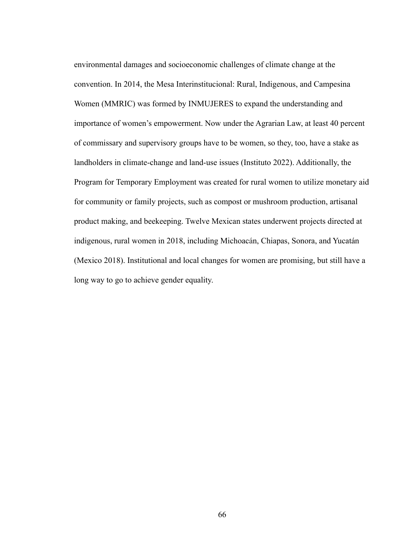environmental damages and socioeconomic challenges of climate change at the convention. In 2014, the Mesa Interinstitucional: Rural, Indigenous, and Campesina Women (MMRIC) was formed by INMUJERES to expand the understanding and importance of women's empowerment. Now under the Agrarian Law, at least 40 percent of commissary and supervisory groups have to be women, so they, too, have a stake as landholders in climate-change and land-use issues (Instituto 2022). Additionally, the Program for Temporary Employment was created for rural women to utilize monetary aid for community or family projects, such as compost or mushroom production, artisanal product making, and beekeeping. Twelve Mexican states underwent projects directed at indigenous, rural women in 2018, including Michoacán, Chiapas, Sonora, and Yucatán (Mexico 2018). Institutional and local changes for women are promising, but still have a long way to go to achieve gender equality.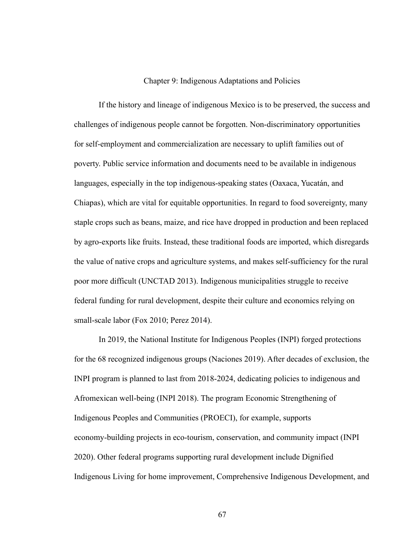## Chapter 9: Indigenous Adaptations and Policies

If the history and lineage of indigenous Mexico is to be preserved, the success and challenges of indigenous people cannot be forgotten. Non-discriminatory opportunities for self-employment and commercialization are necessary to uplift families out of poverty. Public service information and documents need to be available in indigenous languages, especially in the top indigenous-speaking states (Oaxaca, Yucatán, and Chiapas), which are vital for equitable opportunities. In regard to food sovereignty, many staple crops such as beans, maize, and rice have dropped in production and been replaced by agro-exports like fruits. Instead, these traditional foods are imported, which disregards the value of native crops and agriculture systems, and makes self-sufficiency for the rural poor more difficult (UNCTAD 2013). Indigenous municipalities struggle to receive federal funding for rural development, despite their culture and economics relying on small-scale labor (Fox 2010; Perez 2014).

In 2019, the National Institute for Indigenous Peoples (INPI) forged protections for the 68 recognized indigenous groups (Naciones 2019). After decades of exclusion, the INPI program is planned to last from 2018-2024, dedicating policies to indigenous and Afromexican well-being (INPI 2018). The program Economic Strengthening of Indigenous Peoples and Communities (PROECI), for example, supports economy-building projects in eco-tourism, conservation, and community impact (INPI 2020). Other federal programs supporting rural development include Dignified Indigenous Living for home improvement, Comprehensive Indigenous Development, and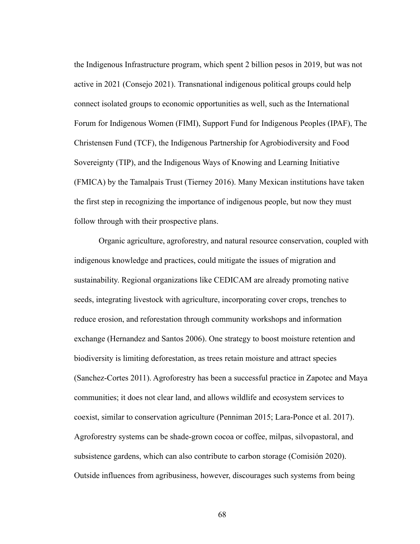the Indigenous Infrastructure program, which spent 2 billion pesos in 2019, but was not active in 2021 (Consejo 2021). Transnational indigenous political groups could help connect isolated groups to economic opportunities as well, such as the International Forum for Indigenous Women (FIMI), Support Fund for Indigenous Peoples (IPAF), The Christensen Fund (TCF), the Indigenous Partnership for Agrobiodiversity and Food Sovereignty (TIP), and the Indigenous Ways of Knowing and Learning Initiative (FMICA) by the Tamalpais Trust (Tierney 2016). Many Mexican institutions have taken the first step in recognizing the importance of indigenous people, but now they must follow through with their prospective plans.

Organic agriculture, agroforestry, and natural resource conservation, coupled with indigenous knowledge and practices, could mitigate the issues of migration and sustainability. Regional organizations like CEDICAM are already promoting native seeds, integrating livestock with agriculture, incorporating cover crops, trenches to reduce erosion, and reforestation through community workshops and information exchange (Hernandez and Santos 2006). One strategy to boost moisture retention and biodiversity is limiting deforestation, as trees retain moisture and attract species (Sanchez-Cortes 2011). Agroforestry has been a successful practice in Zapotec and Maya communities; it does not clear land, and allows wildlife and ecosystem services to coexist, similar to conservation agriculture (Penniman 2015; Lara-Ponce et al. 2017). Agroforestry systems can be shade-grown cocoa or coffee, milpas, silvopastoral, and subsistence gardens, which can also contribute to carbon storage (Comisión 2020). Outside influences from agribusiness, however, discourages such systems from being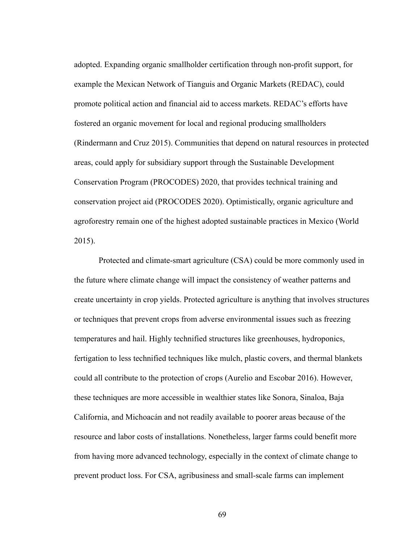adopted. Expanding organic smallholder certification through non-profit support, for example the Mexican Network of Tianguis and Organic Markets (REDAC), could promote political action and financial aid to access markets. REDAC's efforts have fostered an organic movement for local and regional producing smallholders (Rindermann and Cruz 2015). Communities that depend on natural resources in protected areas, could apply for subsidiary support through the Sustainable Development Conservation Program (PROCODES) 2020, that provides technical training and conservation project aid (PROCODES 2020). Optimistically, organic agriculture and agroforestry remain one of the highest adopted sustainable practices in Mexico (World 2015).

Protected and climate-smart agriculture (CSA) could be more commonly used in the future where climate change will impact the consistency of weather patterns and create uncertainty in crop yields. Protected agriculture is anything that involves structures or techniques that prevent crops from adverse environmental issues such as freezing temperatures and hail. Highly technified structures like greenhouses, hydroponics, fertigation to less technified techniques like mulch, plastic covers, and thermal blankets could all contribute to the protection of crops (Aurelio and Escobar 2016). However, these techniques are more accessible in wealthier states like Sonora, Sinaloa, Baja California, and Michoacán and not readily available to poorer areas because of the resource and labor costs of installations. Nonetheless, larger farms could benefit more from having more advanced technology, especially in the context of climate change to prevent product loss. For CSA, agribusiness and small-scale farms can implement

69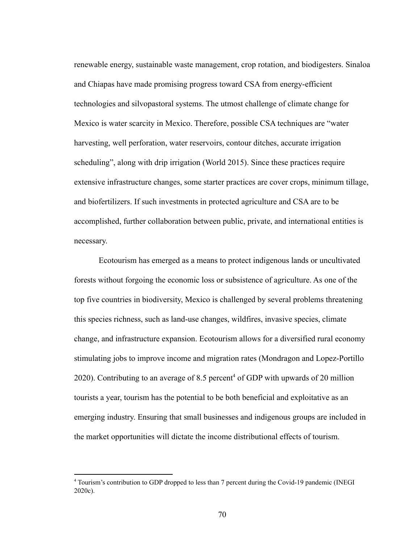renewable energy, sustainable waste management, crop rotation, and biodigesters. Sinaloa and Chiapas have made promising progress toward CSA from energy-efficient technologies and silvopastoral systems. The utmost challenge of climate change for Mexico is water scarcity in Mexico. Therefore, possible CSA techniques are "water harvesting, well perforation, water reservoirs, contour ditches, accurate irrigation scheduling", along with drip irrigation (World 2015). Since these practices require extensive infrastructure changes, some starter practices are cover crops, minimum tillage, and biofertilizers. If such investments in protected agriculture and CSA are to be accomplished, further collaboration between public, private, and international entities is necessary.

Ecotourism has emerged as a means to protect indigenous lands or uncultivated forests without forgoing the economic loss or subsistence of agriculture. As one of the top five countries in biodiversity, Mexico is challenged by several problems threatening this species richness, such as land-use changes, wildfires, invasive species, climate change, and infrastructure expansion. Ecotourism allows for a diversified rural economy stimulating jobs to improve income and migration rates (Mondragon and Lopez-Portillo 2020). Contributing to an average of 8.5 percent<sup>4</sup> of GDP with upwards of 20 million tourists a year, tourism has the potential to be both beneficial and exploitative as an emerging industry. Ensuring that small businesses and indigenous groups are included in the market opportunities will dictate the income distributional effects of tourism.

<sup>4</sup> Tourism's contribution to GDP dropped to less than 7 percent during the Covid-19 pandemic (INEGI 2020c).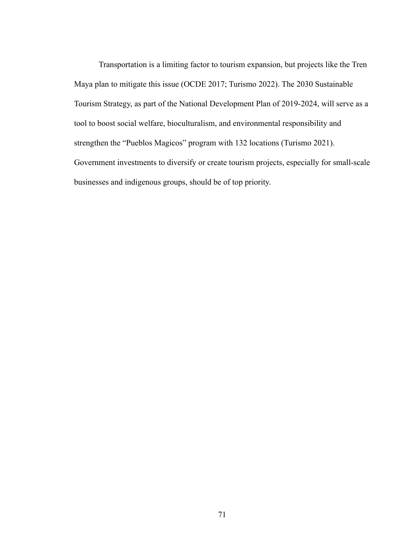Transportation is a limiting factor to tourism expansion, but projects like the Tren Maya plan to mitigate this issue (OCDE 2017; Turismo 2022). The 2030 Sustainable Tourism Strategy, as part of the National Development Plan of 2019-2024, will serve as a tool to boost social welfare, bioculturalism, and environmental responsibility and strengthen the "Pueblos Magicos" program with 132 locations (Turismo 2021). Government investments to diversify or create tourism projects, especially for small-scale businesses and indigenous groups, should be of top priority.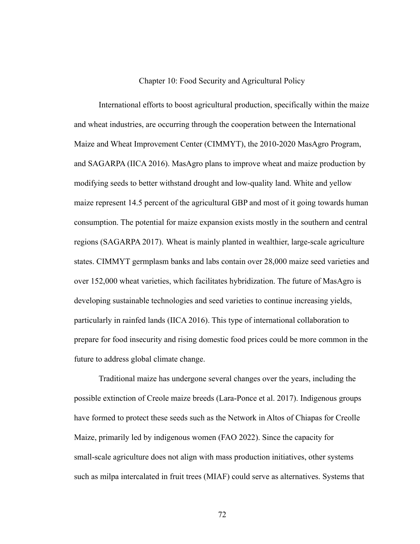## Chapter 10: Food Security and Agricultural Policy

International efforts to boost agricultural production, specifically within the maize and wheat industries, are occurring through the cooperation between the International Maize and Wheat Improvement Center (CIMMYT), the 2010-2020 MasAgro Program, and SAGARPA (IICA 2016). MasAgro plans to improve wheat and maize production by modifying seeds to better withstand drought and low-quality land. White and yellow maize represent 14.5 percent of the agricultural GBP and most of it going towards human consumption. The potential for maize expansion exists mostly in the southern and central regions (SAGARPA 2017). Wheat is mainly planted in wealthier, large-scale agriculture states. CIMMYT germplasm banks and labs contain over 28,000 maize seed varieties and over 152,000 wheat varieties, which facilitates hybridization. The future of MasAgro is developing sustainable technologies and seed varieties to continue increasing yields, particularly in rainfed lands (IICA 2016). This type of international collaboration to prepare for food insecurity and rising domestic food prices could be more common in the future to address global climate change.

Traditional maize has undergone several changes over the years, including the possible extinction of Creole maize breeds (Lara-Ponce et al. 2017). Indigenous groups have formed to protect these seeds such as the Network in Altos of Chiapas for Creolle Maize, primarily led by indigenous women (FAO 2022). Since the capacity for small-scale agriculture does not align with mass production initiatives, other systems such as milpa intercalated in fruit trees (MIAF) could serve as alternatives. Systems that

72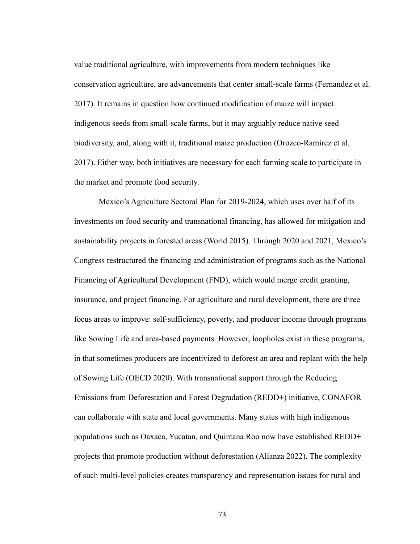value traditional agriculture, with improvements from modern techniques like conservation agriculture, are advancements that center small-scale farms (Fernandez et al. 2017). It remains in question how continued modification of maize will impact indigenous seeds from small-scale farms, but it may arguably reduce native seed biodiversity, and, along with it, traditional maize production (Orozco-Ramírez et al. 2017). Either way, both initiatives are necessary for each farming scale to participate in the market and promote food security.

Mexico's Agriculture Sectoral Plan for 2019-2024, which uses over half of its investments on food security and transnational financing, has allowed for mitigation and sustainability projects in forested areas (World 2015). Through 2020 and 2021, Mexico's Congress restructured the financing and administration of programs such as the National Financing of Agricultural Development (FND), which would merge credit granting, insurance, and project financing. For agriculture and rural development, there are three focus areas to improve: self-sufficiency, poverty, and producer income through programs like Sowing Life and area-based payments. However, loopholes exist in these programs, in that sometimes producers are incentivized to deforest an area and replant with the help of Sowing Life (OECD 2020). With transnational support through the Reducing Emissions from Deforestation and Forest Degradation (REDD+) initiative, CONAFOR can collaborate with state and local governments. Many states with high indigenous populations such as Oaxaca, Yucatan, and Quintana Roo now have established REDD+ projects that promote production without deforestation (Alianza 2022). The complexity of such multi-level policies creates transparency and representation issues for rural and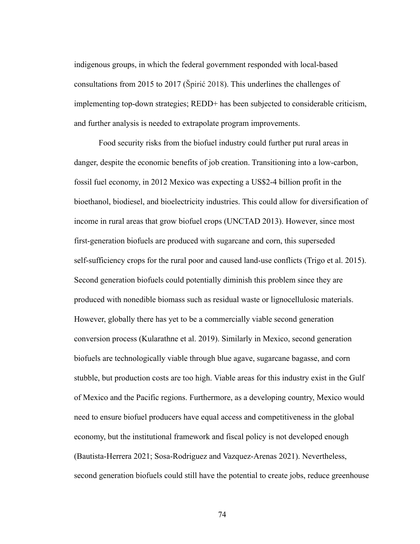indigenous groups, in which the federal government responded with local-based consultations from 2015 to 2017 (Špirić 2018). This underlines the challenges of implementing top-down strategies; REDD+ has been subjected to considerable criticism, and further analysis is needed to extrapolate program improvements.

Food security risks from the biofuel industry could further put rural areas in danger, despite the economic benefits of job creation. Transitioning into a low-carbon, fossil fuel economy, in 2012 Mexico was expecting a US\$2-4 billion profit in the bioethanol, biodiesel, and bioelectricity industries. This could allow for diversification of income in rural areas that grow biofuel crops (UNCTAD 2013). However, since most first-generation biofuels are produced with sugarcane and corn, this superseded self-sufficiency crops for the rural poor and caused land-use conflicts (Trigo et al. 2015). Second generation biofuels could potentially diminish this problem since they are produced with nonedible biomass such as residual waste or lignocellulosic materials. However, globally there has yet to be a commercially viable second generation conversion process (Kularathne et al. 2019). Similarly in Mexico, second generation biofuels are technologically viable through blue agave, sugarcane bagasse, and corn stubble, but production costs are too high. Viable areas for this industry exist in the Gulf of Mexico and the Pacific regions. Furthermore, as a developing country, Mexico would need to ensure biofuel producers have equal access and competitiveness in the global economy, but the institutional framework and fiscal policy is not developed enough (Bautista-Herrera 2021; Sosa-Rodriguez and Vazquez-Arenas 2021). Nevertheless, second generation biofuels could still have the potential to create jobs, reduce greenhouse

74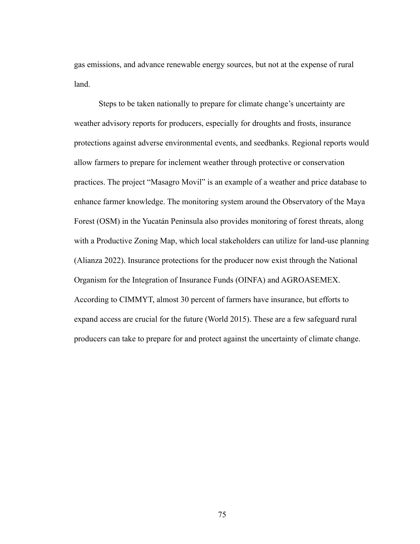gas emissions, and advance renewable energy sources, but not at the expense of rural land.

Steps to be taken nationally to prepare for climate change's uncertainty are weather advisory reports for producers, especially for droughts and frosts, insurance protections against adverse environmental events, and seedbanks. Regional reports would allow farmers to prepare for inclement weather through protective or conservation practices. The project "Masagro Movil" is an example of a weather and price database to enhance farmer knowledge. The monitoring system around the Observatory of the Maya Forest (OSM) in the Yucatán Peninsula also provides monitoring of forest threats, along with a Productive Zoning Map, which local stakeholders can utilize for land-use planning (Alianza 2022). Insurance protections for the producer now exist through the National Organism for the Integration of Insurance Funds (OINFA) and AGROASEMEX. According to CIMMYT, almost 30 percent of farmers have insurance, but efforts to expand access are crucial for the future (World 2015). These are a few safeguard rural producers can take to prepare for and protect against the uncertainty of climate change.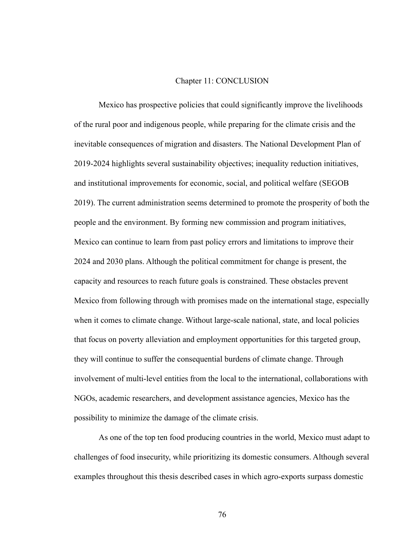## Chapter 11: CONCLUSION

Mexico has prospective policies that could significantly improve the livelihoods of the rural poor and indigenous people, while preparing for the climate crisis and the inevitable consequences of migration and disasters. The National Development Plan of 2019-2024 highlights several sustainability objectives; inequality reduction initiatives, and institutional improvements for economic, social, and political welfare (SEGOB 2019). The current administration seems determined to promote the prosperity of both the people and the environment. By forming new commission and program initiatives, Mexico can continue to learn from past policy errors and limitations to improve their 2024 and 2030 plans. Although the political commitment for change is present, the capacity and resources to reach future goals is constrained. These obstacles prevent Mexico from following through with promises made on the international stage, especially when it comes to climate change. Without large-scale national, state, and local policies that focus on poverty alleviation and employment opportunities for this targeted group, they will continue to suffer the consequential burdens of climate change. Through involvement of multi-level entities from the local to the international, collaborations with NGOs, academic researchers, and development assistance agencies, Mexico has the possibility to minimize the damage of the climate crisis.

As one of the top ten food producing countries in the world, Mexico must adapt to challenges of food insecurity, while prioritizing its domestic consumers. Although several examples throughout this thesis described cases in which agro-exports surpass domestic

76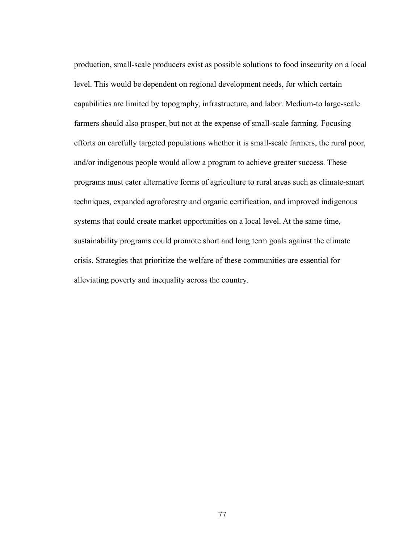production, small-scale producers exist as possible solutions to food insecurity on a local level. This would be dependent on regional development needs, for which certain capabilities are limited by topography, infrastructure, and labor. Medium-to large-scale farmers should also prosper, but not at the expense of small-scale farming. Focusing efforts on carefully targeted populations whether it is small-scale farmers, the rural poor, and/or indigenous people would allow a program to achieve greater success. These programs must cater alternative forms of agriculture to rural areas such as climate-smart techniques, expanded agroforestry and organic certification, and improved indigenous systems that could create market opportunities on a local level. At the same time, sustainability programs could promote short and long term goals against the climate crisis. Strategies that prioritize the welfare of these communities are essential for alleviating poverty and inequality across the country.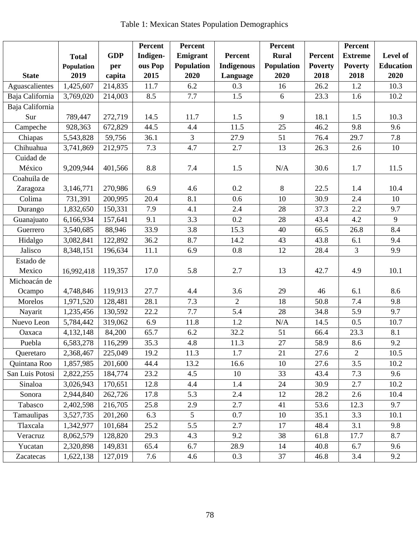| Table 1: Mexican States Population Demographics |  |  |  |
|-------------------------------------------------|--|--|--|
|-------------------------------------------------|--|--|--|

|                 |              |            | Percent  | Percent           | <b>Percent</b>    |              |                | Percent        |                  |  |
|-----------------|--------------|------------|----------|-------------------|-------------------|--------------|----------------|----------------|------------------|--|
|                 | <b>Total</b> | <b>GDP</b> | Indigen- | Emigrant          | Percent           | <b>Rural</b> | Percent        | <b>Extreme</b> | Level of         |  |
|                 | Population   | per        | ous Pop  | <b>Population</b> | <b>Indigenous</b> | Population   | <b>Poverty</b> | <b>Poverty</b> | <b>Education</b> |  |
| <b>State</b>    | 2019         | capita     | 2015     | 2020              | Language          | 2020         | 2018           | 2018           | 2020             |  |
| Aguascalientes  | 1,425,607    | 214,835    | 11.7     | 6.2               | 0.3               | 16           | 26.2           | 1.2            | 10.3             |  |
| Baja California | 3,769,020    | 214,003    | 8.5      | 7.7               | 1.5               | 6            | 23.3           | 1.6            | 10.2             |  |
| Baja California |              |            |          |                   |                   |              |                |                |                  |  |
| Sur             | 789,447      | 272,719    | 14.5     | 11.7              | 1.5               | 9            | 18.1           | 1.5            | 10.3             |  |
| Campeche        | 928,363      | 672,829    | 44.5     | 4.4               | 11.5              | 25           | 46.2           | 9.8            | 9.6              |  |
| Chiapas         | 5,543,828    | 59,756     | 36.1     | 3                 | 27.9              | 51           | 76.4           | 29.7           | 7.8              |  |
| Chihuahua       | 3,741,869    | 212,975    | 7.3      | 4.7               | 2.7               | 13           | 26.3           | 2.6            | 10               |  |
| Cuidad de       |              |            |          |                   |                   |              |                |                |                  |  |
| México          | 9,209,944    | 401,566    | 8.8      | 7.4               | 1.5               | N/A          | 30.6           | 1.7            | 11.5             |  |
| Coahuila de     |              |            |          |                   |                   |              |                |                |                  |  |
| Zaragoza        | 3,146,771    | 270,986    | 6.9      | 4.6               | 0.2               | 8            | 22.5           | 1.4            | 10.4             |  |
| Colima          | 731,391      | 200,995    | 20.4     | 8.1               | 0.6               | 10           | 30.9           | 2.4            | 10               |  |
| Durango         | 1,832,650    | 150,331    | 7.9      | 4.1               | 2.4               | 28           | 37.3           | 2.2            | 9.7              |  |
| Guanajuato      | 6,166,934    | 157,641    | 9.1      | 3.3               | 0.2               | 28           | 43.4           | 4.2            | 9                |  |
| Guerrero        | 3,540,685    | 88,946     | 33.9     | 3.8               | 15.3              | 40           | 66.5           | 26.8           | 8.4              |  |
| Hidalgo         | 3,082,841    | 122,892    | 36.2     | 8.7               | 14.2              | 43           | 43.8           | 6.1            | 9.4              |  |
| Jalisco         | 8,348,151    | 196,634    | 11.1     | 6.9               | 0.8               | 12           | 28.4           | $\overline{3}$ | 9.9              |  |
| Estado de       |              |            |          |                   |                   |              |                |                |                  |  |
| Mexico          | 16,992,418   | 119,357    | 17.0     | 5.8               | 2.7               | 13           | 42.7           | 4.9            | 10.1             |  |
| Michoacán de    |              |            |          |                   |                   |              |                |                |                  |  |
| Ocampo          | 4,748,846    | 119,913    | 27.7     | 4.4               | 3.6               | 29           | 46             | 6.1            | 8.6              |  |
| Morelos         | 1,971,520    | 128,481    | 28.1     | 7.3               | $\overline{2}$    | 18           | 50.8           | 7.4            | 9.8              |  |
| Nayarit         | 1,235,456    | 130,592    | 22.2     | 7.7               | 5.4               | 28           | 34.8           | 5.9            | 9.7              |  |
| Nuevo Leon      | 5,784,442    | 319,062    | 6.9      | 11.8              | 1.2               | N/A          | 14.5           | 0.5            | 10.7             |  |
| Oaxaca          | 4,132,148    | 84,200     | 65.7     | 6.2               | 32.2              | 51           | 66.4           | 23.3           | 8.1              |  |
| Puebla          | 6,583,278    | 116,299    | 35.3     | 4.8               | 11.3              | 27           | 58.9           | 8.6            | 9.2              |  |
| Queretaro       | 2,368,467    | 225,049    | 19.2     | 11.3              | 1.7               | 21           | 27.6           | 2              | 10.5             |  |
| Quintana Roo    | 1,857,985    | 201,600    | 44.4     | 13.2              | 16.6              | 10           | 27.6           | 3.5            | 10.2             |  |
| San Luis Potosi | 2,822,255    | 184,774    | 23.2     | 4.5               | 10                | 33           | 43.4           | 7.3            | 9.6              |  |
| Sinaloa         | 3,026,943    | 170,651    | 12.8     | 4.4               | 1.4               | 24           | 30.9           | 2.7            | 10.2             |  |
| Sonora          | 2,944,840    | 262,726    | 17.8     | 5.3               | 2.4               | 12           | 28.2           | 2.6            | 10.4             |  |
| Tabasco         | 2,402,598    | 216,705    | 25.8     | 2.9               | 2.7               | 41           | 53.6           | 12.3           | 9.7              |  |
| Tamaulipas      | 3,527,735    | 201,260    | 6.3      | 5                 | 0.7               | 10           | 35.1           | 3.3            | 10.1             |  |
| Tlaxcala        | 1,342,977    | 101,684    | 25.2     | 5.5               | 2.7               | 17           | 48.4           | 3.1            | 9.8              |  |
| Veracruz        | 8,062,579    | 128,820    | 29.3     | 4.3               | 9.2               | 38           | 61.8           | 17.7           | 8.7              |  |
| Yucatan         | 2,320,898    | 149,831    | 65.4     | 6.7               | 28.9              | 14           | 40.8           | 6.7            | 9.6              |  |
| Zacatecas       | 1,622,138    | 127,019    | 7.6      | 4.6               | 0.3               | 37           | 46.8           | 3.4            | 9.2              |  |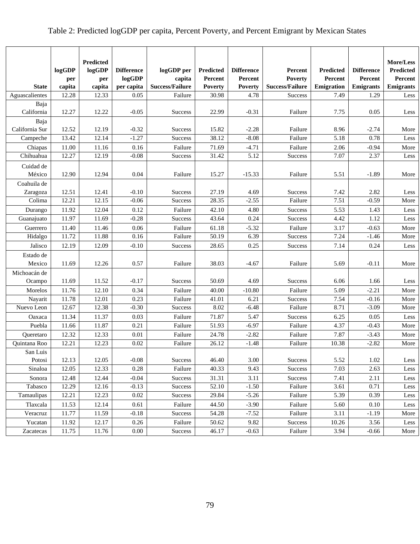## Table 2: Predicted logGDP per capita, Percent Poverty, and Percent Emigrant by Mexican States

| <b>State</b>        | logGDP<br>per                | Predicted<br>logGDP<br>per | <b>Difference</b><br>logGDP | logGDP per<br>capita<br><b>Success/Failure</b> | <b>Predicted</b><br>Percent | <b>Difference</b><br>Percent | Percent<br><b>Poverty</b><br><b>Success/Failure</b> | Predicted<br>Percent<br>Emigration | <b>Difference</b><br>Percent<br><b>Emigrants</b> | More/Less<br>Predicted<br>Percent<br><b>Emigrants</b> |
|---------------------|------------------------------|----------------------------|-----------------------------|------------------------------------------------|-----------------------------|------------------------------|-----------------------------------------------------|------------------------------------|--------------------------------------------------|-------------------------------------------------------|
| Aguascalientes      | capita<br>$\overline{12.28}$ | capita                     | per capita                  |                                                | <b>Poverty</b><br>30.98     | <b>Poverty</b><br>4.78       |                                                     |                                    |                                                  |                                                       |
|                     |                              | 12.33                      | 0.05                        | Failure                                        |                             |                              | <b>Success</b>                                      | 7.49                               | 1.29                                             | Less                                                  |
| Baja<br>California  | 12.27                        | 12.22                      | $-0.05$                     | Success                                        | 22.99                       | $-0.31$                      | Failure                                             | 7.75                               | 0.05                                             | Less                                                  |
| Baja                |                              |                            |                             |                                                |                             |                              |                                                     |                                    |                                                  |                                                       |
| California Sur      | 12.52                        | 12.19                      | $-0.32$                     | <b>Success</b>                                 | 15.82                       | $-2.28$                      | Failure                                             | 8.96                               | $-2.74$                                          | More                                                  |
| Campeche            | 13.42                        | 12.14                      | $-1.27$                     | Success                                        | 38.12                       | $-8.08$                      | Failure                                             | 5.18                               | 0.78                                             | Less                                                  |
| Chiapas             | 11.00                        | 11.16                      | 0.16                        | Failure                                        | 71.69                       | $-4.71$                      | Failure                                             | 2.06                               | $-0.94$                                          | More                                                  |
| Chihuahua           | 12.27                        | 12.19                      | $-0.08$                     | <b>Success</b>                                 | 31.42                       | 5.12                         | Success                                             | 7.07                               | 2.37                                             | Less                                                  |
| Cuidad de<br>México | 12.90                        | 12.94                      | 0.04                        | Failure                                        | 15.27                       | $-15.33$                     | Failure                                             | 5.51                               | $-1.89$                                          | More                                                  |
| Coahuila de         |                              |                            |                             |                                                |                             |                              |                                                     |                                    |                                                  |                                                       |
| Zaragoza            | 12.51                        | 12.41                      | $-0.10$                     | <b>Success</b>                                 | 27.19                       | 4.69                         | Success                                             | 7.42                               | 2.82                                             | Less                                                  |
| Colima              | 12.21                        | 12.15                      | $-0.06$                     | Success                                        | 28.35                       | $-2.55$                      | Failure                                             | 7.51                               | $-0.59$                                          | More                                                  |
| Durango             | 11.92                        | 12.04                      | 0.12                        | Failure                                        | 42.10                       | 4.80                         | Success                                             | 5.53                               | 1.43                                             | Less                                                  |
| Guanajuato          | 11.97                        | 11.69                      | $-0.28$                     | Success                                        | 43.64                       | 0.24                         | Success                                             | 4.42                               | 1.12                                             | Less                                                  |
| Guerrero            | 11.40                        | 11.46                      | 0.06                        | Failure                                        | 61.18                       | $-5.32$                      | Failure                                             | 3.17                               | $-0.63$                                          | More                                                  |
| Hidalgo             | 11.72                        | 11.88                      | 0.16                        | Failure                                        | 50.19                       | 6.39                         | <b>Success</b>                                      | 7.24                               | $-1.46$                                          | More                                                  |
| Jalisco             | 12.19                        | 12.09                      | $-0.10$                     | <b>Success</b>                                 | 28.65                       | 0.25                         | <b>Success</b>                                      | 7.14                               | 0.24                                             | Less                                                  |
| Estado de           |                              |                            |                             |                                                |                             |                              |                                                     |                                    |                                                  |                                                       |
| Mexico              | 11.69                        | 12.26                      | 0.57                        | Failure                                        | 38.03                       | $-4.67$                      | Failure                                             | 5.69                               | $-0.11$                                          | More                                                  |
| Michoacán de        |                              |                            |                             |                                                |                             |                              |                                                     |                                    |                                                  |                                                       |
| Ocampo              | 11.69                        | 11.52                      | $-0.17$                     | <b>Success</b>                                 | 50.69                       | 4.69                         | Success                                             | 6.06                               | 1.66                                             | Less                                                  |
| Morelos             | 11.76                        | 12.10                      | 0.34                        | Failure                                        | 40.00                       | $-10.80$                     | Failure                                             | 5.09                               | $-2.21$                                          | More                                                  |
| Nayarit             | 11.78                        | 12.01                      | 0.23                        | Failure                                        | 41.01                       | 6.21                         | Success                                             | 7.54                               | $-0.16$                                          | More                                                  |
| Nuevo Leon          | 12.67                        | 12.38                      | $-0.30$                     | <b>Success</b>                                 | 8.02                        | $-6.48$                      | Failure                                             | 8.71                               | $-3.09$                                          | More                                                  |
| Oaxaca              | 11.34                        | 11.37                      | 0.03                        | Failure                                        | 71.87                       | 5.47                         | Success                                             | 6.25                               | 0.05                                             | Less                                                  |
| Puebla              | 11.66                        | 11.87                      | 0.21                        | Failure                                        | 51.93                       | $-6.97$                      | Failure                                             | 4.37                               | $-0.43$                                          | More                                                  |
| Queretaro           | 12.32                        | 12.33                      | 0.01                        | Failure                                        | 24.78                       | $-2.82$                      | Failure                                             | 7.87                               | $-3.43$                                          | More                                                  |
| Quintana Roo        | 12.21                        | 12.23                      | 0.02                        | Failure                                        | 26.12                       | $-1.48$                      | Failure                                             | 10.38                              | $-2.82$                                          | More                                                  |
| San Luis            |                              |                            |                             |                                                |                             |                              |                                                     |                                    |                                                  |                                                       |
| Potosi              | 12.13                        | 12.05                      | $-0.08$                     | Success                                        | 46.40                       | 3.00                         | Success                                             | 5.52                               | 1.02                                             | Less                                                  |
| Sinaloa             | 12.05                        | 12.33                      | 0.28                        | Failure                                        | 40.33                       | 9.43                         | Success                                             | 7.03                               | 2.63                                             | Less                                                  |
| Sonora              | 12.48                        | 12.44                      | $-0.04$                     | Success                                        | 31.31                       | 3.11                         | Success                                             | 7.41                               | 2.11                                             | Less                                                  |
| Tabasco             | 12.29                        | 12.16                      | $-0.13$                     | Success                                        | 52.10                       | $-1.50$                      | Failure                                             | 3.61                               | 0.71                                             | Less                                                  |
| Tamaulipas          | 12.21                        | 12.23                      | 0.02                        | Success                                        | 29.84                       | $-5.26$                      | Failure                                             | 5.39                               | 0.39                                             | Less                                                  |
| Tlaxcala            | 11.53                        | 12.14                      | 0.61                        | Failure                                        | 44.50                       | $-3.90$                      | Failure                                             | 5.60                               | 0.10                                             | Less                                                  |
| Veracruz            | 11.77                        | 11.59                      | $-0.18$                     | <b>Success</b>                                 | 54.28                       | $-7.52$                      | Failure                                             | 3.11                               | $-1.19$                                          | More                                                  |
| Yucatan             | 11.92                        | 12.17                      | 0.26                        | Failure                                        | 50.62                       | 9.82                         | Success                                             | 10.26                              | 3.56                                             | Less                                                  |
| Zacatecas           | 11.75                        | 11.76                      | 0.00                        | Success                                        | 46.17                       | $-0.63$                      | Failure                                             | 3.94                               | $-0.66$                                          | More                                                  |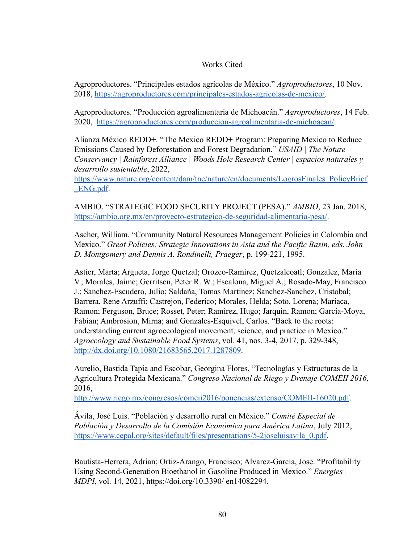## Works Cited

Agroproductores. "Principales estados agrícolas de México." *Agroproductores*, 10 Nov. 2018, [https://agroproductores.com/principales-estados-agricolas-de-mexico/.](https://agroproductores.com/principales-estados-agricolas-de-mexico/)

Agroproductores. "Producción agroalimentaria de Michoacán." *Agroproductores*, 14 Feb. 2020, <https://agroproductores.com/produccion-agroalimentaria-de-michoacan/>.

Alianza México REDD+. "The Mexico REDD+ Program: Preparing Mexico to Reduce Emissions Caused by Deforestation and Forest Degradation." *USAID | The Nature Conservancy | Rainforest Alliance | Woods Hole Research Center | espacios naturales y desarrollo sustentable*, 2022,

[https://www.nature.org/content/dam/tnc/nature/en/documents/LogrosFinales\\_PolicyBrief](https://www.nature.org/content/dam/tnc/nature/en/documents/LogrosFinales_PolicyBrief_ENG.pdf) [\\_ENG.pdf.](https://www.nature.org/content/dam/tnc/nature/en/documents/LogrosFinales_PolicyBrief_ENG.pdf)

AMBIO. "STRATEGIC FOOD SECURITY PROJECT (PESA)." *AMBIO*, 23 Jan. 2018, [https://ambio.org.mx/en/proyecto-estrategico-de-seguridad-alimentaria-pesa/.](https://ambio.org.mx/en/proyecto-estrategico-de-seguridad-alimentaria-pesa/)

Ascher, William. "Community Natural Resources Management Policies in Colombia and Mexico." *Great Policies: Strategic Innovations in Asia and the Pacific Basin, eds. John D. Montgomery and Dennis A. Rondinelli, Praeger*, p. 199-221, 1995.

Astier, Marta; Argueta, Jorge Quetzal; Orozco-Ramirez, Quetzalcoatl; Gonzalez, Maria V.; Morales, Jaime; Gerritsen, Peter R. W.; Escalona, Miguel A.; Rosado-May, Francisco J.; Sanchez-Escudero, Julio; Saldaña, Tomas Martinez; Sanchez-Sanchez, Cristobal; Barrera, Rene Arzuffi; Castrejon, Federico; Morales, Helda; Soto, Lorena; Mariaca, Ramon; Ferguson, Bruce; Rosset, Peter; Ramirez, Hugo; Jarquin, Ramon; Garcia-Moya, Fabian; Ambrosion, Mirna; and Gonzales-Esquivel, Carlos. "Back to the roots: understanding current agroecological movement, science, and practice in Mexico." *Agroecology and Sustainable Food Systems*, vol. 41, nos. 3-4, 2017, p. 329-348, <http://dx.doi.org/10.1080/21683565.2017.1287809>.

Aurelio, Bastida Tapia and Escobar, Georgina Flores. "Tecnologías y Estructuras de la Agricultura Protegida Mexicana." *Congreso Nacional de Riego y Drenaje COMEII 2016*, 2016,

<http://www.riego.mx/congresos/comeii2016/ponencias/extenso/COMEII-16020.pdf>.

Ávila, José Luis. "Población y desarrollo rural en México." *Comité Especial de Población y Desarrollo de la Comisión Económica para América Latina*, July 2012, [https://www.cepal.org/sites/default/files/presentations/5-2joseluisavila\\_0.pdf.](https://www.cepal.org/sites/default/files/presentations/5-2joseluisavila_0.pdf)

Bautista-Herrera, Adrian; Ortiz-Arango, Francisco; Alvarez-Garcia, Jose. "Profitability Using Second-Generation Bioethanol in Gasoline Produced in Mexico." *Energies | MDPI*, vol. 14, 2021, https://doi.org/10.3390/ en14082294.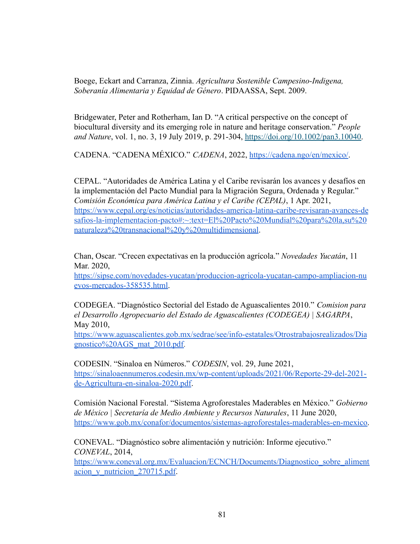Boege, Eckart and Carranza, Zinnia. *Agricultura Sostenible Campesino-Indigena, Soberanía Alimentaria y Equidad de Género*. PIDAASSA, Sept. 2009.

Bridgewater, Peter and Rotherham, Ian D. "A critical perspective on the concept of biocultural diversity and its emerging role in nature and heritage conservation." *People and Nature*, vol. 1, no. 3, 19 July 2019, p. 291-304, [https://doi.org/10.1002/pan3.10040.](https://doi.org/10.1002/pan3.10040)

CADENA. "CADENA MÉXICO." *CADENA*, 2022, [https://cadena.ngo/en/mexico/.](https://cadena.ngo/en/mexico/)

CEPAL. "Autoridades de América Latina y el Caribe revisarán los avances y desafíos en la implementación del Pacto Mundial para la Migración Segura, Ordenada y Regular." *Comisión Económica para América Latina y el Caribe (CEPAL)*, 1 Apr. 2021, [https://www.cepal.org/es/noticias/autoridades-america-latina-caribe-revisaran-avances-de](https://www.cepal.org/es/noticias/autoridades-america-latina-caribe-revisaran-avances-desafios-la-implementacion-pacto#:~:text=El%20Pacto%20Mundial%20para%20la,su%20naturaleza%20transnacional%20y%20multidimensional) [safios-la-implementacion-pacto#:~:text=El%20Pacto%20Mundial%20para%20la,su%20](https://www.cepal.org/es/noticias/autoridades-america-latina-caribe-revisaran-avances-desafios-la-implementacion-pacto#:~:text=El%20Pacto%20Mundial%20para%20la,su%20naturaleza%20transnacional%20y%20multidimensional) [naturaleza%20transnacional%20y%20multidimensional](https://www.cepal.org/es/noticias/autoridades-america-latina-caribe-revisaran-avances-desafios-la-implementacion-pacto#:~:text=El%20Pacto%20Mundial%20para%20la,su%20naturaleza%20transnacional%20y%20multidimensional).

Chan, Oscar. "Crecen expectativas en la producción agrícola." *Novedades Yucatán*, 11 Mar. 2020,

[https://sipse.com/novedades-yucatan/produccion-agricola-yucatan-campo-ampliacion-nu](https://sipse.com/novedades-yucatan/produccion-agricola-yucatan-campo-ampliacion-nuevos-mercados-358535.html) [evos-mercados-358535.html.](https://sipse.com/novedades-yucatan/produccion-agricola-yucatan-campo-ampliacion-nuevos-mercados-358535.html)

CODEGEA. "Diagnóstico Sectorial del Estado de Aguascalientes 2010." *Comision para el Desarrollo Agropecuario del Estado de Aguascalientes (CODEGEA) | SAGARPA*, May 2010,

[https://www.aguascalientes.gob.mx/sedrae/see/info-estatales/Otrostrabajosrealizados/Dia](https://www.aguascalientes.gob.mx/sedrae/see/info-estatales/Otrostrabajosrealizados/Diagnostico%20AGS_mat_2010.pdf) [gnostico%20AGS\\_mat\\_2010.pdf.](https://www.aguascalientes.gob.mx/sedrae/see/info-estatales/Otrostrabajosrealizados/Diagnostico%20AGS_mat_2010.pdf)

CODESIN. "Sinaloa en Números." *CODESIN*, vol. 29, June 2021, [https://sinaloaennumeros.codesin.mx/wp-content/uploads/2021/06/Reporte-29-del-2021](https://sinaloaennumeros.codesin.mx/wp-content/uploads/2021/06/Reporte-29-del-2021-de-Agricultura-en-sinaloa-2020.pdf) [de-Agricultura-en-sinaloa-2020.pdf.](https://sinaloaennumeros.codesin.mx/wp-content/uploads/2021/06/Reporte-29-del-2021-de-Agricultura-en-sinaloa-2020.pdf)

Comisión Nacional Forestal. "Sistema Agroforestales Maderables en México." *Gobierno de México | Secretaría de Medio Ambiente y Recursos Naturales*, 11 June 2020, [https://www.gob.mx/conafor/documentos/sistemas-agroforestales-maderables-en-mexico.](https://www.gob.mx/conafor/documentos/sistemas-agroforestales-maderables-en-mexico)

CONEVAL. "Diagnóstico sobre alimentación y nutrición: Informe ejecutivo." *CONEVAL*, 2014,

[https://www.coneval.org.mx/Evaluacion/ECNCH/Documents/Diagnostico\\_sobre\\_aliment](https://www.coneval.org.mx/Evaluacion/ECNCH/Documents/Diagnostico_sobre_alimentacion_y_nutricion_270715.pdf) acion y nutricion 270715.pdf.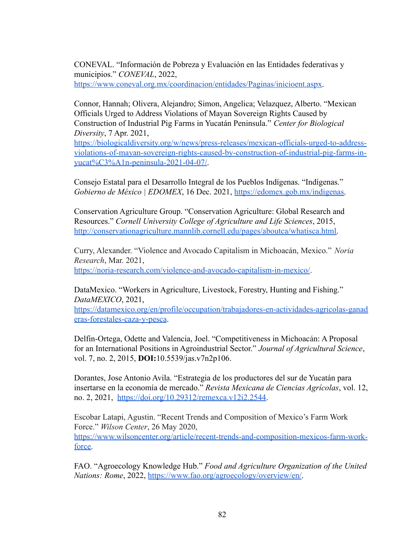CONEVAL. "Información de Pobreza y Evaluación en las Entidades federativas y municipios." *CONEVAL*, 2022, [https://www.coneval.org.mx/coordinacion/entidades/Paginas/inicioent.aspx.](https://www.coneval.org.mx/coordinacion/entidades/Paginas/inicioent.aspx)

Connor, Hannah; Olivera, Alejandro; Simon, Angelica; Velazquez, Alberto. "Mexican Officials Urged to Address Violations of Mayan Sovereign Rights Caused by Construction of Industrial Pig Farms in Yucatán Peninsula." *Center for Biological Diversity*, 7 Apr. 2021,

[https://biologicaldiversity.org/w/news/press-releases/mexican-officials-urged-to-address](https://biologicaldiversity.org/w/news/press-releases/mexican-officials-urged-to-address-violations-of-mayan-sovereign-rights-caused-by-construction-of-industrial-pig-farms-in-yucat%C3%A1n-peninsula-2021-04-07/)[violations-of-mayan-sovereign-rights-caused-by-construction-of-industrial-pig-farms-in](https://biologicaldiversity.org/w/news/press-releases/mexican-officials-urged-to-address-violations-of-mayan-sovereign-rights-caused-by-construction-of-industrial-pig-farms-in-yucat%C3%A1n-peninsula-2021-04-07/)[yucat%C3%A1n-peninsula-2021-04-07/.](https://biologicaldiversity.org/w/news/press-releases/mexican-officials-urged-to-address-violations-of-mayan-sovereign-rights-caused-by-construction-of-industrial-pig-farms-in-yucat%C3%A1n-peninsula-2021-04-07/)

Consejo Estatal para el Desarrollo Integral de los Pueblos Indígenas. "Indígenas." *Gobierno de México | EDOMEX*, 16 Dec. 2021, [https://edomex.gob.mx/indigenas.](https://edomex.gob.mx/indigenas)

Conservation Agriculture Group. "Conservation Agriculture: Global Research and Resources." *Cornell University College of Agriculture and Life Sciences*, 2015, [http://conservationagriculture.mannlib.cornell.edu/pages/aboutca/whatisca.html.](http://conservationagriculture.mannlib.cornell.edu/pages/aboutca/whatisca.html)

Curry, Alexander. "Violence and Avocado Capitalism in Michoacán, Mexico." *Noria Research*, Mar. 2021, <https://noria-research.com/violence-and-avocado-capitalism-in-mexico/>.

DataMexico. "Workers in Agriculture, Livestock, Forestry, Hunting and Fishing." *DataMEXICO*, 2021,

[https://datamexico.org/en/profile/occupation/trabajadores-en-actividades-agricolas-ganad](https://datamexico.org/en/profile/occupation/trabajadores-en-actividades-agricolas-ganaderas-forestales-caza-y-pesca) [eras-forestales-caza-y-pesca](https://datamexico.org/en/profile/occupation/trabajadores-en-actividades-agricolas-ganaderas-forestales-caza-y-pesca).

Delfin-Ortega, Odette and Valencia, Joel. "Competitiveness in Michoacán: A Proposal for an International Positions in Agroindustrial Sector." *Journal of Agricultural Science*, vol. 7, no. 2, 2015, **DOI:**[10.5539/jas.v7n2p106.](https://doi.org/10.5539/jas.v7n2p106)

Dorantes, Jose Antonio Avila. "Estrategia de los productores del sur de Yucatán para insertarse en la economía de mercado." *Revista Mexicana de Ciencias Agrícolas*, vol. 12, no. 2, 2021, <https://doi.org/10.29312/remexca.v12i2.2544>.

Escobar Latapi, Agustin. "Recent Trends and Composition of Mexico's Farm Work Force." *Wilson Center*, 26 May 2020, [https://www.wilsoncenter.org/article/recent-trends-and-composition-mexicos-farm-work](https://www.wilsoncenter.org/article/recent-trends-and-composition-mexicos-farm-work-force)[force.](https://www.wilsoncenter.org/article/recent-trends-and-composition-mexicos-farm-work-force)

FAO. "Agroecology Knowledge Hub." *Food and Agriculture Organization of the United Nations: Rome*, 2022, [https://www.fao.org/agroecology/overview/en/.](https://www.fao.org/agroecology/overview/en/)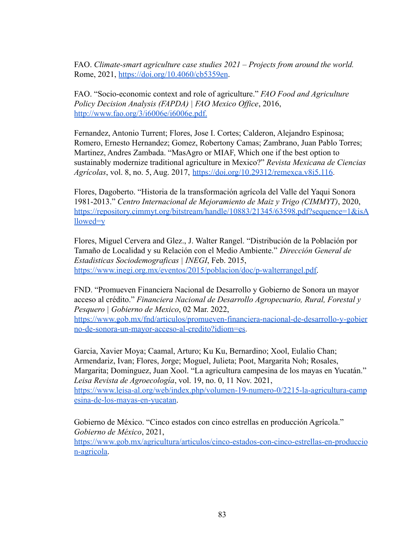FAO. *Climate-smart agriculture case studies 2021 – Projects from around the world.* Rome, 2021, <https://doi.org/10.4060/cb5359en>.

FAO. "Socio-economic context and role of agriculture." *FAO Food and Agriculture Policy Decision Analysis (FAPDA) | FAO Mexico Office*, 2016, <http://www.fao.org/3/i6006e/i6006e.pdf>.

Fernandez, Antonio Turrent; Flores, Jose I. Cortes; Calderon, Alejandro Espinosa; Romero, Ernesto Hernandez; Gomez, Robertony Camas; Zambrano, Juan Pablo Torres; Martinez, Andres Zambada. "MasAgro or MIAF, Which one if the best option to sustainably modernize traditional agriculture in Mexico?" *Revista Mexicana de Ciencias Agrícolas*, vol. 8, no. 5, Aug. 2017, <https://doi.org/10.29312/remexca.v8i5.116>.

Flores, Dagoberto. "Historia de la transformación agrícola del Valle del Yaqui Sonora 1981-2013." *Centro Internacional de Mejoramiento de Maiz y Trigo (CIMMYT)*, 2020, [https://repository.cimmyt.org/bitstream/handle/10883/21345/63598.pdf?sequence=1&isA](https://repository.cimmyt.org/bitstream/handle/10883/21345/63598.pdf?sequence=1&isAllowed=y) [llowed=y](https://repository.cimmyt.org/bitstream/handle/10883/21345/63598.pdf?sequence=1&isAllowed=y)

Flores, Miguel Cervera and Glez., J. Walter Rangel. "Distribución de la Población por Tamaño de Localidad y su Relación con el Medio Ambiente." *Dirección General de Estadisticas Sociodemograficas | INEGI*, Feb. 2015, [https://www.inegi.org.mx/eventos/2015/poblacion/doc/p-walterrangel.pdf.](https://www.inegi.org.mx/eventos/2015/poblacion/doc/p-walterrangel.pdf)

FND. "Promueven Financiera Nacional de Desarrollo y Gobierno de Sonora un mayor acceso al crédito." *Financiera Nacional de Desarrollo Agropecuario, Rural, Forestal y Pesquero | Gobierno de Mexico*, 02 Mar. 2022, [https://www.gob.mx/fnd/articulos/promueven-financiera-nacional-de-desarrollo-y-gobier](https://www.gob.mx/fnd/articulos/promueven-financiera-nacional-de-desarrollo-y-gobierno-de-sonora-un-mayor-acceso-al-credito?idiom=es)

[no-de-sonora-un-mayor-acceso-al-credito?idiom=es.](https://www.gob.mx/fnd/articulos/promueven-financiera-nacional-de-desarrollo-y-gobierno-de-sonora-un-mayor-acceso-al-credito?idiom=es)

Garcia, Xavier Moya; Caamal, Arturo; Ku Ku, Bernardino; Xool, Eulalio Chan; Armendariz, Ivan; Flores, Jorge; Moguel, Julieta; Poot, Margarita Noh; Rosales, Margarita; Dominguez, Juan Xool. "La agricultura campesina de los mayas en Yucatán." *Leisa Revista de Agroecología*, vol. 19, no. 0, 11 Nov. 2021, [https://www.leisa-al.org/web/index.php/volumen-19-numero-0/2215-la-agricultura-camp](https://www.leisa-al.org/web/index.php/volumen-19-numero-0/2215-la-agricultura-campesina-de-los-mayas-en-yucatan) [esina-de-los-mayas-en-yucatan](https://www.leisa-al.org/web/index.php/volumen-19-numero-0/2215-la-agricultura-campesina-de-los-mayas-en-yucatan).

Gobierno de México. "Cinco estados con cinco estrellas en producción Agrícola." *Gobierno de México*, 2021, [https://www.gob.mx/agricultura/articulos/cinco-estados-con-cinco-estrellas-en-produccio](https://www.gob.mx/agricultura/articulos/cinco-estados-con-cinco-estrellas-en-produccion-agricola) [n-agricola.](https://www.gob.mx/agricultura/articulos/cinco-estados-con-cinco-estrellas-en-produccion-agricola)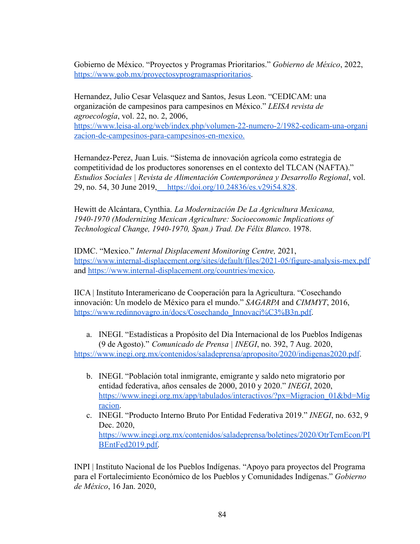Gobierno de México. "Proyectos y Programas Prioritarios." *Gobierno de México*, 2022, [https://www.gob.mx/proyectosyprogramasprioritarios.](https://www.gob.mx/proyectosyprogramasprioritarios)

Hernandez, Julio Cesar Velasquez and Santos, Jesus Leon. "CEDICAM: una organización de campesinos para campesinos en México." *LEISA revista de agroecología*, vol. 22, no. 2, 2006,

[https://www.leisa-al.org/web/index.php/volumen-22-numero-2/1982-cedicam-una-organi](https://www.leisa-al.org/web/index.php/volumen-22-numero-2/1982-cedicam-una-organizacion-de-campesinos-para-campesinos-en-mexico) [zacion-de-campesinos-para-campesinos-en-mexico.](https://www.leisa-al.org/web/index.php/volumen-22-numero-2/1982-cedicam-una-organizacion-de-campesinos-para-campesinos-en-mexico)

Hernandez-Perez, Juan Luis. "Sistema de innovación agrícola como estrategia de competitividad de los productores sonorenses en el contexto del TLCAN (NAFTA)." *Estudios Sociales | Revista de Alimentación Contemporánea y Desarrollo Regional*, vol. 29, no. 54, 30 June 2019, <https://doi.org/10.24836/es.v29i54.828>.

Hewitt de Alcántara, Cynthia. *La Modernización De La Agricultura Mexicana, 1940-1970 (Modernizing Mexican Agriculture: Socioeconomic Implications of Technological Change, 1940-1970, Span.) Trad. De Félix Blanco*. 1978.

IDMC. "Mexico." *Internal Displacement Monitoring Centre,* 2021, <https://www.internal-displacement.org/sites/default/files/2021-05/figure-analysis-mex.pdf> and [https://www.internal-displacement.org/countries/mexico.](https://www.internal-displacement.org/countries/mexico)

IICA | Instituto Interamericano de Cooperación para la Agricultura. "Cosechando innovación: Un modelo de México para el mundo." *SAGARPA* and *CIMMYT*, 2016, [https://www.redinnovagro.in/docs/Cosechando\\_Innovaci%C3%B3n.pdf](https://www.redinnovagro.in/docs/Cosechando_Innovaci%C3%B3n.pdf).

a. INEGI. "Estadísticas a Propósito del Día Internacional de los Pueblos Indígenas (9 de Agosto)." *Comunicado de Prensa | INEGI*, no. 392, 7 Aug. 2020,

<https://www.inegi.org.mx/contenidos/saladeprensa/aproposito/2020/indigenas2020.pdf>.

- b. INEGI. "Población total inmigrante, emigrante y saldo neto migratorio por entidad federativa, años censales de 2000, 2010 y 2020." *INEGI*, 2020, [https://www.inegi.org.mx/app/tabulados/interactivos/?px=Migracion\\_01&bd=Mig](https://www.inegi.org.mx/app/tabulados/interactivos/?px=Migracion_01&bd=Migracion) [racion.](https://www.inegi.org.mx/app/tabulados/interactivos/?px=Migracion_01&bd=Migracion)
- c. INEGI. "Producto Interno Bruto Por Entidad Federativa 2019." *INEGI*, no. 632, 9 Dec. 2020, [https://www.inegi.org.mx/contenidos/saladeprensa/boletines/2020/OtrTemEcon/PI](https://www.inegi.org.mx/contenidos/saladeprensa/boletines/2020/OtrTemEcon/PIBEntFed2019.pdf) [BEntFed2019.pdf.](https://www.inegi.org.mx/contenidos/saladeprensa/boletines/2020/OtrTemEcon/PIBEntFed2019.pdf)

INPI | Instituto Nacional de los Pueblos Indígenas. "Apoyo para proyectos del Programa para el Fortalecimiento Económico de los Pueblos y Comunidades Indígenas." *Gobierno de México*, 16 Jan. 2020,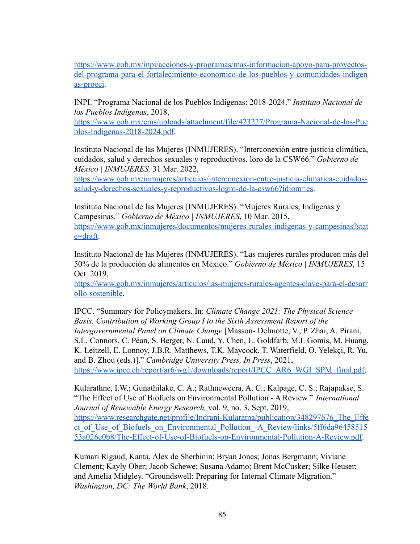[https://www.gob.mx/inpi/acciones-y-programas/mas-informacion-apoyo-para-proyectos](https://www.gob.mx/inpi/acciones-y-programas/mas-informacion-apoyo-para-proyectos-del-programa-para-el-fortalecimiento-economico-de-los-pueblos-y-comunidades-indigenas-proeci)[del-programa-para-el-fortalecimiento-economico-de-los-pueblos-y-comunidades-indigen](https://www.gob.mx/inpi/acciones-y-programas/mas-informacion-apoyo-para-proyectos-del-programa-para-el-fortalecimiento-economico-de-los-pueblos-y-comunidades-indigenas-proeci) [as-proeci.](https://www.gob.mx/inpi/acciones-y-programas/mas-informacion-apoyo-para-proyectos-del-programa-para-el-fortalecimiento-economico-de-los-pueblos-y-comunidades-indigenas-proeci)

INPI. "Programa Nacional de los Pueblos Indígenas: 2018-2024." *Instituto Nacional de los Pueblos Indígenas*, 2018,

[https://www.gob.mx/cms/uploads/attachment/file/423227/Programa-Nacional-de-los-Pue](https://www.gob.mx/cms/uploads/attachment/file/423227/Programa-Nacional-de-los-Pueblos-Indigenas-2018-2024.pdf) [blos-Indigenas-2018-2024.pdf.](https://www.gob.mx/cms/uploads/attachment/file/423227/Programa-Nacional-de-los-Pueblos-Indigenas-2018-2024.pdf)

Instituto Nacional de las Mujeres (INMUJERES). "Interconexión entre justicia climática, cuidados, salud y derechos sexuales y reproductivos, loro de la CSW66." *Gobierno de México | INMUJERES,* 31 Mar. 2022,

[https://www.gob.mx/inmujeres/articulos/interconexion-entre-justicia-climatica-cuidados](https://www.gob.mx/inmujeres/articulos/interconexion-entre-justicia-climatica-cuidados-salud-y-derechos-sexuales-y-reproductivos-logro-de-la-csw66?idiom=es)[salud-y-derechos-sexuales-y-reproductivos-logro-de-la-csw66?idiom=es.](https://www.gob.mx/inmujeres/articulos/interconexion-entre-justicia-climatica-cuidados-salud-y-derechos-sexuales-y-reproductivos-logro-de-la-csw66?idiom=es)

Instituto Nacional de las Mujeres (INMUJERES). "Mujeres Rurales, Indígenas y Campesinas." *Gobierno de México | INMUJERES*, 10 Mar. 2015, [https://www.gob.mx/inmujeres/documentos/mujeres-rurales-indigenas-y-campesinas?stat](https://www.gob.mx/inmujeres/documentos/mujeres-rurales-indigenas-y-campesinas?state=draft) [e=draft.](https://www.gob.mx/inmujeres/documentos/mujeres-rurales-indigenas-y-campesinas?state=draft)

Instituto Nacional de las Mujeres (INMUJERES). "Las mujeres rurales producen más del 50% de la producción de alimentos en México." *Gobierno de México | INMUJERES*, 15 Oct. 2019,

[https://www.gob.mx/inmujeres/articulos/las-mujeres-rurales-agentes-clave-para-el-desarr](https://www.gob.mx/inmujeres/articulos/las-mujeres-rurales-agentes-clave-para-el-desarrollo-sostenible) [ollo-sostenible.](https://www.gob.mx/inmujeres/articulos/las-mujeres-rurales-agentes-clave-para-el-desarrollo-sostenible)

IPCC. "Summary for Policymakers. In: *Climate Change 2021: The Physical Science Basis. Contribution of Working Group I to the Sixth Assessment Report of the Intergovernmental Panel on Climate Change* [Masson- Delmotte, V., P. Zhai, A. Pirani, S.L. Connors, C. Péan, S. Berger, N. Caud, Y. Chen, L. Goldfarb, M.I. Gomis, M. Huang, K. Leitzell, E. Lonnoy, J.B.R. Matthews, T.K. Maycock, T. Waterfield, O. Yelekçi, R. Yu, and B. Zhou (eds.)]." *Cambridge University Press, In Press*, 2021, [https://www.ipcc.ch/report/ar6/wg1/downloads/report/IPCC\\_AR6\\_WGI\\_SPM\\_final.pdf.](https://www.ipcc.ch/report/ar6/wg1/downloads/report/IPCC_AR6_WGI_SPM_final.pdf)

Kularathne, I.W.; Gunathilake, C. A.; Rathneweera, A. C.; Kalpage, C. S.; Rajapakse, S. "The Effect of Use of Biofuels on Environmental Pollution - A Review." *International Journal of Renewable Energy Research,* vol. 9, no. 3, Sept. 2019, https://www.researchgate.net/profile/Indrani-Kularatna/publication/348297676 The Effe ct of Use of Biofuels on Environmental Pollution -A Review/links/5ff6da96458515 [53a026e0b8/The-Effect-of-Use-of-Biofuels-on-Environmental-Pollution-A-Review.pdf.](https://www.researchgate.net/profile/Indrani-Kularatna/publication/348297676_The_Effect_of_Use_of_Biofuels_on_Environmental_Pollution_-A_Review/links/5ff6da9645851553a026e0b8/The-Effect-of-Use-of-Biofuels-on-Environmental-Pollution-A-Review.pdf)

Kumari Rigaud, Kanta, Alex de Sherbinin; Bryan Jones; Jonas Bergmann; Viviane Clement; Kayly Ober; Jacob Schewe; Susana Adamo; Brent McCusker; Silke Heuser; and Amelia Midgley. "Groundswell: Preparing for Internal Climate Migration." *Washington, DC: The World Bank*, 2018.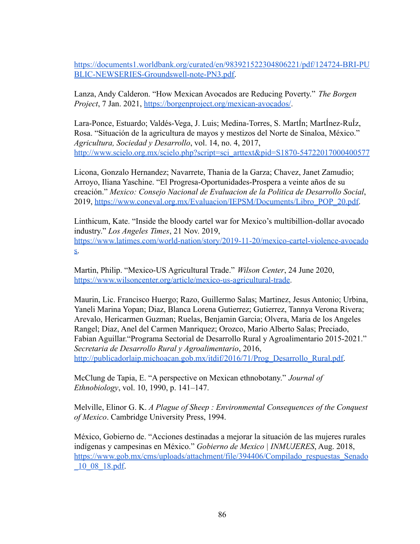[https://documents1.worldbank.org/curated/en/983921522304806221/pdf/124724-BRI-PU](https://documents1.worldbank.org/curated/en/983921522304806221/pdf/124724-BRI-PUBLIC-NEWSERIES-Groundswell-note-PN3.pdf) [BLIC-NEWSERIES-Groundswell-note-PN3.pdf.](https://documents1.worldbank.org/curated/en/983921522304806221/pdf/124724-BRI-PUBLIC-NEWSERIES-Groundswell-note-PN3.pdf)

Lanza, Andy Calderon. "How Mexican Avocados are Reducing Poverty." *The Borgen Project*, 7 Jan. 2021, <https://borgenproject.org/mexican-avocados/>.

Lara-Ponce, Estuardo; Valdés-Vega, J. Luis; Medina-Torres, S. MartÍn; MartÍnez-RuÍz, Rosa. "Situación de la agricultura de mayos y mestizos del Norte de Sinaloa, México." *Agricultura, Sociedad y Desarrollo*, vol. 14, no. 4, 2017, [http://www.scielo.org.mx/scielo.php?script=sci\\_arttext&pid=S1870-54722017000400577](http://www.scielo.org.mx/scielo.php?script=sci_arttext&pid=S1870-54722017000400577)

Licona, Gonzalo Hernandez; Navarrete, Thania de la Garza; Chavez, Janet Zamudio; Arroyo, Iliana Yaschine. "El Progresa-Oportunidades-Prospera a veinte años de su creación." *Mexico: Consejo Nacional de Evaluacion de la Politica de Desarrollo Social*, 2019, [https://www.coneval.org.mx/Evaluacion/IEPSM/Documents/Libro\\_POP\\_20.pdf.](https://www.coneval.org.mx/Evaluacion/IEPSM/Documents/Libro_POP_20.pdf)

Linthicum, Kate. "Inside the bloody cartel war for Mexico's multibillion-dollar avocado industry." *Los Angeles Times*, 21 Nov. 2019, [https://www.latimes.com/world-nation/story/2019-11-20/mexico-cartel-violence-avocado](https://www.latimes.com/world-nation/story/2019-11-20/mexico-cartel-violence-avocados) [s.](https://www.latimes.com/world-nation/story/2019-11-20/mexico-cartel-violence-avocados)

Martin, Philip. "Mexico-US Agricultural Trade." *Wilson Center*, 24 June 2020, [https://www.wilsoncenter.org/article/mexico-us-agricultural-trade.](https://www.wilsoncenter.org/article/mexico-us-agricultural-trade)

Maurin, Lic. Francisco Huergo; Razo, Guillermo Salas; Martinez, Jesus Antonio; Urbina, Yaneli Marina Yopan; Diaz, Blanca Lorena Gutierrez; Gutierrez, Tannya Verona Rivera; Arevalo, Hericarmen Guzman; Ruelas, Benjamin Garcia; Olvera, Maria de los Angeles Rangel; Diaz, Anel del Carmen Manriquez; Orozco, Mario Alberto Salas; Preciado, Fabian Aguillar."Programa Sectorial de Desarrollo Rural y Agroalimentario 2015-2021." *Secretaria de Desarrollo Rural y Agroalimentario*, 2016, [http://publicadorlaip.michoacan.gob.mx/itdif/2016/71/Prog\\_Desarrollo\\_Rural.pdf.](http://publicadorlaip.michoacan.gob.mx/itdif/2016/71/Prog_Desarrollo_Rural.pdf)

McClung de Tapia, E. "A perspective on Mexican ethnobotany." *Journal of Ethnobiology*, vol. 10, 1990, p. 141–147.

Melville, Elinor G. K. *A Plague of Sheep : Environmental Consequences of the Conquest of Mexico*. Cambridge University Press, 1994.

México, Gobierno de. "Acciones destinadas a mejorar la situación de las mujeres rurales indígenas y campesinas en México." *Gobierno de Mexico | INMUJERES*, Aug. 2018, [https://www.gob.mx/cms/uploads/attachment/file/394406/Compilado\\_respuestas\\_Senado](https://www.gob.mx/cms/uploads/attachment/file/394406/Compilado_respuestas_Senado_10_08_18.pdf) [\\_10\\_08\\_18.pdf.](https://www.gob.mx/cms/uploads/attachment/file/394406/Compilado_respuestas_Senado_10_08_18.pdf)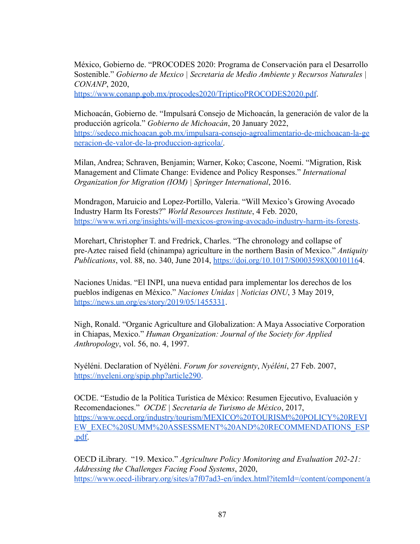México, Gobierno de. "PROCODES 2020: Programa de Conservación para el Desarrollo Sostenible." *Gobierno de Mexico | Secretaria de Medio Ambiente y Recursos Naturales | CONANP*, 2020,

<https://www.conanp.gob.mx/procodes2020/TripticoPROCODES2020.pdf>.

Michoacán, Gobierno de. "Impulsará Consejo de Michoacán, la generación de valor de la producción agrícola." *Gobierno de Michoacán*, 20 January 2022, [https://sedeco.michoacan.gob.mx/impulsara-consejo-agroalimentario-de-michoacan-la-ge](https://sedeco.michoacan.gob.mx/impulsara-consejo-agroalimentario-de-michoacan-la-generacion-de-valor-de-la-produccion-agricola/) [neracion-de-valor-de-la-produccion-agricola/.](https://sedeco.michoacan.gob.mx/impulsara-consejo-agroalimentario-de-michoacan-la-generacion-de-valor-de-la-produccion-agricola/)

Milan, Andrea; Schraven, Benjamin; Warner, Koko; Cascone, Noemi. "Migration, Risk Management and Climate Change: Evidence and Policy Responses." *International Organization for Migration (IOM) | Springer International*, 2016.

Mondragon, Maruicio and Lopez-Portillo, Valeria. "Will Mexico's Growing Avocado Industry Harm Its Forests?" *World Resources Institute*, 4 Feb. 2020, <https://www.wri.org/insights/will-mexicos-growing-avocado-industry-harm-its-forests>.

Morehart, Christopher T. and Fredrick, Charles. "The chronology and collapse of pre-Aztec raised field (chinampa) agriculture in the northern Basin of Mexico." *Antiquity Publications*, vol. 88, no. 340, June 2014, [https://doi.org/10.1017/S0003598X0010116](https://doi.org/10.1017/S0003598X00101164)4.

Naciones Unidas. "El INPI, una nueva entidad para implementar los derechos de los pueblos indígenas en México." *Naciones Unidas | Noticias ONU*, 3 May 2019, <https://news.un.org/es/story/2019/05/1455331>.

Nigh, Ronald. "Organic Agriculture and Globalization: A Maya Associative Corporation in Chiapas, Mexico." *Human Organization: Journal of the Society for Applied Anthropology*, vol. 56, no. 4, 1997.

Nyéléni. Declaration of Nyéléni. *Forum for sovereignty*, *Nyéléni*, 27 Feb. 2007, <https://nyeleni.org/spip.php?article290>.

OCDE. "Estudio de la Política Turística de México: Resumen Ejecutivo, Evaluación y Recomendaciones." *OCDE | Secretaría de Turismo de México*, 2017, [https://www.oecd.org/industry/tourism/MEXICO%20TOURISM%20POLICY%20REVI](https://www.oecd.org/industry/tourism/MEXICO%20TOURISM%20POLICY%20REVIEW_EXEC%20SUMM%20ASSESSMENT%20AND%20RECOMMENDATIONS_ESP.pdf) [EW\\_EXEC%20SUMM%20ASSESSMENT%20AND%20RECOMMENDATIONS\\_ESP](https://www.oecd.org/industry/tourism/MEXICO%20TOURISM%20POLICY%20REVIEW_EXEC%20SUMM%20ASSESSMENT%20AND%20RECOMMENDATIONS_ESP.pdf) [.pdf.](https://www.oecd.org/industry/tourism/MEXICO%20TOURISM%20POLICY%20REVIEW_EXEC%20SUMM%20ASSESSMENT%20AND%20RECOMMENDATIONS_ESP.pdf)

OECD iLibrary. "19. Mexico." *Agriculture Policy Monitoring and Evaluation 202-21: Addressing the Challenges Facing Food Systems*, 2020, [https://www.oecd-ilibrary.org/sites/a7f07ad3-en/index.html?itemId=/content/component/a](https://www.oecd-ilibrary.org/sites/a7f07ad3-en/index.html?itemId=/content/component/a7f07ad3-en#:~:text=The%20Sectoral%20Programme%20focuses%20on,%2Dscale%20agricultural%20producers)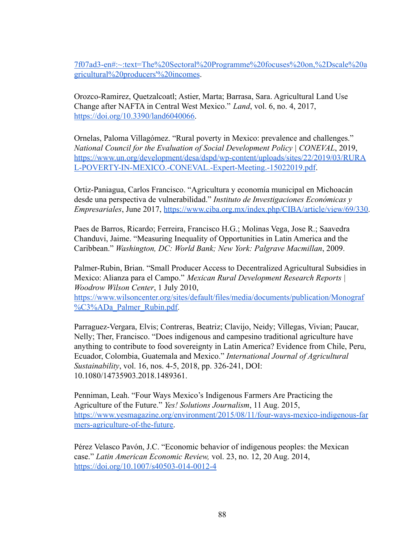[7f07ad3-en#:~:text=The%20Sectoral%20Programme%20focuses%20on,%2Dscale%20a](https://www.oecd-ilibrary.org/sites/a7f07ad3-en/index.html?itemId=/content/component/a7f07ad3-en#:~:text=The%20Sectoral%20Programme%20focuses%20on,%2Dscale%20agricultural%20producers) [gricultural%20producers'%20incomes](https://www.oecd-ilibrary.org/sites/a7f07ad3-en/index.html?itemId=/content/component/a7f07ad3-en#:~:text=The%20Sectoral%20Programme%20focuses%20on,%2Dscale%20agricultural%20producers).

Orozco-Ramirez, Quetzalcoatl; Astier, Marta; Barrasa, Sara. Agricultural Land Use Change after NAFTA in Central West Mexico." *Land*, vol. 6, no. 4, 2017, [https://doi.org/10.3390/land6040066.](https://doi.org/10.3390/land6040066)

Ornelas, Paloma Villagómez. "Rural poverty in Mexico: prevalence and challenges." *National Council for the Evaluation of Social Development Policy | CONEVAL*, 2019, [https://www.un.org/development/desa/dspd/wp-content/uploads/sites/22/2019/03/RURA](https://www.un.org/development/desa/dspd/wp-content/uploads/sites/22/2019/03/RURAL-POVERTY-IN-MEXICO.-CONEVAL.-Expert-Meeting.-15022019.pdf) [L-POVERTY-IN-MEXICO.-CONEVAL.-Expert-Meeting.-15022019.pdf](https://www.un.org/development/desa/dspd/wp-content/uploads/sites/22/2019/03/RURAL-POVERTY-IN-MEXICO.-CONEVAL.-Expert-Meeting.-15022019.pdf).

Ortiz-Paniagua, Carlos Francisco. "Agricultura y economía municipal en Michoacán desde una perspectiva de vulnerabilidad." *Instituto de Investigaciones Económicas y Empresariales*, June 2017, [https://www.ciba.org.mx/index.php/CIBA/article/view/69/330.](https://www.ciba.org.mx/index.php/CIBA/article/view/69/330)

Paes de Barros, Ricardo; Ferreira, Francisco H.G.; Molinas Vega, Jose R.; Saavedra Chanduvi, Jaime. "Measuring Inequality of Opportunities in Latin America and the Caribbean." *Washington, DC: World Bank; New York: Palgrave Macmillan*, 2009.

Palmer-Rubin, Brian. "Small Producer Access to Decentralized Agricultural Subsidies in Mexico: Alianza para el Campo." *Mexican Rural Development Research Reports | Woodrow Wilson Center*, 1 July 2010,

[https://www.wilsoncenter.org/sites/default/files/media/documents/publication/Monograf](https://www.wilsoncenter.org/sites/default/files/media/documents/publication/Monograf%C3%ADa_Palmer_Rubin.pdf) [%C3%ADa\\_Palmer\\_Rubin.pdf.](https://www.wilsoncenter.org/sites/default/files/media/documents/publication/Monograf%C3%ADa_Palmer_Rubin.pdf)

Parraguez-Vergara, Elvis; Contreras, Beatriz; Clavijo, Neidy; Villegas, Vivian; Paucar, Nelly; Ther, Francisco. "Does indigenous and campesino traditional agriculture have anything to contribute to food sovereignty in Latin America? Evidence from Chile, Peru, Ecuador, Colombia, Guatemala and Mexico." *International Journal of Agricultural Sustainability*, vol. 16, nos. 4-5, 2018, pp. 326-241, DOI: 10.1080/14735903.2018.1489361.

Penniman, Leah. "Four Ways Mexico's Indigenous Farmers Are Practicing the Agriculture of the Future." *Yes! Solutions Journalism*, 11 Aug. 2015, [https://www.yesmagazine.org/environment/2015/08/11/four-ways-mexico-indigenous-far](https://www.yesmagazine.org/environment/2015/08/11/four-ways-mexico-indigenous-farmers-agriculture-of-the-future) [mers-agriculture-of-the-future.](https://www.yesmagazine.org/environment/2015/08/11/four-ways-mexico-indigenous-farmers-agriculture-of-the-future)

Pérez Velasco Pavón, J.C. "Economic behavior of indigenous peoples: the Mexican case." *Latin American Economic Review,* vol. 23, no. 12, 20 Aug. 2014, <https://doi.org/10.1007/s40503-014-0012-4>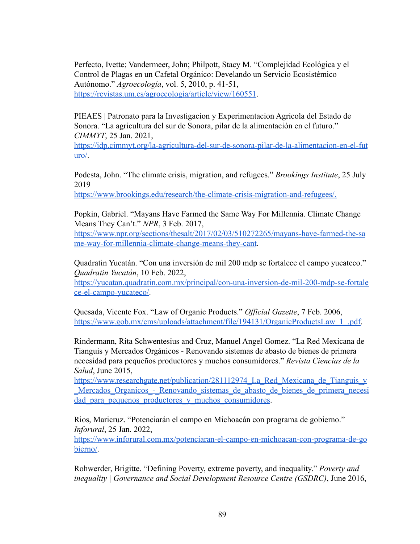Perfecto, Ivette; Vandermeer, John; Philpott, Stacy M. "Complejidad Ecológica y el Control de Plagas en un Cafetal Orgánico: Develando un Servicio Ecosistémico Autónomo." *Agroecología*, vol. 5, 2010, p. 41-51, [https://revistas.um.es/agroecologia/article/view/160551.](https://revistas.um.es/agroecologia/article/view/160551)

PIEAES | Patronato para la Investigacion y Experimentacion Agricola del Estado de Sonora. "La agricultura del sur de Sonora, pilar de la alimentación en el futuro." *CIMMYT*, 25 Jan. 2021,

[https://idp.cimmyt.org/la-agricultura-del-sur-de-sonora-pilar-de-la-alimentacion-en-el-fut](https://idp.cimmyt.org/la-agricultura-del-sur-de-sonora-pilar-de-la-alimentacion-en-el-futuro/) [uro/](https://idp.cimmyt.org/la-agricultura-del-sur-de-sonora-pilar-de-la-alimentacion-en-el-futuro/).

Podesta, John. "The climate crisis, migration, and refugees." *Brookings Institute*, 25 July 2019

[https://www.brookings.edu/research/the-climate-crisis-migration-and-refugees/.](https://www.brookings.edu/research/the-climate-crisis-migration-and-refugees/)

Popkin, Gabriel. "Mayans Have Farmed the Same Way For Millennia. Climate Change Means They Can't." *NPR*, 3 Feb. 2017,

[https://www.npr.org/sections/thesalt/2017/02/03/510272265/mayans-have-farmed-the-sa](https://www.npr.org/sections/thesalt/2017/02/03/510272265/mayans-have-farmed-the-same-way-for-millennia-climate-change-means-they-cant) [me-way-for-millennia-climate-change-means-they-cant](https://www.npr.org/sections/thesalt/2017/02/03/510272265/mayans-have-farmed-the-same-way-for-millennia-climate-change-means-they-cant).

Quadratin Yucatán. "Con una inversión de mil 200 mdp se fortalece el campo yucateco." *Quadratin Yucatán*, 10 Feb. 2022,

[https://yucatan.quadratin.com.mx/principal/con-una-inversion-de-mil-200-mdp-se-fortale](https://yucatan.quadratin.com.mx/principal/con-una-inversion-de-mil-200-mdp-se-fortalece-el-campo-yucateco/) [ce-el-campo-yucateco/](https://yucatan.quadratin.com.mx/principal/con-una-inversion-de-mil-200-mdp-se-fortalece-el-campo-yucateco/).

Quesada, Vicente Fox. "Law of Organic Products." *Official Gazette*, 7 Feb. 2006, https://www.gob.mx/cms/uploads/attachment/file/194131/OrganicProductsLaw 1.pdf.

Rindermann, Rita Schwentesius and Cruz, Manuel Angel Gomez. "La Red Mexicana de Tianguis y Mercados Orgánicos - Renovando sistemas de abasto de bienes de primera necesidad para pequeños productores y muchos consumidores." *Revista Ciencias de la Salud*, June 2015,

https://www.researchgate.net/publication/281112974 La Red Mexicana de Tianguis y Mercados Organicos - Renovando sistemas de abasto de bienes de primera necesi dad para pequenos productores y muchos consumidores.

Rios, Maricruz. "Potenciarán el campo en Michoacán con programa de gobierno." *Inforural*, 25 Jan. 2022,

[https://www.inforural.com.mx/potenciaran-el-campo-en-michoacan-con-programa-de-go](https://www.inforural.com.mx/potenciaran-el-campo-en-michoacan-con-programa-de-gobierno/) [bierno/.](https://www.inforural.com.mx/potenciaran-el-campo-en-michoacan-con-programa-de-gobierno/)

Rohwerder, Brigitte. "Defining Poverty, extreme poverty, and inequality." *Poverty and inequality | Governance and Social Development Resource Centre (GSDRC)*, June 2016,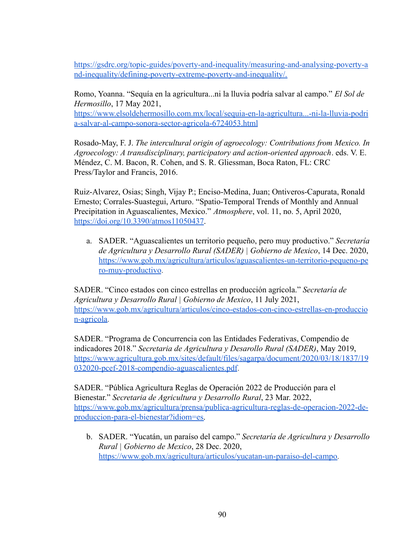[https://gsdrc.org/topic-guides/poverty-and-inequality/measuring-and-analysing-poverty-a](https://gsdrc.org/topic-guides/poverty-and-inequality/measuring-and-analysing-poverty-and-inequality/defining-poverty-extreme-poverty-and-inequality/) [nd-inequality/defining-poverty-extreme-poverty-and-inequality/.](https://gsdrc.org/topic-guides/poverty-and-inequality/measuring-and-analysing-poverty-and-inequality/defining-poverty-extreme-poverty-and-inequality/)

Romo, Yoanna. "Sequía en la agricultura...ni la lluvia podría salvar al campo." *El Sol de Hermosillo*, 17 May 2021,

[https://www.elsoldehermosillo.com.mx/local/sequia-en-la-agricultura...-ni-la-lluvia-podri](https://www.elsoldehermosillo.com.mx/local/sequia-en-la-agricultura...-ni-la-lluvia-podria-salvar-al-campo-sonora-sector-agricola-6724053.html) [a-salvar-al-campo-sonora-sector-agricola-6724053.html](https://www.elsoldehermosillo.com.mx/local/sequia-en-la-agricultura...-ni-la-lluvia-podria-salvar-al-campo-sonora-sector-agricola-6724053.html)

Rosado-May, F. J. *The intercultural origin of agroecology: Contributions from Mexico. In Agroecology: A transdisciplinary, participatory and action-oriented approach*. eds. V. E. Méndez, C. M. Bacon, R. Cohen, and S. R. Gliessman, Boca Raton, FL: CRC Press/Taylor and Francis, 2016.

Ruiz-Alvarez, Osias; Singh, Vijay P.; Enciso-Medina, Juan; Ontiveros-Capurata, Ronald Ernesto; Corrales-Suastegui, Arturo. "Spatio-Temporal Trends of Monthly and Annual Precipitation in Aguascalientes, Mexico." *Atmosphere*, vol. 11, no. 5, April 2020, <https://doi.org/10.3390/atmos11050437>.

a. SADER. "Aguascalientes un territorio pequeño, pero muy productivo." *Secretaría de Agricultura y Desarrollo Rural (SADER) | Gobierno de Mexico*, 14 Dec. 2020, [https://www.gob.mx/agricultura/articulos/aguascalientes-un-territorio-pequeno-pe](https://www.gob.mx/agricultura/articulos/aguascalientes-un-territorio-pequeno-pero-muy-productivo) [ro-muy-productivo](https://www.gob.mx/agricultura/articulos/aguascalientes-un-territorio-pequeno-pero-muy-productivo).

SADER. "Cinco estados con cinco estrellas en producción agrícola." *Secretaría de Agricultura y Desarrollo Rural | Gobierno de Mexico*, 11 July 2021, [https://www.gob.mx/agricultura/articulos/cinco-estados-con-cinco-estrellas-en-produccio](https://www.gob.mx/agricultura/articulos/cinco-estados-con-cinco-estrellas-en-produccion-agricola) [n-agricola.](https://www.gob.mx/agricultura/articulos/cinco-estados-con-cinco-estrellas-en-produccion-agricola)

SADER. "Programa de Concurrencia con las Entidades Federativas, Compendio de indicadores 2018." *Secretaria de Agricultura y Desarollo Rural (SADER)*, May 2019, [https://www.agricultura.gob.mx/sites/default/files/sagarpa/document/2020/03/18/1837/19](https://www.agricultura.gob.mx/sites/default/files/sagarpa/document/2020/03/18/1837/19032020-pcef-2018-compendio-aguascalientes.pdf) [032020-pcef-2018-compendio-aguascalientes.pdf](https://www.agricultura.gob.mx/sites/default/files/sagarpa/document/2020/03/18/1837/19032020-pcef-2018-compendio-aguascalientes.pdf).

SADER. "Pública Agricultura Reglas de Operación 2022 de Producción para el Bienestar." *Secretaria de Agricultura y Desarrollo Rural*, 23 Mar. 2022, [https://www.gob.mx/agricultura/prensa/publica-agricultura-reglas-de-operacion-2022-de](https://www.gob.mx/agricultura/prensa/publica-agricultura-reglas-de-operacion-2022-de-produccion-para-el-bienestar?idiom=es)[produccion-para-el-bienestar?idiom=es.](https://www.gob.mx/agricultura/prensa/publica-agricultura-reglas-de-operacion-2022-de-produccion-para-el-bienestar?idiom=es)

b. SADER. "Yucatán, un paraíso del campo." *Secretaría de Agricultura y Desarrollo Rural | Gobierno de Mexico*, 28 Dec. 2020, [https://www.gob.mx/agricultura/articulos/yucatan-un-paraiso-del-campo.](https://www.gob.mx/agricultura/articulos/yucatan-un-paraiso-del-campo)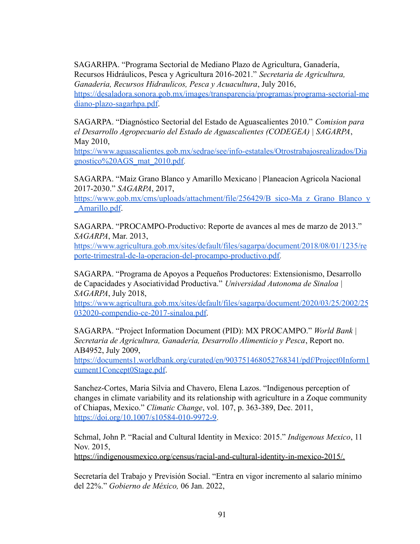SAGARHPA. "Programa Sectorial de Mediano Plazo de Agricultura, Ganadería, Recursos Hidráulicos, Pesca y Agricultura 2016-2021." *Secretaria de Agricultura, Ganaderia, Recursos Hidraulicos, Pesca y Acuacultura*, July 2016, [https://desaladora.sonora.gob.mx/images/transparencia/programas/programa-sectorial-me](https://desaladora.sonora.gob.mx/images/transparencia/programas/programa-sectorial-mediano-plazo-sagarhpa.pdf) [diano-plazo-sagarhpa.pdf](https://desaladora.sonora.gob.mx/images/transparencia/programas/programa-sectorial-mediano-plazo-sagarhpa.pdf).

SAGARPA. "Diagnóstico Sectorial del Estado de Aguascalientes 2010." *Comision para el Desarrollo Agropecuario del Estado de Aguascalientes (CODEGEA) | SAGARPA*, May 2010,

[https://www.aguascalientes.gob.mx/sedrae/see/info-estatales/Otrostrabajosrealizados/Dia](https://www.aguascalientes.gob.mx/sedrae/see/info-estatales/Otrostrabajosrealizados/Diagnostico%20AGS_mat_2010.pdf) [gnostico%20AGS\\_mat\\_2010.pdf.](https://www.aguascalientes.gob.mx/sedrae/see/info-estatales/Otrostrabajosrealizados/Diagnostico%20AGS_mat_2010.pdf)

SAGARPA. "Maiz Grano Blanco y Amarillo Mexicano | Planeacion Agricola Nacional 2017-2030." *SAGARPA*, 2017,

[https://www.gob.mx/cms/uploads/attachment/file/256429/B\\_sico-Ma\\_z\\_Grano\\_Blanco\\_y](https://www.gob.mx/cms/uploads/attachment/file/256429/B_sico-Ma_z_Grano_Blanco_y_Amarillo.pdf) [\\_Amarillo.pdf](https://www.gob.mx/cms/uploads/attachment/file/256429/B_sico-Ma_z_Grano_Blanco_y_Amarillo.pdf).

SAGARPA. "PROCAMPO-Productivo: Reporte de avances al mes de marzo de 2013." *SAGARPA*, Mar. 2013,

[https://www.agricultura.gob.mx/sites/default/files/sagarpa/document/2018/08/01/1235/re](https://www.agricultura.gob.mx/sites/default/files/sagarpa/document/2018/08/01/1235/reporte-trimestral-de-la-operacion-del-procampo-productivo.pdf) [porte-trimestral-de-la-operacion-del-procampo-productivo.pdf.](https://www.agricultura.gob.mx/sites/default/files/sagarpa/document/2018/08/01/1235/reporte-trimestral-de-la-operacion-del-procampo-productivo.pdf)

SAGARPA. "Programa de Apoyos a Pequeños Productores: Extensionismo, Desarrollo de Capacidades y Asociatividad Productiva." *Universidad Autonoma de Sinaloa | SAGARPA*, July 2018,

[https://www.agricultura.gob.mx/sites/default/files/sagarpa/document/2020/03/25/2002/25](https://www.agricultura.gob.mx/sites/default/files/sagarpa/document/2020/03/25/2002/25032020-compendio-ce-2017-sinaloa.pdf) [032020-compendio-ce-2017-sinaloa.pdf.](https://www.agricultura.gob.mx/sites/default/files/sagarpa/document/2020/03/25/2002/25032020-compendio-ce-2017-sinaloa.pdf)

SAGARPA. "Project Information Document (PID): MX PROCAMPO." *World Bank | Secretaria de Agricultura, Ganadería, Desarrollo Alimenticio y Pesca*, Report no. AB4952, July 2009,

[https://documents1.worldbank.org/curated/en/903751468052768341/pdf/Project0Inform1](https://documents1.worldbank.org/curated/en/903751468052768341/pdf/Project0Inform1cument1Concept0Stage.pdf) [cument1Concept0Stage.pdf.](https://documents1.worldbank.org/curated/en/903751468052768341/pdf/Project0Inform1cument1Concept0Stage.pdf)

Sanchez-Cortes, Maria Silvia and Chavero, Elena Lazos. "Indigenous perception of changes in climate variability and its relationship with agriculture in a Zoque community of Chiapas, Mexico." *Climatic Change*, vol. 107, p. 363-389, Dec. 2011, [https://doi.org/10.1007/s10584-010-9972-9.](https://doi.org/10.1007/s10584-010-9972-9)

Schmal, John P. "Racial and Cultural Identity in Mexico: 2015." *Indigenous Mexico*, 11 Nov. 2015,

<https://indigenousmexico.org/census/racial-and-cultural-identity-in-mexico-2015/>.

Secretaría del Trabajo y Previsión Social. "Entra en vigor incremento al salario mínimo del 22%." *Gobierno de México,* 06 Jan. 2022,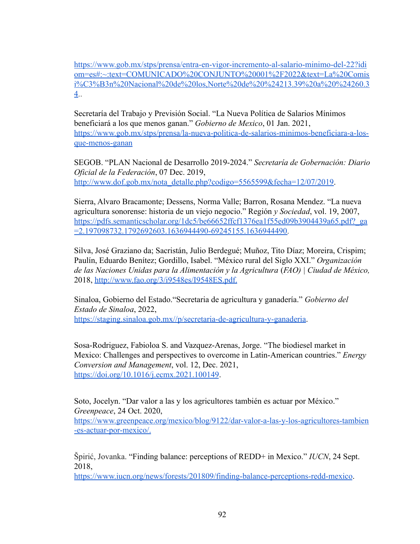[https://www.gob.mx/stps/prensa/entra-en-vigor-incremento-al-salario-minimo-del-22?idi](https://www.gob.mx/stps/prensa/entra-en-vigor-incremento-al-salario-minimo-del-22?idiom=es#:~:text=COMUNICADO%20CONJUNTO%20001%2F2022&text=La%20Comisi%C3%B3n%20Nacional%20de%20los,Norte%20de%20%24213.39%20a%20%24260.34) [om=es#:~:text=COMUNICADO%20CONJUNTO%20001%2F2022&text=La%20Comis](https://www.gob.mx/stps/prensa/entra-en-vigor-incremento-al-salario-minimo-del-22?idiom=es#:~:text=COMUNICADO%20CONJUNTO%20001%2F2022&text=La%20Comisi%C3%B3n%20Nacional%20de%20los,Norte%20de%20%24213.39%20a%20%24260.34) [i%C3%B3n%20Nacional%20de%20los,Norte%20de%20%24213.39%20a%20%24260.3](https://www.gob.mx/stps/prensa/entra-en-vigor-incremento-al-salario-minimo-del-22?idiom=es#:~:text=COMUNICADO%20CONJUNTO%20001%2F2022&text=La%20Comisi%C3%B3n%20Nacional%20de%20los,Norte%20de%20%24213.39%20a%20%24260.34) [4](https://www.gob.mx/stps/prensa/entra-en-vigor-incremento-al-salario-minimo-del-22?idiom=es#:~:text=COMUNICADO%20CONJUNTO%20001%2F2022&text=La%20Comisi%C3%B3n%20Nacional%20de%20los,Norte%20de%20%24213.39%20a%20%24260.34)..

Secretaría del Trabajo y Previsión Social. "La Nueva Política de Salarios Mínimos beneficiará a los que menos ganan." *Gobierno de Mexico*, 01 Jan. 2021, [https://www.gob.mx/stps/prensa/la-nueva-politica-de-salarios-minimos-beneficiara-a-los](https://www.gob.mx/stps/prensa/la-nueva-politica-de-salarios-minimos-beneficiara-a-los-que-menos-ganan)[que-menos-ganan](https://www.gob.mx/stps/prensa/la-nueva-politica-de-salarios-minimos-beneficiara-a-los-que-menos-ganan)

SEGOB. "PLAN Nacional de Desarrollo 2019-2024." *Secretaría de Gobernación: Diario Oficial de la Federación*, 07 Dec. 2019, [http://www.dof.gob.mx/nota\\_detalle.php?codigo=5565599&fecha=12/07/2019.](http://www.dof.gob.mx/nota_detalle.php?codigo=5565599&fecha=12/07/2019)

Sierra, Alvaro Bracamonte; Dessens, Norma Valle; Barron, Rosana Mendez. "La nueva agricultura sonorense: historia de un viejo negocio." Región *y Sociedad*, vol. 19, 2007, [https://pdfs.semanticscholar.org/1dc5/be66652ffcf1376ea1f55ed09b3904439a65.pdf?\\_ga](https://pdfs.semanticscholar.org/1dc5/be66652ffcf1376ea1f55ed09b3904439a65.pdf?_ga=2.197098732.1792692603.1636944490-69245155.1636944490) [=2.197098732.1792692603.1636944490-69245155.1636944490.](https://pdfs.semanticscholar.org/1dc5/be66652ffcf1376ea1f55ed09b3904439a65.pdf?_ga=2.197098732.1792692603.1636944490-69245155.1636944490)

Silva, José Graziano da; Sacristán, Julio Berdegué; Muñoz, Tito Díaz; Moreira, Crispim; Paulín, Eduardo Benítez; Gordillo, Isabel. "México rural del Siglo XXI." *Organización de las Naciones Unidas para la Alimentación y la Agricultura* (*FAO) | Ciudad de México,* 2018, <http://www.fao.org/3/i9548es/I9548ES.pdf>.

Sinaloa, Gobierno del Estado."Secretaria de agricultura y ganadería." *Gobierno del Estado de Sinaloa*, 2022, <https://staging.sinaloa.gob.mx//p/secretaria-de-agricultura-y-ganaderia>.

Sosa-Rodriguez, Fabioloa S. and Vazquez-Arenas, Jorge. "The biodiesel market in Mexico: Challenges and perspectives to overcome in Latin-American countries." *Energy Conversion and Management*, vol. 12, Dec. 2021, <https://doi.org/10.1016/j.ecmx.2021.100149>.

Soto, Jocelyn. "Dar valor a las y los agricultores también es actuar por México." *Greenpeace*, 24 Oct. 2020,

[https://www.greenpeace.org/mexico/blog/9122/dar-valor-a-las-y-los-agricultores-tambien](https://www.greenpeace.org/mexico/blog/9122/dar-valor-a-las-y-los-agricultores-tambien-es-actuar-por-mexico/) [-es-actuar-por-mexico/](https://www.greenpeace.org/mexico/blog/9122/dar-valor-a-las-y-los-agricultores-tambien-es-actuar-por-mexico/).

Špirić, Jovanka. "Finding balance: perceptions of REDD+ in Mexico." *IUCN*, 24 Sept. 2018,

<https://www.iucn.org/news/forests/201809/finding-balance-perceptions-redd-mexico>.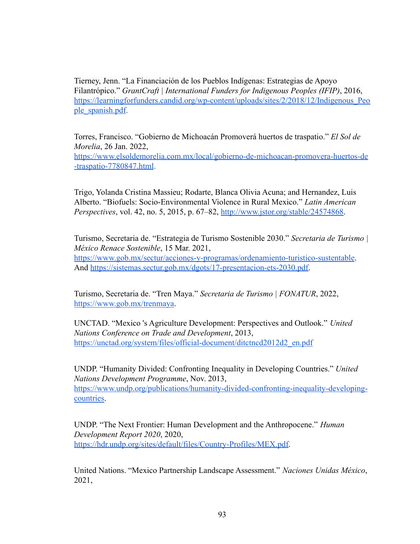Tierney, Jenn. "La Financiación de los Pueblos Indígenas: Estrategias de Apoyo Filantrópico." *GrantCraft | International Funders for Indigenous Peoples (IFIP)*, 2016, [https://learningforfunders.candid.org/wp-content/uploads/sites/2/2018/12/Indigenous\\_Peo](https://learningforfunders.candid.org/wp-content/uploads/sites/2/2018/12/Indigenous_People_spanish.pdf) [ple\\_spanish.pdf.](https://learningforfunders.candid.org/wp-content/uploads/sites/2/2018/12/Indigenous_People_spanish.pdf)

Torres, Francisco. "Gobierno de Michoacán Promoverá huertos de traspatio." *El Sol de Morelia*, 26 Jan. 2022, [https://www.elsoldemorelia.com.mx/local/gobierno-de-michoacan-promovera-huertos-de](https://www.elsoldemorelia.com.mx/local/gobierno-de-michoacan-promovera-huertos-de-traspatio-7780847.html)

[-traspatio-7780847.html](https://www.elsoldemorelia.com.mx/local/gobierno-de-michoacan-promovera-huertos-de-traspatio-7780847.html).

Trigo, Yolanda Cristina Massieu; Rodarte, Blanca Olivia Acuna; and Hernandez, Luis Alberto. "Biofuels: Socio-Environmental Violence in Rural Mexico." *Latin American Perspectives*, vol. 42, no. 5, 2015, p. 67–82, [http://www.jstor.org/stable/24574868.](http://www.jstor.org/stable/24574868)

Turismo, Secretaria de. "Estrategia de Turismo Sostenible 2030." *Secretaria de Turismo | México Renace Sostenible*, 15 Mar. 2021, <https://www.gob.mx/sectur/acciones-y-programas/ordenamiento-turistico-sustentable>. And [https://sistemas.sectur.gob.mx/dgots/17-presentacion-ets-2030.pdf.](https://sistemas.sectur.gob.mx/dgots/17-presentacion-ets-2030.pdf)

Turismo, Secretaria de. "Tren Maya." *Secretaria de Turismo | FONATUR*, 2022, [https://www.gob.mx/trenmaya.](https://www.gob.mx/trenmaya)

UNCTAD. "Mexico 's Agriculture Development: Perspectives and Outlook." *United Nations Conference on Trade and Development*, 2013, [https://unctad.org/system/files/official-document/ditctncd2012d2\\_en.pdf](https://unctad.org/system/files/official-document/ditctncd2012d2_en.pdf)

UNDP. "Humanity Divided: Confronting Inequality in Developing Countries." *United Nations Development Programme*, Nov. 2013, [https://www.undp.org/publications/humanity-divided-confronting-inequality-developing](https://www.undp.org/publications/humanity-divided-confronting-inequality-developing-countries)[countries.](https://www.undp.org/publications/humanity-divided-confronting-inequality-developing-countries)

UNDP. "The Next Frontier: Human Development and the Anthropocene." *Human Development Report 2020*, 2020, [https://hdr.undp.org/sites/default/files/Country-Profiles/MEX.pdf.](https://hdr.undp.org/sites/default/files/Country-Profiles/MEX.pdf)

United Nations. "Mexico Partnership Landscape Assessment." *Naciones Unidas México*, 2021,